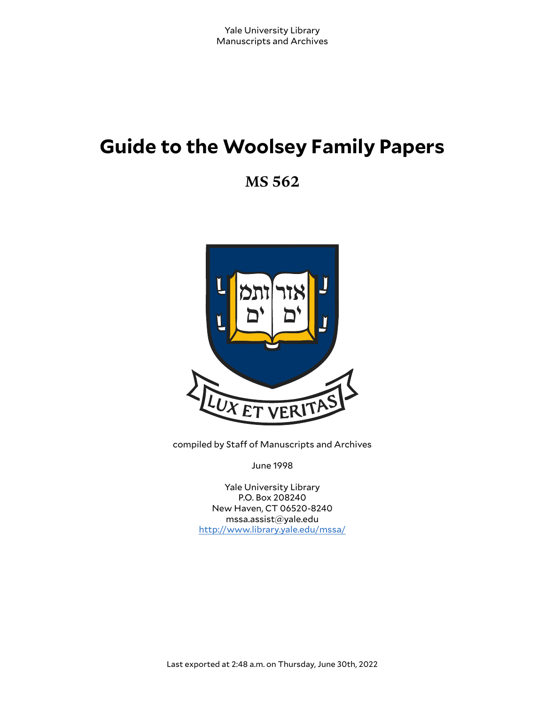# **Guide to the Woolsey Family Papers**

**MS 562**



compiled by Staff of Manuscripts and Archives

June 1998

Yale University Library P.O. Box 208240 New Haven, CT 06520-8240 mssa.assist@yale.edu <http://www.library.yale.edu/mssa/>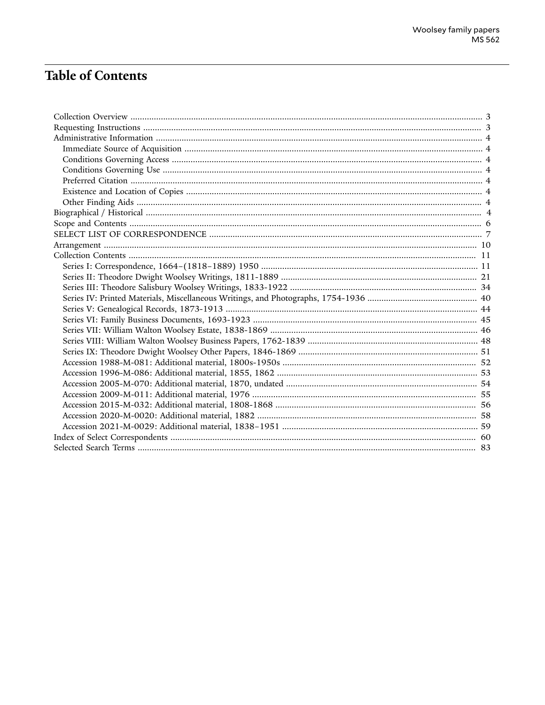## **Table of Contents**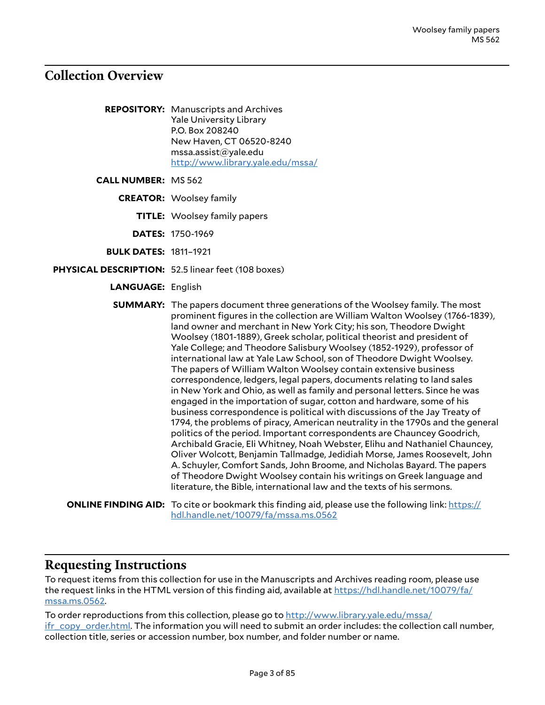### <span id="page-2-0"></span>**Collection Overview**

**REPOSITORY:** Manuscripts and Archives Yale University Library P.O. Box 208240 New Haven, CT 06520-8240 mssa.assist@yale.edu <http://www.library.yale.edu/mssa/>

**CALL NUMBER:** MS 562

**CREATOR:** Woolsey family

**TITLE:** Woolsey family papers

**DATES:** 1750-1969

**BULK DATES:** 1811–1921

**PHYSICAL DESCRIPTION:** 52.5 linear feet (108 boxes)

**LANGUAGE:** English

**SUMMARY:** The papers document three generations of the Woolsey family. The most prominent figures in the collection are William Walton Woolsey (1766-1839), land owner and merchant in New York City; his son, Theodore Dwight Woolsey (1801-1889), Greek scholar, political theorist and president of Yale College; and Theodore Salisbury Woolsey (1852-1929), professor of international law at Yale Law School, son of Theodore Dwight Woolsey. The papers of William Walton Woolsey contain extensive business correspondence, ledgers, legal papers, documents relating to land sales in New York and Ohio, as well as family and personal letters. Since he was engaged in the importation of sugar, cotton and hardware, some of his business correspondence is political with discussions of the Jay Treaty of 1794, the problems of piracy, American neutrality in the 1790s and the general politics of the period. Important correspondents are Chauncey Goodrich, Archibald Gracie, Eli Whitney, Noah Webster, Elihu and Nathaniel Chauncey, Oliver Wolcott, Benjamin Tallmadge, Jedidiah Morse, James Roosevelt, John A. Schuyler, Comfort Sands, John Broome, and Nicholas Bayard. The papers of Theodore Dwight Woolsey contain his writings on Greek language and literature, the Bible, international law and the texts of his sermons.

**ONLINE FINDING AID:** To cite or bookmark this finding aid, please use the following link: [https://](https://hdl.handle.net/10079/fa/mssa.ms.0562) [hdl.handle.net/10079/fa/mssa.ms.0562](https://hdl.handle.net/10079/fa/mssa.ms.0562)

### <span id="page-2-1"></span>**Requesting Instructions**

To request items from this collection for use in the Manuscripts and Archives reading room, please use the request links in the HTML version of this finding aid, available at [https://hdl.handle.net/10079/fa/](https://hdl.handle.net/10079/fa/mssa.ms.0562) [mssa.ms.0562.](https://hdl.handle.net/10079/fa/mssa.ms.0562)

To order reproductions from this collection, please go to [http://www.library.yale.edu/mssa/](http://www.library.yale.edu/mssa/ifr_copy_order.html) [ifr\\_copy\\_order.html.](http://www.library.yale.edu/mssa/ifr_copy_order.html) The information you will need to submit an order includes: the collection call number, collection title, series or accession number, box number, and folder number or name.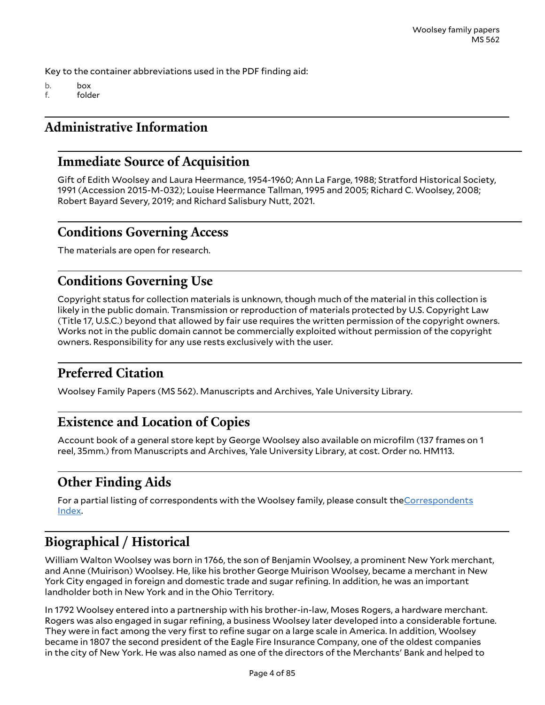Key to the container abbreviations used in the PDF finding aid:

- b. box
- f. folder

## <span id="page-3-0"></span>**Administrative Information**

## <span id="page-3-1"></span>**Immediate Source of Acquisition**

Gift of Edith Woolsey and Laura Heermance, 1954-1960; Ann La Farge, 1988; Stratford Historical Society, 1991 (Accession 2015-M-032); Louise Heermance Tallman, 1995 and 2005; Richard C. Woolsey, 2008; Robert Bayard Severy, 2019; and Richard Salisbury Nutt, 2021.

## <span id="page-3-2"></span>**Conditions Governing Access**

The materials are open for research.

## <span id="page-3-3"></span>**Conditions Governing Use**

Copyright status for collection materials is unknown, though much of the material in this collection is likely in the public domain. Transmission or reproduction of materials protected by U.S. Copyright Law (Title 17, U.S.C.) beyond that allowed by fair use requires the written permission of the copyright owners. Works not in the public domain cannot be commercially exploited without permission of the copyright owners. Responsibility for any use rests exclusively with the user.

## <span id="page-3-4"></span>**Preferred Citation**

Woolsey Family Papers (MS 562). Manuscripts and Archives, Yale University Library.

## <span id="page-3-5"></span>**Existence and Location of Copies**

Account book of a general store kept by George Woolsey also available on microfilm (137 frames on 1 reel, 35mm.) from Manuscripts and Archives, Yale University Library, at cost. Order no. HM113.

## <span id="page-3-6"></span>**Other Finding Aids**

For a partial listing of correspondents with the Woolsey family, please consult the[Correspondents](http://mssa.altfindingaids.library.yale.edu/mssa.ms.0562/mssa_ms_0562_index_of_select_correspondents_back.pdf) [Index](http://mssa.altfindingaids.library.yale.edu/mssa.ms.0562/mssa_ms_0562_index_of_select_correspondents_back.pdf).

## <span id="page-3-7"></span>**Biographical / Historical**

William Walton Woolsey was born in 1766, the son of Benjamin Woolsey, a prominent New York merchant, and Anne (Muirison) Woolsey. He, like his brother George Muirison Woolsey, became a merchant in New York City engaged in foreign and domestic trade and sugar refining. In addition, he was an important landholder both in New York and in the Ohio Territory.

In 1792 Woolsey entered into a partnership with his brother-in-law, Moses Rogers, a hardware merchant. Rogers was also engaged in sugar refining, a business Woolsey later developed into a considerable fortune. They were in fact among the very first to refine sugar on a large scale in America. In addition, Woolsey became in 1807 the second president of the Eagle Fire Insurance Company, one of the oldest companies in the city of New York. He was also named as one of the directors of the Merchants' Bank and helped to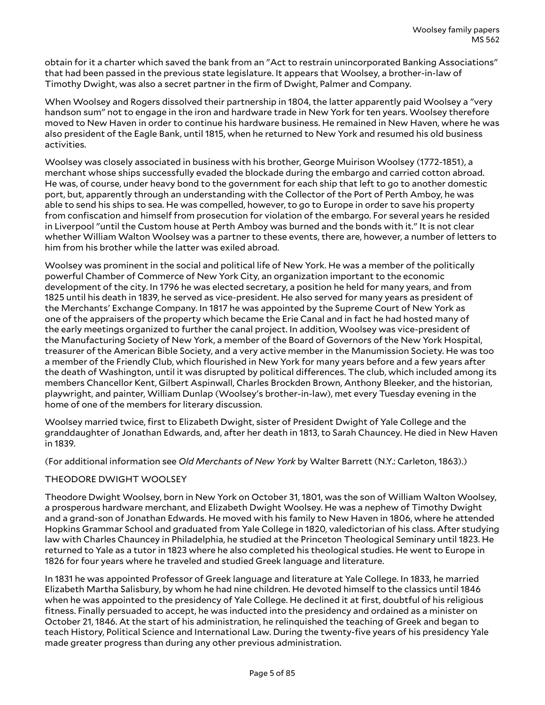obtain for it a charter which saved the bank from an "Act to restrain unincorporated Banking Associations" that had been passed in the previous state legislature. It appears that Woolsey, a brother-in-law of Timothy Dwight, was also a secret partner in the firm of Dwight, Palmer and Company.

When Woolsey and Rogers dissolved their partnership in 1804, the latter apparently paid Woolsey a "very handson sum" not to engage in the iron and hardware trade in New York for ten years. Woolsey therefore moved to New Haven in order to continue his hardware business. He remained in New Haven, where he was also president of the Eagle Bank, until 1815, when he returned to New York and resumed his old business activities.

Woolsey was closely associated in business with his brother, George Muirison Woolsey (1772-1851), a merchant whose ships successfully evaded the blockade during the embargo and carried cotton abroad. He was, of course, under heavy bond to the government for each ship that left to go to another domestic port, but, apparently through an understanding with the Collector of the Port of Perth Amboy, he was able to send his ships to sea. He was compelled, however, to go to Europe in order to save his property from confiscation and himself from prosecution for violation of the embargo. For several years he resided in Liverpool "until the Custom house at Perth Amboy was burned and the bonds with it." It is not clear whether William Walton Woolsey was a partner to these events, there are, however, a number of letters to him from his brother while the latter was exiled abroad.

Woolsey was prominent in the social and political life of New York. He was a member of the politically powerful Chamber of Commerce of New York City, an organization important to the economic development of the city. In 1796 he was elected secretary, a position he held for many years, and from 1825 until his death in 1839, he served as vice-president. He also served for many years as president of the Merchants' Exchange Company. In 1817 he was appointed by the Supreme Court of New York as one of the appraisers of the property which became the Erie Canal and in fact he had hosted many of the early meetings organized to further the canal project. In addition, Woolsey was vice-president of the Manufacturing Society of New York, a member of the Board of Governors of the New York Hospital, treasurer of the American Bible Society, and a very active member in the Manumission Society. He was too a member of the Friendly Club, which flourished in New York for many years before and a few years after the death of Washington, until it was disrupted by political differences. The club, which included among its members Chancellor Kent, Gilbert Aspinwall, Charles Brockden Brown, Anthony Bleeker, and the historian, playwright, and painter, William Dunlap (Woolsey's brother-in-law), met every Tuesday evening in the home of one of the members for literary discussion.

Woolsey married twice, first to Elizabeth Dwight, sister of President Dwight of Yale College and the granddaughter of Jonathan Edwards, and, after her death in 1813, to Sarah Chauncey. He died in New Haven in 1839.

(For additional information see *Old Merchants of New York* by Walter Barrett (N.Y.: Carleton, 1863).)

### THEODORE DWIGHT WOOLSEY

Theodore Dwight Woolsey, born in New York on October 31, 1801, was the son of William Walton Woolsey, a prosperous hardware merchant, and Elizabeth Dwight Woolsey. He was a nephew of Timothy Dwight and a grand-son of Jonathan Edwards. He moved with his family to New Haven in 1806, where he attended Hopkins Grammar School and graduated from Yale College in 1820, valedictorian of his class. After studying law with Charles Chauncey in Philadelphia, he studied at the Princeton Theological Seminary until 1823. He returned to Yale as a tutor in 1823 where he also completed his theological studies. He went to Europe in 1826 for four years where he traveled and studied Greek language and literature.

In 1831 he was appointed Professor of Greek language and literature at Yale College. In 1833, he married Elizabeth Martha Salisbury, by whom he had nine children. He devoted himself to the classics until 1846 when he was appointed to the presidency of Yale College. He declined it at first, doubtful of his religious fitness. Finally persuaded to accept, he was inducted into the presidency and ordained as a minister on October 21, 1846. At the start of his administration, he relinquished the teaching of Greek and began to teach History, Political Science and International Law. During the twenty-five years of his presidency Yale made greater progress than during any other previous administration.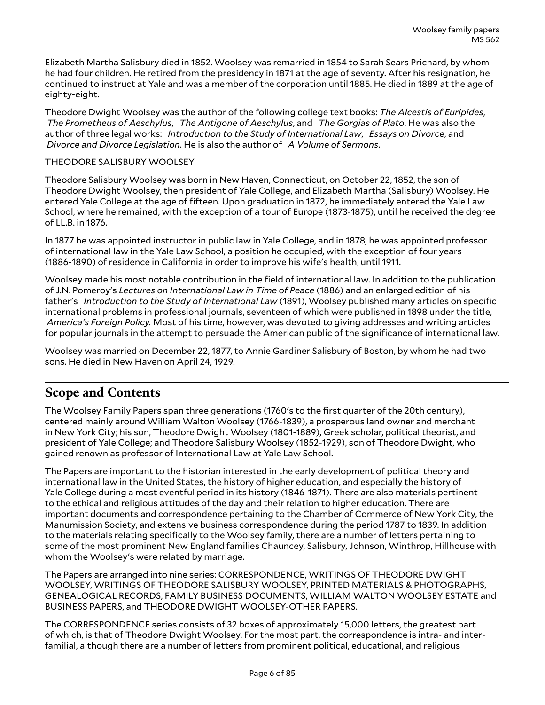Elizabeth Martha Salisbury died in 1852. Woolsey was remarried in 1854 to Sarah Sears Prichard, by whom he had four children. He retired from the presidency in 1871 at the age of seventy. After his resignation, he continued to instruct at Yale and was a member of the corporation until 1885. He died in 1889 at the age of eighty-eight.

Theodore Dwight Woolsey was the author of the following college text books: *The Alcestis of Euripides*, *The Prometheus of Aeschylus*, *The Antigone of Aeschylus*, and *The Gorgias of Plato*. He was also the author of three legal works: *Introduction to the Study of International Law*, *Essays on Divorce*, and *Divorce and Divorce Legislation*. He is also the author of *A Volume of Sermons*.

### THEODORE SALISBURY WOOLSEY

Theodore Salisbury Woolsey was born in New Haven, Connecticut, on October 22, 1852, the son of Theodore Dwight Woolsey, then president of Yale College, and Elizabeth Martha (Salisbury) Woolsey. He entered Yale College at the age of fifteen. Upon graduation in 1872, he immediately entered the Yale Law School, where he remained, with the exception of a tour of Europe (1873-1875), until he received the degree of LL.B. in 1876.

In 1877 he was appointed instructor in public law in Yale College, and in 1878, he was appointed professor of international law in the Yale Law School, a position he occupied, with the exception of four years (1886-1890) of residence in California in order to improve his wife's health, until 1911.

Woolsey made his most notable contribution in the field of international law. In addition to the publication of J.N. Pomeroy's *Lectures on International Law in Time of Peace* (1886) and an enlarged edition of his father's *Introduction to the Study of International Law* (1891), Woolsey published many articles on specific international problems in professional journals, seventeen of which were published in 1898 under the title, *America's Foreign Policy.* Most of his time, however, was devoted to giving addresses and writing articles for popular journals in the attempt to persuade the American public of the significance of international law.

Woolsey was married on December 22, 1877, to Annie Gardiner Salisbury of Boston, by whom he had two sons. He died in New Haven on April 24, 1929.

## <span id="page-5-0"></span>**Scope and Contents**

The Woolsey Family Papers span three generations (1760's to the first quarter of the 20th century), centered mainly around William Walton Woolsey (1766-1839), a prosperous land owner and merchant in New York City; his son, Theodore Dwight Woolsey (1801-1889), Greek scholar, political theorist, and president of Yale College; and Theodore Salisbury Woolsey (1852-1929), son of Theodore Dwight, who gained renown as professor of International Law at Yale Law School.

The Papers are important to the historian interested in the early development of political theory and international law in the United States, the history of higher education, and especially the history of Yale College during a most eventful period in its history (1846-1871). There are also materials pertinent to the ethical and religious attitudes of the day and their relation to higher education. There are important documents and correspondence pertaining to the Chamber of Commerce of New York City, the Manumission Society, and extensive business correspondence during the period 1787 to 1839. In addition to the materials relating specifically to the Woolsey family, there are a number of letters pertaining to some of the most prominent New England families Chauncey, Salisbury, Johnson, Winthrop, Hillhouse with whom the Woolsey's were related by marriage.

The Papers are arranged into nine series: CORRESPONDENCE, WRITINGS OF THEODORE DWIGHT WOOLSEY, WRITINGS OF THEODORE SALISBURY WOOLSEY, PRINTED MATERIALS & PHOTOGRAPHS, GENEALOGICAL RECORDS, FAMILY BUSINESS DOCUMENTS, WILLIAM WALTON WOOLSEY ESTATE and BUSINESS PAPERS, and THEODORE DWIGHT WOOLSEY-OTHER PAPERS.

The CORRESPONDENCE series consists of 32 boxes of approximately 15,000 letters, the greatest part of which, is that of Theodore Dwight Woolsey. For the most part, the correspondence is intra- and interfamilial, although there are a number of letters from prominent political, educational, and religious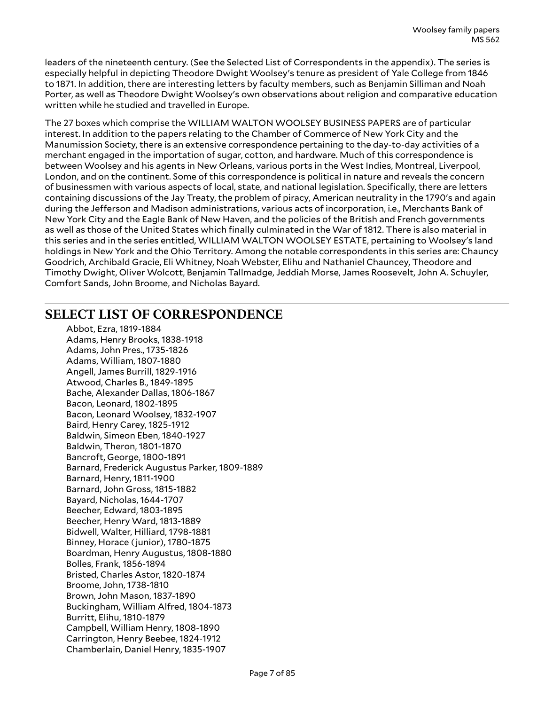leaders of the nineteenth century. (See the Selected List of Correspondents in the appendix). The series is especially helpful in depicting Theodore Dwight Woolsey's tenure as president of Yale College from 1846 to 1871. In addition, there are interesting letters by faculty members, such as Benjamin Silliman and Noah Porter, as well as Theodore Dwight Woolsey's own observations about religion and comparative education written while he studied and travelled in Europe.

The 27 boxes which comprise the WILLIAM WALTON WOOLSEY BUSINESS PAPERS are of particular interest. In addition to the papers relating to the Chamber of Commerce of New York City and the Manumission Society, there is an extensive correspondence pertaining to the day-to-day activities of a merchant engaged in the importation of sugar, cotton, and hardware. Much of this correspondence is between Woolsey and his agents in New Orleans, various ports in the West Indies, Montreal, Liverpool, London, and on the continent. Some of this correspondence is political in nature and reveals the concern of businessmen with various aspects of local, state, and national legislation. Specifically, there are letters containing discussions of the Jay Treaty, the problem of piracy, American neutrality in the 1790's and again during the Jefferson and Madison administrations, various acts of incorporation, i.e., Merchants Bank of New York City and the Eagle Bank of New Haven, and the policies of the British and French governments as well as those of the United States which finally culminated in the War of 1812. There is also material in this series and in the series entitled, WILLIAM WALTON WOOLSEY ESTATE, pertaining to Woolsey's land holdings in New York and the Ohio Territory. Among the notable correspondents in this series are: Chauncy Goodrich, Archibald Gracie, Eli Whitney, Noah Webster, Elihu and Nathaniel Chauncey, Theodore and Timothy Dwight, Oliver Wolcott, Benjamin Tallmadge, Jeddiah Morse, James Roosevelt, John A. Schuyler, Comfort Sands, John Broome, and Nicholas Bayard.

## <span id="page-6-0"></span>**SELECT LIST OF CORRESPONDENCE**

Abbot, Ezra, 1819-1884 Adams, Henry Brooks, 1838-1918 Adams, John Pres., 1735-1826 Adams, William, 1807-1880 Angell, James Burrill, 1829-1916 Atwood, Charles B., 1849-1895 Bache, Alexander Dallas, 1806-1867 Bacon, Leonard, 1802-1895 Bacon, Leonard Woolsey, 1832-1907 Baird, Henry Carey, 1825-1912 Baldwin, Simeon Eben, 1840-1927 Baldwin, Theron, 1801-1870 Bancroft, George, 1800-1891 Barnard, Frederick Augustus Parker, 1809-1889 Barnard, Henry, 1811-1900 Barnard, John Gross, 1815-1882 Bayard, Nicholas, 1644-1707 Beecher, Edward, 1803-1895 Beecher, Henry Ward, 1813-1889 Bidwell, Walter, Hilliard, 1798-1881 Binney, Horace (junior), 1780-1875 Boardman, Henry Augustus, 1808-1880 Bolles, Frank, 1856-1894 Bristed, Charles Astor, 1820-1874 Broome, John, 1738-1810 Brown, John Mason, 1837-1890 Buckingham, William Alfred, 1804-1873 Burritt, Elihu, 1810-1879 Campbell, William Henry, 1808-1890 Carrington, Henry Beebee, 1824-1912 Chamberlain, Daniel Henry, 1835-1907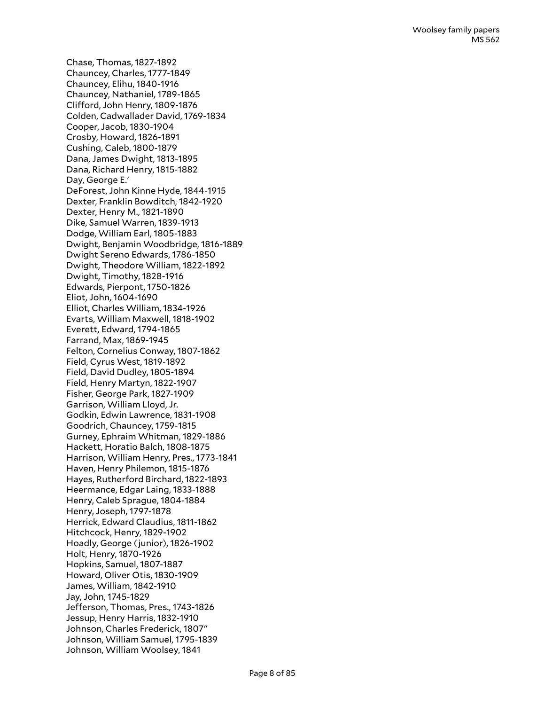Chase, Thomas, 1827-1892 Chauncey, Charles, 1777-1849 Chauncey, Elihu, 1840-1916 Chauncey, Nathaniel, 1789-1865 Clifford, John Henry, 1809-1876 Colden, Cadwallader David, 1769-1834 Cooper, Jacob, 1830-1904 Crosby, Howard, 1826-1891 Cushing, Caleb, 1800-1879 Dana, James Dwight, 1813-1895 Dana, Richard Henry, 1815-1882 Day, George E.' DeForest, John Kinne Hyde, 1844-1915 Dexter, Franklin Bowditch, 1842-1920 Dexter, Henry M., 1821-1890 Dike, Samuel Warren, 1839-1913 Dodge, William Earl, 1805-1883 Dwight, Benjamin Woodbridge, 1816-1889 Dwight Sereno Edwards, 1786-1850 Dwight, Theodore William, 1822-1892 Dwight, Timothy, 1828-1916 Edwards, Pierpont, 1750-1826 Eliot, John, 1604-1690 Elliot, Charles William, 1834-1926 Evarts, William Maxwell, 1818-1902 Everett, Edward, 1794-1865 Farrand, Max, 1869-1945 Felton, Cornelius Conway, 1807-1862 Field, Cyrus West, 1819-1892 Field, David Dudley, 1805-1894 Field, Henry Martyn, 1822-1907 Fisher, George Park, 1827-1909 Garrison, William Lloyd, Jr. Godkin, Edwin Lawrence, 1831-1908 Goodrich, Chauncey, 1759-1815 Gurney, Ephraim Whitman, 1829-1886 Hackett, Horatio Balch, 1808-1875 Harrison, William Henry, Pres., 1773-1841 Haven, Henry Philemon, 1815-1876 Hayes, Rutherford Birchard, 1822-1893 Heermance, Edgar Laing, 1833-1888 Henry, Caleb Sprague, 1804-1884 Henry, Joseph, 1797-1878 Herrick, Edward Claudius, 1811-1862 Hitchcock, Henry, 1829-1902 Hoadly, George (junior), 1826-1902 Holt, Henry, 1870-1926 Hopkins, Samuel, 1807-1887 Howard, Oliver Otis, 1830-1909 James, William, 1842-1910 Jay, John, 1745-1829 Jefferson, Thomas, Pres., 1743-1826 Jessup, Henry Harris, 1832-1910 Johnson, Charles Frederick, 1807″ Johnson, William Samuel, 1795-1839 Johnson, William Woolsey, 1841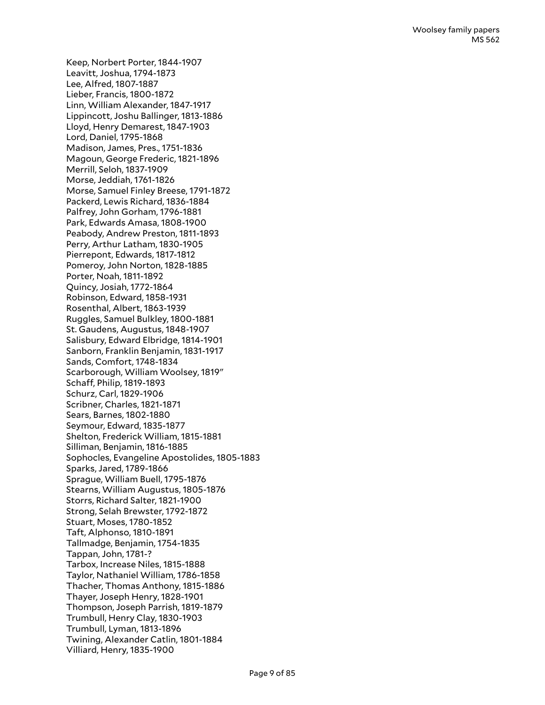Keep, Norbert Porter, 1844-1907 Leavitt, Joshua, 1794-1873 Lee, Alfred, 1807-1887 Lieber, Francis, 1800-1872 Linn, William Alexander, 1847-1917 Lippincott, Joshu Ballinger, 1813-1886 Lloyd, Henry Demarest, 1847-1903 Lord, Daniel, 1795-1868 Madison, James, Pres., 1751-1836 Magoun, George Frederic, 1821-1896 Merrill, Seloh, 1837-1909 Morse, Jeddiah, 1761-1826 Morse, Samuel Finley Breese, 1791-1872 Packerd, Lewis Richard, 1836-1884 Palfrey, John Gorham, 1796-1881 Park, Edwards Amasa, 1808-1900 Peabody, Andrew Preston, 1811-1893 Perry, Arthur Latham, 1830-1905 Pierrepont, Edwards, 1817-1812 Pomeroy, John Norton, 1828-1885 Porter, Noah, 1811-1892 Quincy, Josiah, 1772-1864 Robinson, Edward, 1858-1931 Rosenthal, Albert, 1863-1939 Ruggles, Samuel Bulkley, 1800-1881 St. Gaudens, Augustus, 1848-1907 Salisbury, Edward Elbridge, 1814-1901 Sanborn, Franklin Benjamin, 1831-1917 Sands, Comfort, 1748-1834 Scarborough, William Woolsey, 1819" Schaff, Philip, 1819-1893 Schurz, Carl, 1829-1906 Scribner, Charles, 1821-1871 Sears, Barnes, 1802-1880 Seymour, Edward, 1835-1877 Shelton, Frederick William, 1815-1881 Silliman, Benjamin, 1816-1885 Sophocles, Evangeline Apostolides, 1805-1883 Sparks, Jared, 1789-1866 Sprague, William Buell, 1795-1876 Stearns, William Augustus, 1805-1876 Storrs, Richard Salter, 1821-1900 Strong, Selah Brewster, 1792-1872 Stuart, Moses, 1780-1852 Taft, Alphonso, 1810-1891 Tallmadge, Benjamin, 1754-1835 Tappan, John, 1781-? Tarbox, Increase Niles, 1815-1888 Taylor, Nathaniel William, 1786-1858 Thacher, Thomas Anthony, 1815-1886 Thayer, Joseph Henry, 1828-1901 Thompson, Joseph Parrish, 1819-1879 Trumbull, Henry Clay, 1830-1903 Trumbull, Lyman, 1813-1896 Twining, Alexander Catlin, 1801-1884 Villiard, Henry, 1835-1900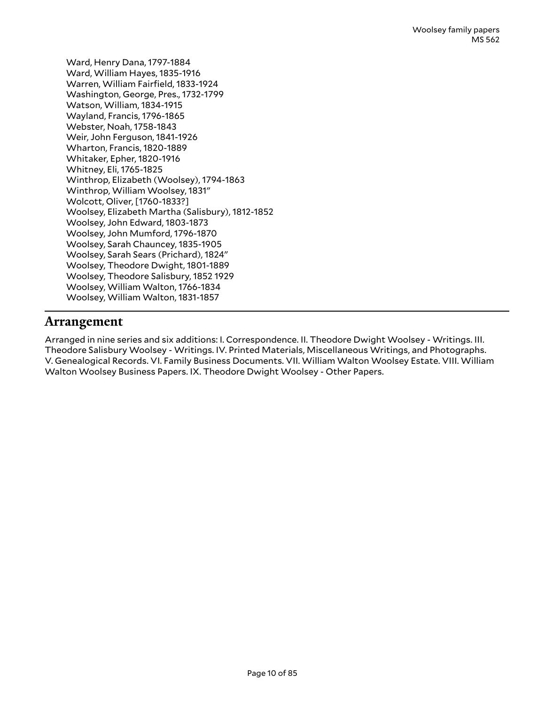Ward, Henry Dana, 1797-1884 Ward, William Hayes, 1835-1916 Warren, William Fairfield, 1833-1924 Washington, George, Pres., 1732-1799 Watson, William, 1834-1915 Wayland, Francis, 1796-1865 Webster, Noah, 1758-1843 Weir, John Ferguson, 1841-1926 Wharton, Francis, 1820-1889 Whitaker, Epher, 1820-1916 Whitney, Eli, 1765-1825 Winthrop, Elizabeth (Woolsey), 1794-1863 Winthrop, William Woolsey, 1831" Wolcott, Oliver, [1760-1833?] Woolsey, Elizabeth Martha (Salisbury), 1812-1852 Woolsey, John Edward, 1803-1873 Woolsey, John Mumford, 1796-1870 Woolsey, Sarah Chauncey, 1835-1905 Woolsey, Sarah Sears (Prichard), 1824" Woolsey, Theodore Dwight, 1801-1889 Woolsey, Theodore Salisbury, 1852 1929 Woolsey, William Walton, 1766-1834 Woolsey, William Walton, 1831-1857

## <span id="page-9-0"></span>**Arrangement**

Arranged in nine series and six additions: I. Correspondence. II. Theodore Dwight Woolsey - Writings. III. Theodore Salisbury Woolsey - Writings. IV. Printed Materials, Miscellaneous Writings, and Photographs. V. Genealogical Records. VI. Family Business Documents. VII. William Walton Woolsey Estate. VIII. William Walton Woolsey Business Papers. IX. Theodore Dwight Woolsey - Other Papers.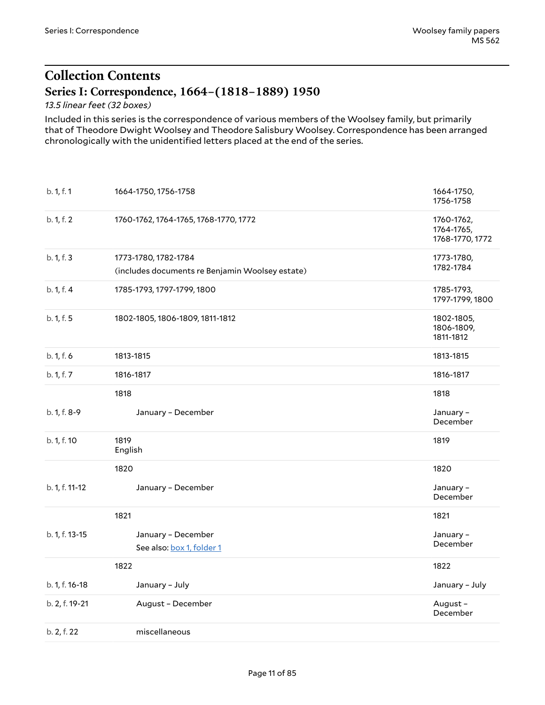## <span id="page-10-0"></span>**Collection Contents Series I: Correspondence, 1664–(1818–1889) 1950**

<span id="page-10-1"></span>*13.5 linear feet (32 boxes)*

Included in this series is the correspondence of various members of the Woolsey family, but primarily that of Theodore Dwight Woolsey and Theodore Salisbury Woolsey. Correspondence has been arranged chronologically with the unidentified letters placed at the end of the series.

<span id="page-10-2"></span>

| b. 1, f. 1     | 1664-1750, 1756-1758                                                    | 1664-1750,<br>1756-1758                     |
|----------------|-------------------------------------------------------------------------|---------------------------------------------|
| b. 1, f. 2     | 1760-1762, 1764-1765, 1768-1770, 1772                                   | 1760-1762,<br>1764-1765,<br>1768-1770, 1772 |
| b. 1, f. 3     | 1773-1780, 1782-1784<br>(includes documents re Benjamin Woolsey estate) | 1773-1780,<br>1782-1784                     |
| b. 1, f. 4     | 1785-1793, 1797-1799, 1800                                              | 1785-1793,<br>1797-1799, 1800               |
| b. 1, f. 5     | 1802-1805, 1806-1809, 1811-1812                                         | 1802-1805,<br>1806-1809,<br>1811-1812       |
| b. 1, f. 6     | 1813-1815                                                               | 1813-1815                                   |
| b. 1, f. 7     | 1816-1817                                                               | 1816-1817                                   |
|                | 1818                                                                    | 1818                                        |
| b. 1, f. 8-9   | January - December                                                      | January -<br>December                       |
| b. 1, f. 10    | 1819<br>English                                                         | 1819                                        |
|                | 1820                                                                    | 1820                                        |
| b. 1, f. 11-12 | January - December                                                      | January-<br>December                        |
|                | 1821                                                                    | 1821                                        |
| b. 1, f. 13-15 | January - December<br>See also: box 1, folder 1                         | January-<br>December                        |
|                | 1822                                                                    | 1822                                        |
| b. 1, f. 16-18 | January - July                                                          | January - July                              |
| b. 2, f. 19-21 | August - December                                                       | August-<br>December                         |
| b. 2, f. 22    | miscellaneous                                                           |                                             |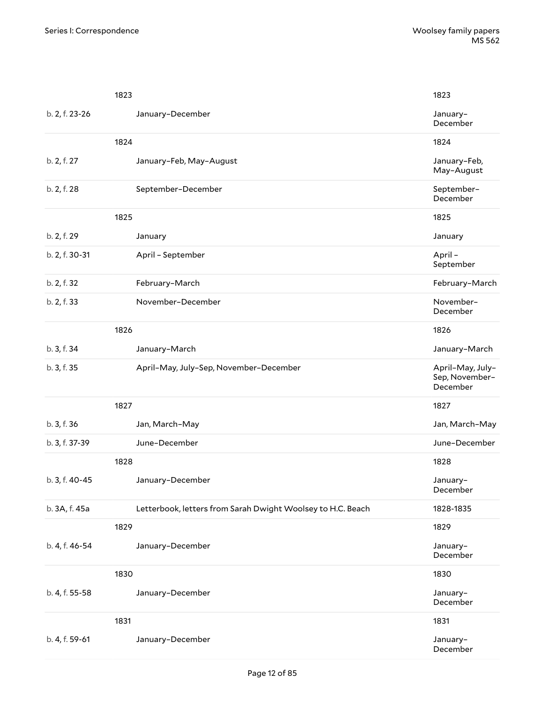|                | 1823                                                        | 1823                                           |
|----------------|-------------------------------------------------------------|------------------------------------------------|
| b. 2, f. 23-26 | January-December                                            | January-<br>December                           |
|                | 1824                                                        | 1824                                           |
| b. 2, f. 27    | January-Feb, May-August                                     | January-Feb,<br>May-August                     |
| b. 2, f. 28    | September-December                                          | September-<br>December                         |
|                | 1825                                                        | 1825                                           |
| b. 2, f. 29    | January                                                     | January                                        |
| b. 2, f. 30-31 | April - September                                           | April-<br>September                            |
| b. 2, f. 32    | February-March                                              | February-March                                 |
| b. 2, f. 33    | November-December                                           | November-<br>December                          |
|                | 1826                                                        | 1826                                           |
| b. 3, f. 34    | January-March                                               | January-March                                  |
| b. 3, f. 35    | April-May, July-Sep, November-December                      | April-May, July-<br>Sep, November-<br>December |
|                | 1827                                                        | 1827                                           |
| b. 3, f. 36    | Jan, March-May                                              | Jan, March-May                                 |
| b. 3, f. 37-39 | June-December                                               | June-December                                  |
|                | 1828                                                        | 1828                                           |
| b. 3, f. 40-45 | January-December                                            | January-<br>December                           |
| b. 3A, f. 45a  | Letterbook, letters from Sarah Dwight Woolsey to H.C. Beach | 1828-1835                                      |
|                | 1829                                                        | 1829                                           |
| b. 4, f. 46-54 | January-December                                            | January-<br>December                           |
|                | 1830                                                        | 1830                                           |
| b. 4, f. 55-58 | January-December                                            | January-<br>December                           |
|                | 1831                                                        | 1831                                           |
| b. 4, f. 59-61 | January-December                                            | January-<br>December                           |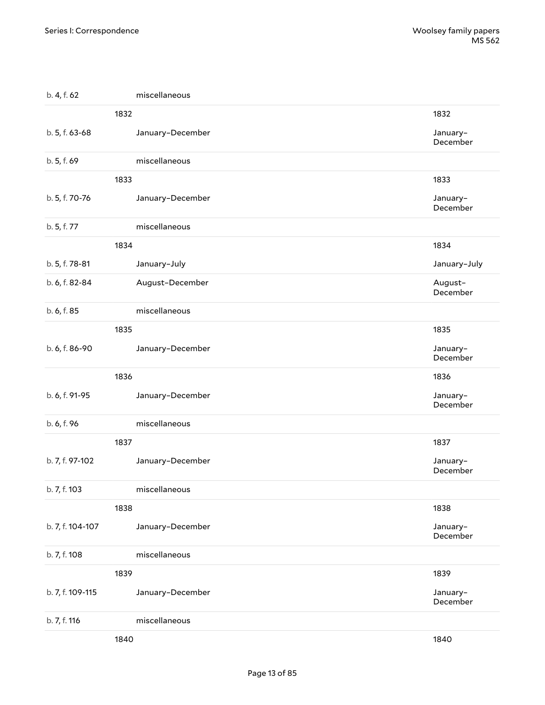| b. 4, f. 62      | miscellaneous    |                      |
|------------------|------------------|----------------------|
|                  | 1832             | 1832                 |
| b. 5, f. 63-68   | January-December | January-<br>December |
| b. 5, f. 69      | miscellaneous    |                      |
|                  | 1833             | 1833                 |
| b. 5, f. 70-76   | January-December | January-<br>December |
| b. 5, f. 77      | miscellaneous    |                      |
|                  | 1834             | 1834                 |
| b. 5, f. 78-81   | January-July     | January-July         |
| b. 6, f. 82-84   | August-December  | August-<br>December  |
| b. 6, f. 85      | miscellaneous    |                      |
|                  | 1835             | 1835                 |
| b. 6, f. 86-90   | January-December | January-<br>December |
|                  | 1836             | 1836                 |
| b. 6, f. 91-95   | January-December | January-<br>December |
| b. 6, f. 96      | miscellaneous    |                      |
|                  | 1837             | 1837                 |
| b. 7, f. 97-102  | January-December | January-<br>December |
| b. 7, f. 103     | miscellaneous    |                      |
|                  | 1838             | 1838                 |
| b. 7, f. 104-107 | January-December | January-<br>December |
| b. 7, f. 108     | miscellaneous    |                      |
|                  | 1839             | 1839                 |
| b. 7, f. 109-115 | January-December | January-<br>December |
| b. 7, f. 116     | miscellaneous    |                      |
|                  | 1840             | 1840                 |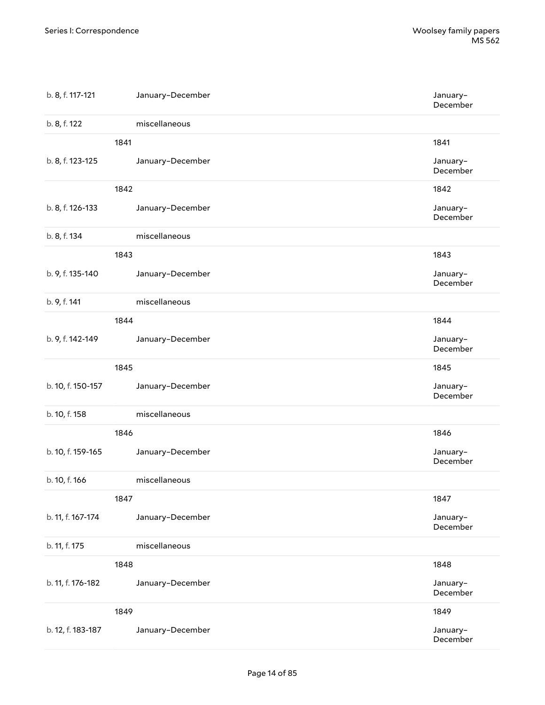| b. 8, f. 117-121  | January-December | January-<br>December |
|-------------------|------------------|----------------------|
| b. 8, f. 122      | miscellaneous    |                      |
|                   | 1841             | 1841                 |
| b. 8, f. 123-125  | January-December | January-<br>December |
|                   | 1842             | 1842                 |
| b. 8, f. 126-133  | January-December | January-<br>December |
| b. 8, f. 134      | miscellaneous    |                      |
|                   | 1843             | 1843                 |
| b. 9, f. 135-140  | January-December | January-<br>December |
| b. 9, f. 141      | miscellaneous    |                      |
|                   | 1844             | 1844                 |
| b. 9, f. 142-149  | January-December | January-<br>December |
|                   | 1845             | 1845                 |
| b. 10, f. 150-157 | January-December | January-<br>December |
| b. 10, f. 158     | miscellaneous    |                      |
|                   | 1846             | 1846                 |
| b. 10, f. 159-165 | January-December | January-<br>December |
| b. 10, f. 166     | miscellaneous    |                      |
|                   | 1847             | 1847                 |
| b. 11, f. 167-174 | January-December | January-<br>December |
| b. 11, f. 175     | miscellaneous    |                      |
|                   | 1848             | 1848                 |
| b. 11, f. 176-182 | January-December | January-<br>December |
|                   | 1849             | 1849                 |
| b. 12, f. 183-187 | January-December | January-<br>December |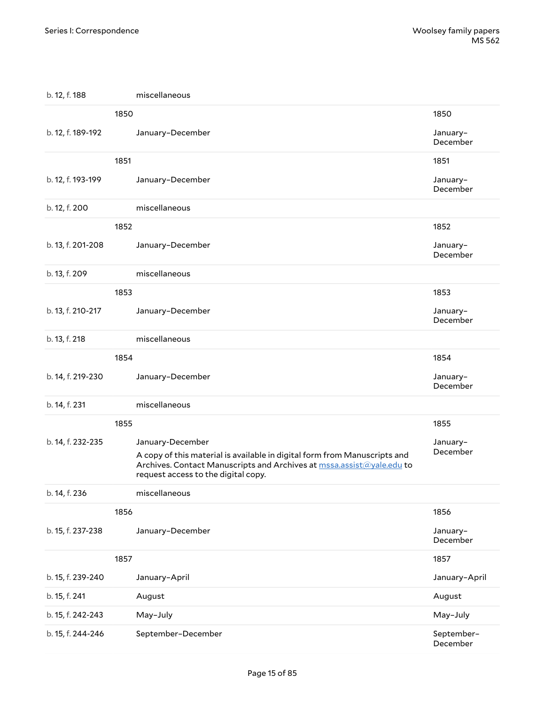| b. 12, f. 188     | miscellaneous                                                                                                                                                                             |                        |
|-------------------|-------------------------------------------------------------------------------------------------------------------------------------------------------------------------------------------|------------------------|
|                   | 1850                                                                                                                                                                                      | 1850                   |
| b. 12, f. 189-192 | January-December                                                                                                                                                                          | January-<br>December   |
|                   | 1851                                                                                                                                                                                      | 1851                   |
| b. 12, f. 193-199 | January-December                                                                                                                                                                          | January-<br>December   |
| b. 12, f. 200     | miscellaneous                                                                                                                                                                             |                        |
|                   | 1852                                                                                                                                                                                      | 1852                   |
| b. 13, f. 201-208 | January-December                                                                                                                                                                          | January-<br>December   |
| b. 13, f. 209     | miscellaneous                                                                                                                                                                             |                        |
|                   | 1853                                                                                                                                                                                      | 1853                   |
| b. 13, f. 210-217 | January-December                                                                                                                                                                          | January-<br>December   |
| b. 13, f. 218     | miscellaneous                                                                                                                                                                             |                        |
|                   | 1854                                                                                                                                                                                      | 1854                   |
| b. 14, f. 219-230 | January-December                                                                                                                                                                          | January-<br>December   |
| b. 14, f. 231     | miscellaneous                                                                                                                                                                             |                        |
|                   | 1855                                                                                                                                                                                      | 1855                   |
| b. 14, f. 232-235 | January-December                                                                                                                                                                          | January-               |
|                   | A copy of this material is available in digital form from Manuscripts and<br>Archives. Contact Manuscripts and Archives at mssa.assist@yale.edu to<br>request access to the digital copy. | December               |
| b. 14, f. 236     | miscellaneous                                                                                                                                                                             |                        |
|                   | 1856                                                                                                                                                                                      | 1856                   |
| b. 15, f. 237-238 | January-December                                                                                                                                                                          | January-<br>December   |
|                   | 1857                                                                                                                                                                                      | 1857                   |
| b. 15, f. 239-240 | January-April                                                                                                                                                                             | January-April          |
| b. 15, f. 241     | August                                                                                                                                                                                    | August                 |
| b. 15, f. 242-243 | May-July                                                                                                                                                                                  | May-July               |
| b. 15, f. 244-246 | September-December                                                                                                                                                                        | September-<br>December |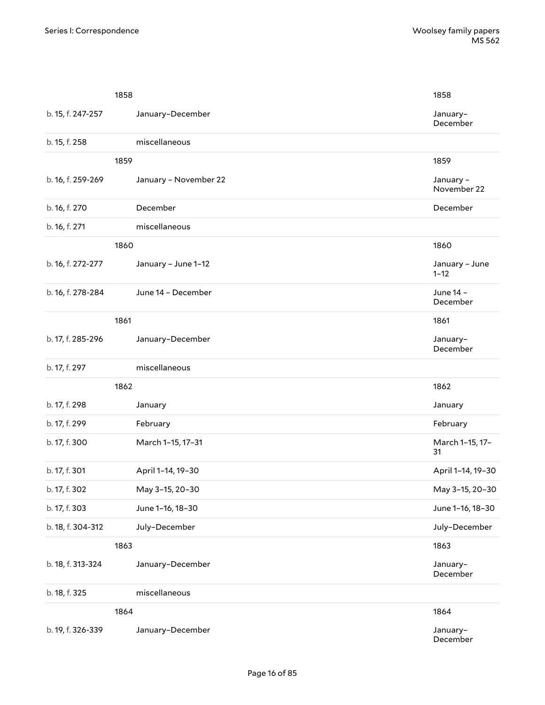|                   | 1858                  | 1858                       |
|-------------------|-----------------------|----------------------------|
| b. 15, f. 247-257 | January-December      | January-<br>December       |
| b. 15, f. 258     | miscellaneous         |                            |
|                   | 1859                  | 1859                       |
| b. 16, f. 259-269 | January - November 22 | January -<br>November 22   |
| b. 16, f. 270     | December              | December                   |
| b. 16, f. 271     | miscellaneous         |                            |
|                   | 1860                  | 1860                       |
| b. 16, f. 272-277 | January - June 1-12   | January - June<br>$1 - 12$ |
| b. 16, f. 278-284 | June 14 - December    | June 14 -<br>December      |
|                   | 1861                  | 1861                       |
| b. 17, f. 285-296 | January-December      | January-<br>December       |
| b. 17, f. 297     | miscellaneous         |                            |
|                   | 1862                  | 1862                       |
| b. 17, f. 298     | January               | January                    |
| b. 17, f. 299     | February              | February                   |
| b. 17, f. 300     | March 1-15, 17-31     | March 1-15, 17-<br>31      |
| b. 17, f. 301     | April 1-14, 19-30     | April 1-14, 19-30          |
| b. 17, f. 302     | May 3-15, 20-30       | May 3-15, 20-30            |
| b. 17, f. 303     | June 1-16, 18-30      | June 1-16, 18-30           |
| b. 18, f. 304-312 | July-December         | July-December              |
|                   | 1863                  | 1863                       |
| b. 18, f. 313-324 | January-December      | January-<br>December       |
| b. 18, f. 325     | miscellaneous         |                            |
|                   | 1864                  | 1864                       |
| b. 19, f. 326-339 | January-December      | January-<br>December       |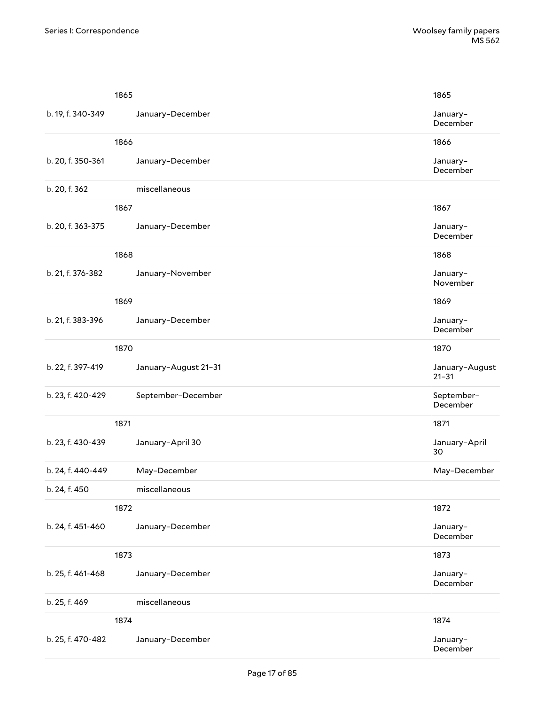|                   | 1865                 | 1865                        |
|-------------------|----------------------|-----------------------------|
| b. 19, f. 340-349 | January-December     | January-<br>December        |
|                   | 1866                 | 1866                        |
| b. 20, f. 350-361 | January-December     | January-<br>December        |
| b. 20, f. 362     | miscellaneous        |                             |
|                   | 1867                 | 1867                        |
| b. 20, f. 363-375 | January-December     | January-<br>December        |
|                   | 1868                 | 1868                        |
| b. 21, f. 376-382 | January-November     | January-<br>November        |
|                   | 1869                 | 1869                        |
| b. 21, f. 383-396 | January-December     | January-<br>December        |
|                   | 1870                 | 1870                        |
| b. 22, f. 397-419 | January-August 21-31 | January-August<br>$21 - 31$ |
| b. 23, f. 420-429 | September-December   | September-<br>December      |
|                   | 1871                 | 1871                        |
| b. 23, f. 430-439 | January-April 30     | January-April<br>30         |
| b. 24, f. 440-449 | May-December         | May-December                |
| b. 24, f. 450     | miscellaneous        |                             |
|                   | 1872                 | 1872                        |
| b. 24, f. 451-460 | January-December     | January-<br>December        |
|                   | 1873                 | 1873                        |
| b. 25, f. 461-468 | January-December     | January-<br>December        |
| b. 25, f. 469     | miscellaneous        |                             |
|                   | 1874                 | 1874                        |
| b. 25, f. 470-482 | January-December     | January-<br>December        |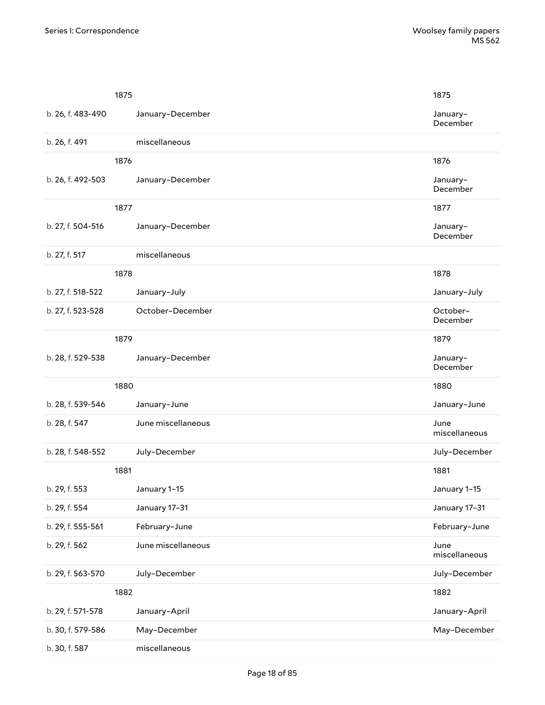|                   | 1875               | 1875                  |  |
|-------------------|--------------------|-----------------------|--|
| b. 26, f. 483-490 | January-December   | January-<br>December  |  |
| b. 26, f. 491     | miscellaneous      |                       |  |
|                   | 1876               | 1876                  |  |
| b. 26, f. 492-503 | January-December   | January-<br>December  |  |
|                   | 1877               | 1877                  |  |
| b. 27, f. 504-516 | January-December   | January-<br>December  |  |
| b. 27, f. 517     | miscellaneous      |                       |  |
|                   | 1878               | 1878                  |  |
| b. 27, f. 518-522 | January-July       | January-July          |  |
| b. 27, f. 523-528 | October-December   | October-<br>December  |  |
|                   | 1879               | 1879                  |  |
| b. 28, f. 529-538 | January-December   | January-<br>December  |  |
|                   | 1880               | 1880                  |  |
| b. 28, f. 539-546 | January-June       | January-June          |  |
| b. 28, f. 547     | June miscellaneous | June<br>miscellaneous |  |
| b. 28, f. 548-552 | July-December      | July-December         |  |
|                   | 1881               | 1881                  |  |
| b. 29, f. 553     | January 1-15       | January 1-15          |  |
| b. 29, f. 554     | January 17-31      | January 17-31         |  |
| b. 29, f. 555-561 | February-June      | February-June         |  |
| b. 29, f. 562     | June miscellaneous | June<br>miscellaneous |  |
| b. 29, f. 563-570 | July-December      | July-December         |  |
|                   | 1882               | 1882                  |  |
| b. 29, f. 571-578 | January-April      | January-April         |  |
| b. 30, f. 579-586 | May-December       | May-December          |  |
| b. 30, f. 587     | miscellaneous      |                       |  |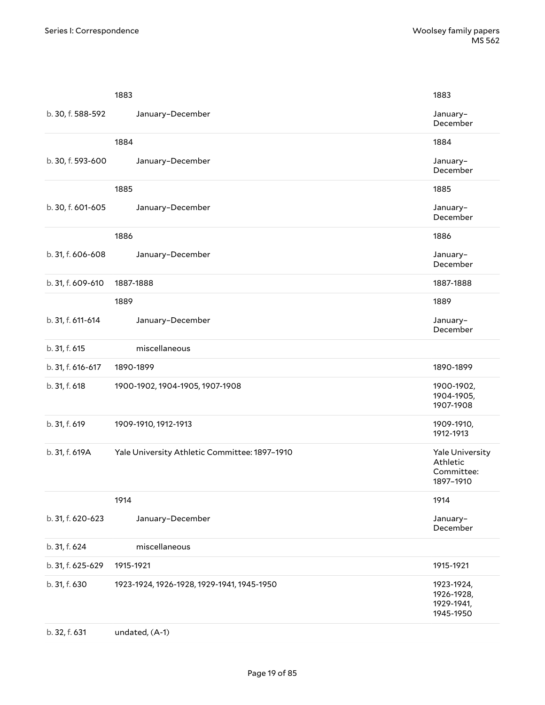|                   | 1883                                          | 1883                                                   |
|-------------------|-----------------------------------------------|--------------------------------------------------------|
| b. 30, f. 588-592 | January-December                              | January-<br>December                                   |
|                   | 1884                                          | 1884                                                   |
| b. 30, f. 593-600 | January-December                              | January-<br>December                                   |
|                   | 1885                                          | 1885                                                   |
| b. 30, f. 601-605 | January-December                              | January-<br>December                                   |
|                   | 1886                                          | 1886                                                   |
| b. 31, f. 606-608 | January-December                              | January-<br>December                                   |
| b. 31, f. 609-610 | 1887-1888                                     | 1887-1888                                              |
|                   | 1889                                          | 1889                                                   |
| b. 31, f. 611-614 | January-December                              | January-<br>December                                   |
| b. 31, f. 615     | miscellaneous                                 |                                                        |
| b. 31, f. 616-617 | 1890-1899                                     | 1890-1899                                              |
| b. 31, f. 618     | 1900-1902, 1904-1905, 1907-1908               | 1900-1902,<br>1904-1905,<br>1907-1908                  |
| b. 31, f. 619     | 1909-1910, 1912-1913                          | 1909-1910,<br>1912-1913                                |
| b. 31, f. 619A    | Yale University Athletic Committee: 1897-1910 | Yale University<br>Athletic<br>Committee:<br>1897-1910 |
|                   | 1914                                          | 1914                                                   |
| b. 31, f. 620-623 | January-December                              | January-<br>December                                   |
| b. 31, f. 624     | miscellaneous                                 |                                                        |
| b. 31, f. 625-629 | 1915-1921                                     | 1915-1921                                              |
| b. 31, f. 630     | 1923-1924, 1926-1928, 1929-1941, 1945-1950    | 1923-1924,<br>1926-1928,<br>1929-1941,<br>1945-1950    |
| b. 32, f. 631     | undated, (A-1)                                |                                                        |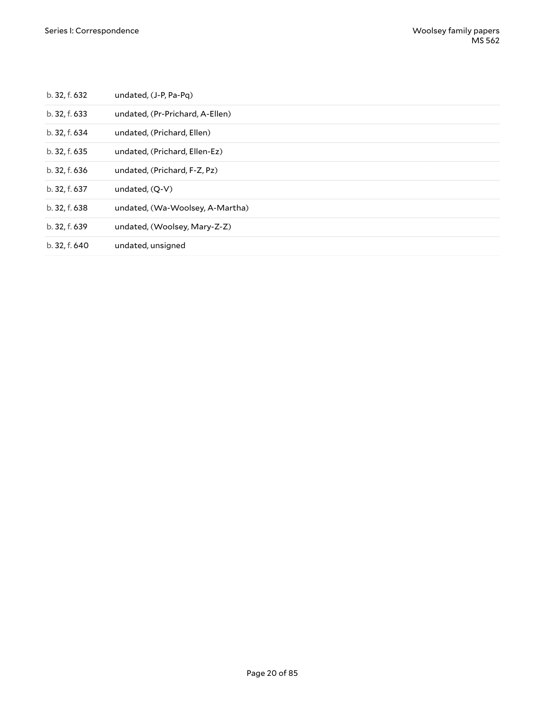| b. 32, f. 632 | undated, (J-P, Pa-Pq)           |
|---------------|---------------------------------|
| b. 32, f. 633 | undated, (Pr-Prichard, A-Ellen) |
| b. 32, f. 634 | undated, (Prichard, Ellen)      |
| b. 32, f. 635 | undated, (Prichard, Ellen-Ez)   |
| b. 32, f. 636 | undated, (Prichard, F-Z, Pz)    |
| b. 32, f. 637 | undated, (O-V)                  |
| b. 32, f. 638 | undated, (Wa-Woolsey, A-Martha) |
| b. 32, f. 639 | undated, (Woolsey, Mary-Z-Z)    |
| b. 32, f. 640 | undated, unsigned               |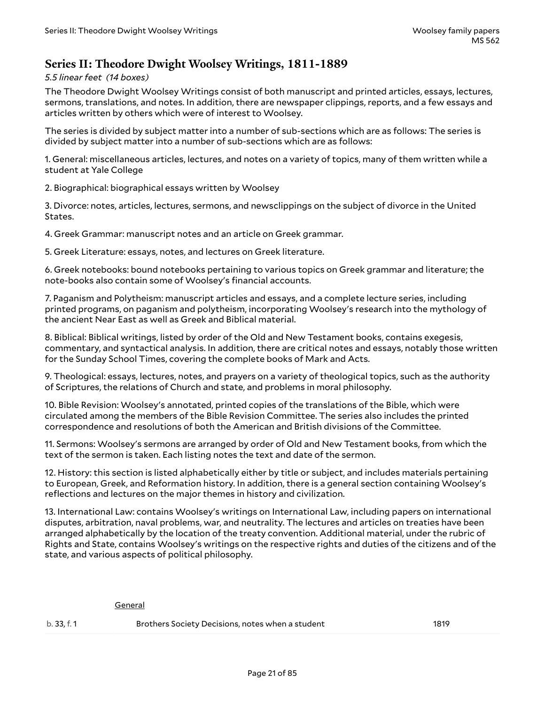### <span id="page-20-0"></span>**Series II: Theodore Dwight Woolsey Writings, 1811-1889**

*5.5 linear feet (14 boxes)*

The Theodore Dwight Woolsey Writings consist of both manuscript and printed articles, essays, lectures, sermons, translations, and notes. In addition, there are newspaper clippings, reports, and a few essays and articles written by others which were of interest to Woolsey.

The series is divided by subject matter into a number of sub-sections which are as follows: The series is divided by subject matter into a number of sub-sections which are as follows:

1. General: miscellaneous articles, lectures, and notes on a variety of topics, many of them written while a student at Yale College

2. Biographical: biographical essays written by Woolsey

3. Divorce: notes, articles, lectures, sermons, and newsclippings on the subject of divorce in the United States.

4. Greek Grammar: manuscript notes and an article on Greek grammar.

5. Greek Literature: essays, notes, and lectures on Greek literature.

6. Greek notebooks: bound notebooks pertaining to various topics on Greek grammar and literature; the note-books also contain some of Woolsey's financial accounts.

7. Paganism and Polytheism: manuscript articles and essays, and a complete lecture series, including printed programs, on paganism and polytheism, incorporating Woolsey's research into the mythology of the ancient Near East as well as Greek and Biblical material.

8. Biblical: Biblical writings, listed by order of the Old and New Testament books, contains exegesis, commentary, and syntactical analysis. In addition, there are critical notes and essays, notably those written for the Sunday School Times, covering the complete books of Mark and Acts.

9. Theological: essays, lectures, notes, and prayers on a variety of theological topics, such as the authority of Scriptures, the relations of Church and state, and problems in moral philosophy.

10. Bible Revision: Woolsey's annotated, printed copies of the translations of the Bible, which were circulated among the members of the Bible Revision Committee. The series also includes the printed correspondence and resolutions of both the American and British divisions of the Committee.

11. Sermons: Woolsey's sermons are arranged by order of Old and New Testament books, from which the text of the sermon is taken. Each listing notes the text and date of the sermon.

12. History: this section is listed alphabetically either by title or subject, and includes materials pertaining to European, Greek, and Reformation history. In addition, there is a general section containing Woolsey's reflections and lectures on the major themes in history and civilization.

13. International Law: contains Woolsey's writings on International Law, including papers on international disputes, arbitration, naval problems, war, and neutrality. The lectures and articles on treaties have been arranged alphabetically by the location of the treaty convention. Additional material, under the rubric of Rights and State, contains Woolsey's writings on the respective rights and duties of the citizens and of the state, and various aspects of political philosophy.

General

| b.33.f.1 | Brothers Society Decisions, notes when a student | 1819 |
|----------|--------------------------------------------------|------|
|----------|--------------------------------------------------|------|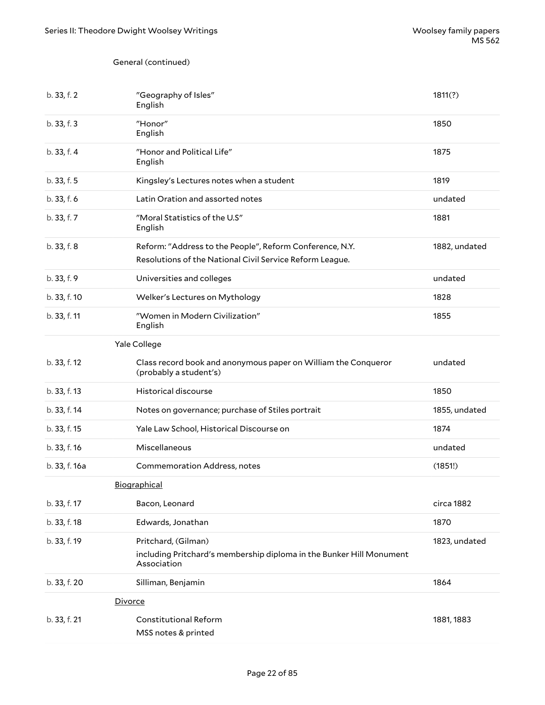### General (continued)

| b. 33, f. 2   | "Geography of Isles"<br>English                                                                                      | 1811(?)       |
|---------------|----------------------------------------------------------------------------------------------------------------------|---------------|
| b. 33, f. 3   | "Honor"<br>English                                                                                                   | 1850          |
| b. 33, f. 4   | "Honor and Political Life"<br>English                                                                                | 1875          |
| b. 33, f. 5   | Kingsley's Lectures notes when a student                                                                             | 1819          |
| b. 33, f. 6   | Latin Oration and assorted notes                                                                                     | undated       |
| b. 33, f. 7   | "Moral Statistics of the U.S"<br>English                                                                             | 1881          |
| b. 33, f. 8   | Reform: "Address to the People", Reform Conference, N.Y.<br>Resolutions of the National Civil Service Reform League. | 1882, undated |
| b. 33, f. 9   | Universities and colleges                                                                                            | undated       |
| b. 33, f. 10  | Welker's Lectures on Mythology                                                                                       | 1828          |
| b. 33, f. 11  | "Women in Modern Civilization"<br>English                                                                            | 1855          |
|               | Yale College                                                                                                         |               |
| b. 33, f. 12  | Class record book and anonymous paper on William the Conqueror<br>(probably a student's)                             | undated       |
| b. 33, f. 13  | Historical discourse                                                                                                 | 1850          |
| b. 33, f. 14  | Notes on governance; purchase of Stiles portrait                                                                     | 1855, undated |
| b. 33, f. 15  | Yale Law School, Historical Discourse on                                                                             | 1874          |
| b. 33, f. 16  | Miscellaneous                                                                                                        | undated       |
| b. 33, f. 16a | Commemoration Address, notes                                                                                         | (1851!)       |
|               | Biographical                                                                                                         |               |
| b. 33, f. 17  | Bacon, Leonard                                                                                                       | circa 1882    |
| b. 33, f. 18  | Edwards, Jonathan                                                                                                    | 1870          |
| b. 33, f. 19  | Pritchard, (Gilman)<br>including Pritchard's membership diploma in the Bunker Hill Monument<br>Association           | 1823, undated |
| b. 33, f. 20  | Silliman, Benjamin                                                                                                   | 1864          |
|               | Divorce                                                                                                              |               |
| b. 33, f. 21  | <b>Constitutional Reform</b><br>MSS notes & printed                                                                  | 1881, 1883    |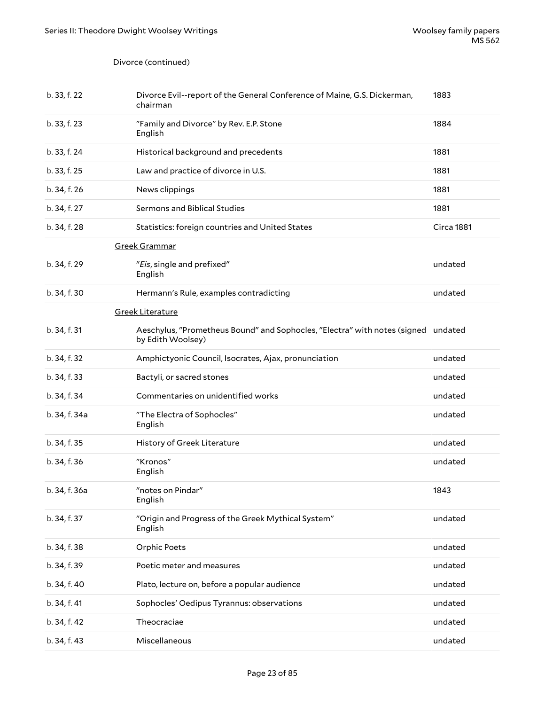#### Divorce (continued)

| b. 33, f. 22  | Divorce Evil--report of the General Conference of Maine, G.S. Dickerman,<br>chairman                   | 1883       |
|---------------|--------------------------------------------------------------------------------------------------------|------------|
| b. 33, f. 23  | "Family and Divorce" by Rev. E.P. Stone<br>English                                                     | 1884       |
| b. 33, f. 24  | Historical background and precedents                                                                   | 1881       |
| b. 33, f. 25  | Law and practice of divorce in U.S.                                                                    | 1881       |
| b. 34, f. 26  | News clippings                                                                                         | 1881       |
| b. 34, f. 27  | Sermons and Biblical Studies                                                                           | 1881       |
| b. 34, f. 28  | Statistics: foreign countries and United States                                                        | Circa 1881 |
|               | Greek Grammar                                                                                          |            |
| b. 34, f. 29  | "Eis, single and prefixed"<br>English                                                                  | undated    |
| b. 34, f. 30  | Hermann's Rule, examples contradicting                                                                 | undated    |
|               | <b>Greek Literature</b>                                                                                |            |
| b. 34, f. 31  | Aeschylus, "Prometheus Bound" and Sophocles, "Electra" with notes (signed undated<br>by Edith Woolsey) |            |
| b. 34, f. 32  | Amphictyonic Council, Isocrates, Ajax, pronunciation                                                   | undated    |
| b. 34, f. 33  | Bactyli, or sacred stones                                                                              | undated    |
| b. 34, f. 34  | Commentaries on unidentified works                                                                     | undated    |
| b. 34, f. 34a | "The Electra of Sophocles"<br>English                                                                  | undated    |
| b. 34, f. 35  | History of Greek Literature                                                                            | undated    |
| b. 34, f. 36  | "Kronos"<br>English                                                                                    | undated    |
| b. 34, f. 36a | "notes on Pindar"<br>English                                                                           | 1843       |
| b. 34, f. 37  | "Origin and Progress of the Greek Mythical System"<br>English                                          | undated    |
| b. 34, f. 38  | <b>Orphic Poets</b>                                                                                    | undated    |
| b. 34, f. 39  | Poetic meter and measures                                                                              | undated    |
| b. 34, f. 40  | Plato, lecture on, before a popular audience                                                           | undated    |
| b. 34, f. 41  | Sophocles' Oedipus Tyrannus: observations                                                              | undated    |
| b. 34, f. 42  | Theocraciae                                                                                            | undated    |
| b. 34, f. 43  | Miscellaneous                                                                                          | undated    |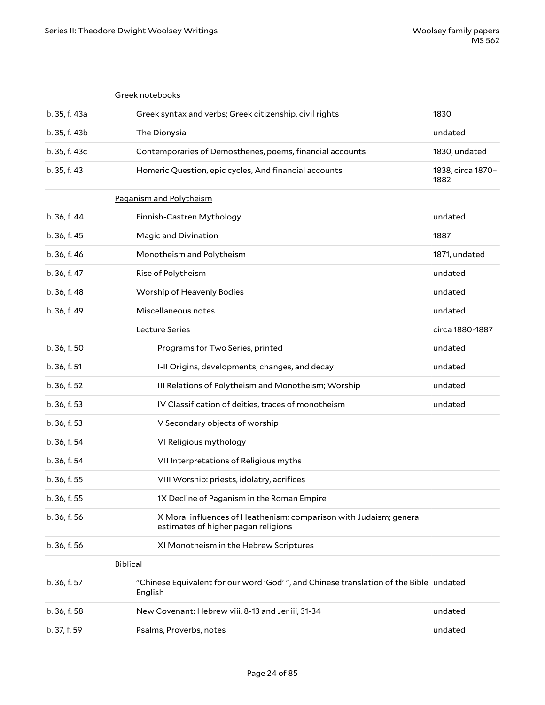|               | Greek notebooks                                                                                           |                           |
|---------------|-----------------------------------------------------------------------------------------------------------|---------------------------|
| b. 35, f. 43a | Greek syntax and verbs; Greek citizenship, civil rights                                                   | 1830                      |
| b. 35, f. 43b | The Dionysia                                                                                              | undated                   |
| b. 35, f. 43c | Contemporaries of Demosthenes, poems, financial accounts                                                  | 1830, undated             |
| b. 35, f. 43  | Homeric Question, epic cycles, And financial accounts                                                     | 1838, circa 1870-<br>1882 |
|               | Paganism and Polytheism                                                                                   |                           |
| b. 36, f. 44  | Finnish-Castren Mythology                                                                                 | undated                   |
| b. 36, f. 45  | Magic and Divination                                                                                      | 1887                      |
| b. 36, f. 46  | Monotheism and Polytheism                                                                                 | 1871, undated             |
| b. 36, f. 47  | Rise of Polytheism                                                                                        | undated                   |
| b. 36, f. 48  | Worship of Heavenly Bodies                                                                                | undated                   |
| b. 36, f. 49  | Miscellaneous notes                                                                                       | undated                   |
|               | Lecture Series                                                                                            | circa 1880-1887           |
| b. 36, f. 50  | Programs for Two Series, printed                                                                          | undated                   |
| b. 36, f. 51  | I-II Origins, developments, changes, and decay                                                            | undated                   |
| b. 36, f. 52  | III Relations of Polytheism and Monotheism; Worship                                                       | undated                   |
| b. 36, f. 53  | IV Classification of deities, traces of monotheism                                                        | undated                   |
| b. 36, f. 53  | V Secondary objects of worship                                                                            |                           |
| b. 36, f. 54  | VI Religious mythology                                                                                    |                           |
| b. 36, f. 54  | VII Interpretations of Religious myths                                                                    |                           |
| b. 36, f. 55  | VIII Worship: priests, idolatry, acrifices                                                                |                           |
| b. 36, f. 55  | 1X Decline of Paganism in the Roman Empire                                                                |                           |
| b. 36, f. 56  | X Moral influences of Heathenism; comparison with Judaism; general<br>estimates of higher pagan religions |                           |
| b. 36, f. 56  | XI Monotheism in the Hebrew Scriptures                                                                    |                           |
|               | <b>Biblical</b>                                                                                           |                           |
| b. 36, f. 57  | "Chinese Equivalent for our word 'God'", and Chinese translation of the Bible undated<br>English          |                           |
| b. 36, f. 58  | New Covenant: Hebrew viii, 8-13 and Jer iii, 31-34                                                        | undated                   |
| b. 37, f. 59  | Psalms, Proverbs, notes                                                                                   | undated                   |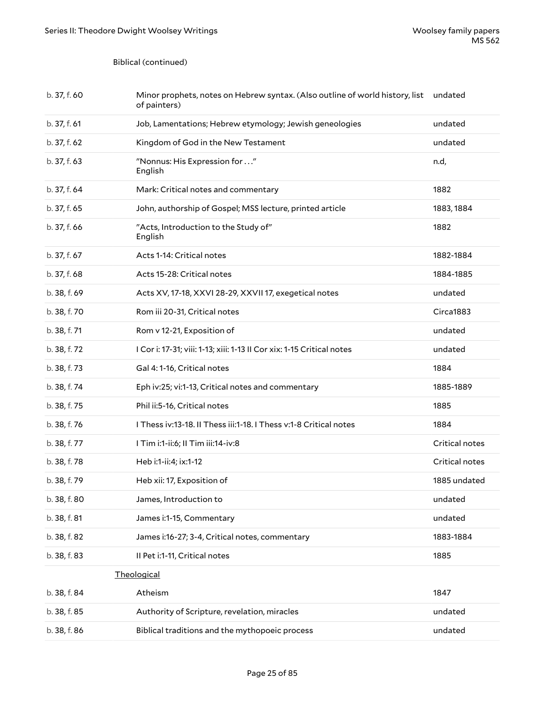#### Biblical (continued)

| b. 37, f. 60 | Minor prophets, notes on Hebrew syntax. (Also outline of world history, list<br>of painters) | undated        |
|--------------|----------------------------------------------------------------------------------------------|----------------|
| b. 37, f. 61 | Job, Lamentations; Hebrew etymology; Jewish geneologies                                      | undated        |
| b. 37, f. 62 | Kingdom of God in the New Testament                                                          | undated        |
| b. 37, f. 63 | "Nonnus: His Expression for "<br>English                                                     | n.d,           |
| b. 37, f. 64 | Mark: Critical notes and commentary                                                          | 1882           |
| b. 37, f. 65 | John, authorship of Gospel; MSS lecture, printed article                                     | 1883, 1884     |
| b. 37, f. 66 | "Acts, Introduction to the Study of"<br>English                                              | 1882           |
| b. 37, f. 67 | Acts 1-14: Critical notes                                                                    | 1882-1884      |
| b. 37, f. 68 | Acts 15-28: Critical notes                                                                   | 1884-1885      |
| b. 38, f. 69 | Acts XV, 17-18, XXVI 28-29, XXVII 17, exegetical notes                                       | undated        |
| b. 38, f. 70 | Rom iii 20-31, Critical notes                                                                | Circa1883      |
| b. 38, f. 71 | Rom v 12-21, Exposition of                                                                   | undated        |
| b. 38, f. 72 | I Cor i: 17-31; viii: 1-13; xiii: 1-13 II Cor xix: 1-15 Critical notes                       | undated        |
| b. 38, f. 73 | Gal 4: 1-16, Critical notes                                                                  | 1884           |
| b. 38, f. 74 | Eph iv:25; vi:1-13, Critical notes and commentary                                            | 1885-1889      |
| b. 38, f. 75 | Phil ii:5-16, Critical notes                                                                 | 1885           |
| b. 38, f. 76 | I Thess iv:13-18. II Thess iii:1-18. I Thess v:1-8 Critical notes                            | 1884           |
| b. 38, f. 77 | I Tim i:1-ii:6; II Tim iii:14-iv:8                                                           | Critical notes |
| b. 38, f. 78 | Heb i:1-ii:4; ix:1-12                                                                        | Critical notes |
| b. 38, f. 79 | Heb xii: 17, Exposition of                                                                   | 1885 undated   |
| b. 38, f. 80 | James, Introduction to                                                                       | undated        |
| b. 38, f. 81 | James i:1-15, Commentary                                                                     | undated        |
| b. 38, f. 82 | James i:16-27; 3-4, Critical notes, commentary                                               | 1883-1884      |
| b. 38, f. 83 | Il Pet i:1-11, Critical notes                                                                | 1885           |
|              | Theological                                                                                  |                |
| b. 38, f. 84 | Atheism                                                                                      | 1847           |
| b. 38, f. 85 | Authority of Scripture, revelation, miracles                                                 | undated        |
| b. 38, f. 86 | Biblical traditions and the mythopoeic process                                               | undated        |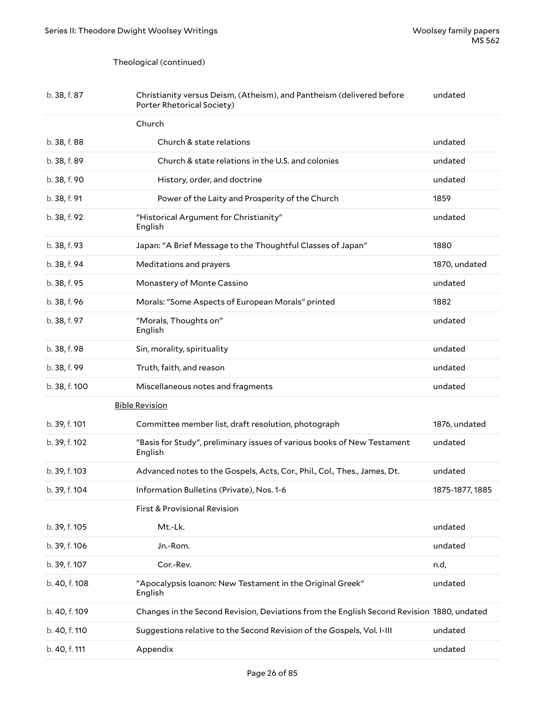### Theological (continued)

| b. 38, f. 87  | Christianity versus Deism, (Atheism), and Pantheism (delivered before<br>Porter Rhetorical Society) | undated         |
|---------------|-----------------------------------------------------------------------------------------------------|-----------------|
|               | Church                                                                                              |                 |
| b. 38, f. 88  | Church & state relations                                                                            | undated         |
| b. 38, f. 89  | Church & state relations in the U.S. and colonies                                                   | undated         |
| b. 38, f. 90  | History, order, and doctrine                                                                        | undated         |
| b. 38, f. 91  | Power of the Laity and Prosperity of the Church                                                     | 1859            |
| b. 38, f. 92  | "Historical Argument for Christianity"<br>English                                                   | undated         |
| b. 38, f. 93  | Japan: "A Brief Message to the Thoughtful Classes of Japan"                                         | 1880            |
| b. 38, f. 94  | Meditations and prayers                                                                             | 1870, undated   |
| b. 38, f. 95  | Monastery of Monte Cassino                                                                          | undated         |
| b. 38, f. 96  | Morals: "Some Aspects of European Morals" printed                                                   | 1882            |
| b. 38, f. 97  | "Morals, Thoughts on"<br>English                                                                    | undated         |
| b. 38, f. 98  | Sin, morality, spirituality                                                                         | undated         |
| b. 38, f. 99  | Truth, faith, and reason                                                                            | undated         |
| b. 38, f. 100 | Miscellaneous notes and fragments                                                                   | undated         |
|               | <b>Bible Revision</b>                                                                               |                 |
| b. 39, f. 101 | Committee member list, draft resolution, photograph                                                 | 1876, undated   |
| b. 39, f. 102 | "Basis for Study", preliminary issues of various books of New Testament<br>English                  | undated         |
| b. 39, f. 103 | Advanced notes to the Gospels, Acts, Cor., Phil., Col., Thes., James, Dt.                           | undated         |
| b. 39, f. 104 | Information Bulletins (Private), Nos. 1-6                                                           | 1875-1877, 1885 |
|               | First & Provisional Revision                                                                        |                 |
| b. 39, f. 105 | Mt.-Lk.                                                                                             | undated         |
| b. 39, f. 106 | Jn.-Rom.                                                                                            | undated         |
| b. 39, f. 107 | Cor.-Rev.                                                                                           | n.d,            |
| b. 40, f. 108 | "Apocalypsis Ioanon: New Testament in the Original Greek"<br>English                                | undated         |
| b. 40, f. 109 | Changes in the Second Revision, Deviations from the English Second Revision 1880, undated           |                 |
| b. 40, f. 110 | Suggestions relative to the Second Revision of the Gospels, Vol. I-III                              | undated         |
| b. 40, f. 111 | Appendix                                                                                            | undated         |
|               |                                                                                                     |                 |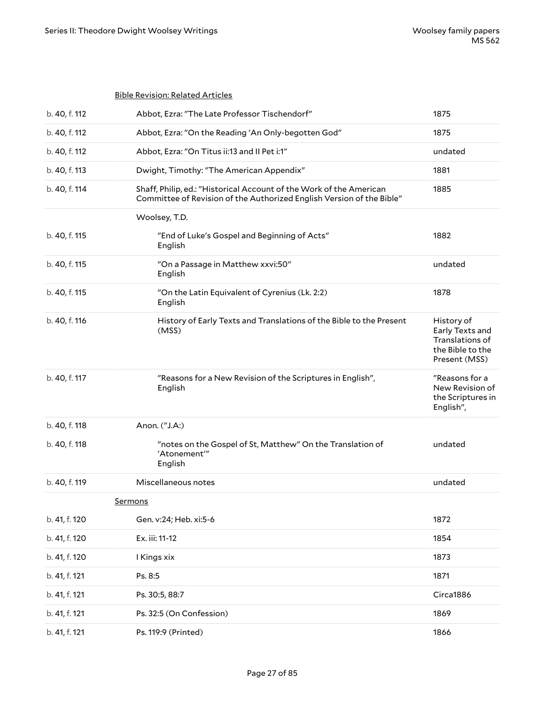|                | <b>Bible Revision: Related Articles</b>                                                                                                      |                                                                                       |
|----------------|----------------------------------------------------------------------------------------------------------------------------------------------|---------------------------------------------------------------------------------------|
| b. 40, f. 112  | Abbot, Ezra: "The Late Professor Tischendorf"                                                                                                | 1875                                                                                  |
| b. 40, f. 112  | Abbot, Ezra: "On the Reading 'An Only-begotten God"                                                                                          | 1875                                                                                  |
| b. 40, f. 112  | Abbot, Ezra: "On Titus ii:13 and II Pet i:1"                                                                                                 | undated                                                                               |
| b. 40, f. 113  | Dwight, Timothy: "The American Appendix"                                                                                                     | 1881                                                                                  |
| b. 40, f. 114  | Shaff, Philip, ed.: "Historical Account of the Work of the American<br>Committee of Revision of the Authorized English Version of the Bible" | 1885                                                                                  |
|                | Woolsey, T.D.                                                                                                                                |                                                                                       |
| b. 40, f. 115  | "End of Luke's Gospel and Beginning of Acts"<br>English                                                                                      | 1882                                                                                  |
| b. 40, f. 115  | "On a Passage in Matthew xxvi:50"<br>English                                                                                                 | undated                                                                               |
| b. 40, f. 115  | "On the Latin Equivalent of Cyrenius (Lk. 2:2)<br>English                                                                                    | 1878                                                                                  |
| b. 40, f. 116  | History of Early Texts and Translations of the Bible to the Present<br>(MSS)                                                                 | History of<br>Early Texts and<br>Translations of<br>the Bible to the<br>Present (MSS) |
| b. 40, f. 117  | "Reasons for a New Revision of the Scriptures in English",<br>English                                                                        | "Reasons for a<br>New Revision of<br>the Scriptures in<br>English",                   |
| b. 40, f. 118  | Anon. ("J.A:)                                                                                                                                |                                                                                       |
| b. 40, f. 118  | "notes on the Gospel of St, Matthew" On the Translation of<br>'Atonement'"<br>English                                                        | undated                                                                               |
| b. 40, f. 119  | Miscellaneous notes                                                                                                                          | undated                                                                               |
| <b>Sermons</b> |                                                                                                                                              |                                                                                       |
| b. 41, f. 120  | Gen. v:24; Heb. xi:5-6                                                                                                                       | 1872                                                                                  |
| b. 41, f. 120  | Ex. iii: 11-12                                                                                                                               | 1854                                                                                  |
| b. 41, f. 120  | I Kings xix                                                                                                                                  | 1873                                                                                  |
| b. 41, f. 121  | Ps. 8:5                                                                                                                                      | 1871                                                                                  |
| b. 41, f. 121  | Ps. 30:5, 88:7                                                                                                                               | Circa1886                                                                             |
| b. 41, f. 121  | Ps. 32:5 (On Confession)                                                                                                                     | 1869                                                                                  |
| b. 41, f. 121  | Ps. 119:9 (Printed)                                                                                                                          | 1866                                                                                  |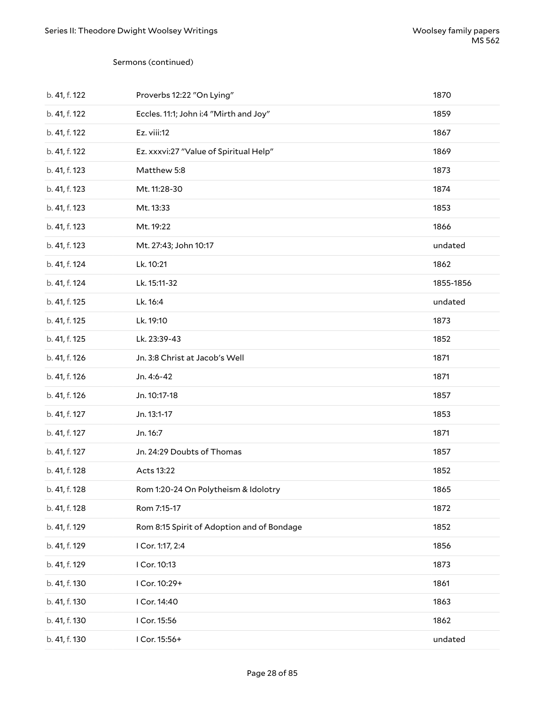#### Sermons (continued)

| b. 41, f. 122 | Proverbs 12:22 "On Lying"                  | 1870      |
|---------------|--------------------------------------------|-----------|
| b. 41, f. 122 | Eccles. 11:1; John i:4 "Mirth and Joy"     | 1859      |
| b. 41, f. 122 | Ez. viii:12                                | 1867      |
| b. 41, f. 122 | Ez. xxxvi:27 "Value of Spiritual Help"     | 1869      |
| b. 41, f. 123 | Matthew 5:8                                | 1873      |
| b. 41, f. 123 | Mt. 11:28-30                               | 1874      |
| b. 41, f. 123 | Mt. 13:33                                  | 1853      |
| b. 41, f. 123 | Mt. 19:22                                  | 1866      |
| b. 41, f. 123 | Mt. 27:43; John 10:17                      | undated   |
| b. 41, f. 124 | Lk. 10:21                                  | 1862      |
| b. 41, f. 124 | Lk. 15:11-32                               | 1855-1856 |
| b. 41, f. 125 | Lk. 16:4                                   | undated   |
| b. 41, f. 125 | Lk. 19:10                                  | 1873      |
| b. 41, f. 125 | Lk. 23:39-43                               | 1852      |
| b. 41, f. 126 | Jn. 3:8 Christ at Jacob's Well             | 1871      |
| b. 41, f. 126 | Jn. 4:6-42                                 | 1871      |
| b. 41, f. 126 | Jn. 10:17-18                               | 1857      |
| b. 41, f. 127 | Jn. 13:1-17                                | 1853      |
| b. 41, f. 127 | Jn. 16:7                                   | 1871      |
| b. 41, f. 127 | Jn. 24:29 Doubts of Thomas                 | 1857      |
| b. 41, f. 128 | Acts 13:22                                 | 1852      |
| b. 41, f. 128 | Rom 1:20-24 On Polytheism & Idolotry       | 1865      |
| b. 41, f. 128 | Rom 7:15-17                                | 1872      |
| b. 41, f. 129 | Rom 8:15 Spirit of Adoption and of Bondage | 1852      |
| b. 41, f. 129 | I Cor. 1:17, 2:4                           | 1856      |
| b. 41, f. 129 | I Cor. 10:13                               | 1873      |
| b. 41, f. 130 | I Cor. 10:29+                              | 1861      |
| b. 41, f. 130 | I Cor. 14:40                               | 1863      |
| b. 41, f. 130 | I Cor. 15:56                               | 1862      |
| b. 41, f. 130 | I Cor. 15:56+                              | undated   |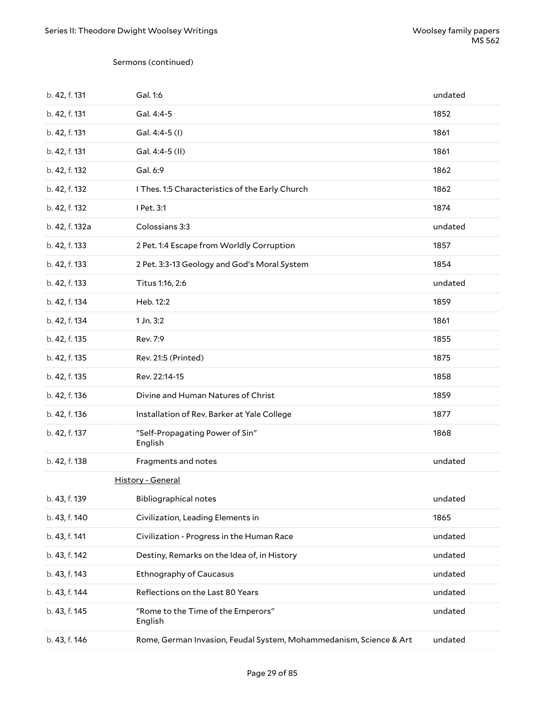#### Sermons (continued)

| b. 42, f. 131  | Gal. 1:6                                                           | undated |
|----------------|--------------------------------------------------------------------|---------|
| b. 42, f. 131  | Gal. 4:4-5                                                         | 1852    |
| b. 42, f. 131  | Gal. 4:4-5 (I)                                                     | 1861    |
| b. 42, f. 131  | Gal. 4:4-5 (II)                                                    | 1861    |
| b. 42, f. 132  | Gal. 6:9                                                           | 1862    |
| b. 42, f. 132  | I Thes. 1:5 Characteristics of the Early Church                    | 1862    |
| b. 42, f. 132  | I Pet. 3:1                                                         | 1874    |
| b. 42, f. 132a | Colossians 3:3                                                     | undated |
| b. 42, f. 133  | 2 Pet. 1:4 Escape from Worldly Corruption                          | 1857    |
| b. 42, f. 133  | 2 Pet. 3:3-13 Geology and God's Moral System                       | 1854    |
| b. 42, f. 133  | Titus 1:16, 2:6                                                    | undated |
| b. 42, f. 134  | Heb. 12:2                                                          | 1859    |
| b. 42, f. 134  | 1 Jn. 3:2                                                          | 1861    |
| b. 42, f. 135  | Rev. 7:9                                                           | 1855    |
| b. 42, f. 135  | Rev. 21:5 (Printed)                                                | 1875    |
| b. 42, f. 135  | Rev. 22:14-15                                                      | 1858    |
| b. 42, f. 136  | Divine and Human Natures of Christ                                 | 1859    |
| b. 42, f. 136  | Installation of Rev. Barker at Yale College                        | 1877    |
| b. 42, f. 137  | "Self-Propagating Power of Sin"<br>English                         | 1868    |
| b. 42, f. 138  | Fragments and notes                                                | undated |
|                | History - General                                                  |         |
| b. 43, f. 139  | <b>Bibliographical notes</b>                                       | undated |
| b. 43, f. 140  | Civilization, Leading Elements in                                  | 1865    |
| b. 43, f. 141  | Civilization - Progress in the Human Race                          | undated |
| b. 43, f. 142  | Destiny, Remarks on the Idea of, in History                        | undated |
| b. 43, f. 143  | <b>Ethnography of Caucasus</b>                                     | undated |
| b. 43, f. 144  | Reflections on the Last 80 Years                                   | undated |
| b. 43, f. 145  | "Rome to the Time of the Emperors"<br>English                      | undated |
| b. 43, f. 146  | Rome, German Invasion, Feudal System, Mohammedanism, Science & Art | undated |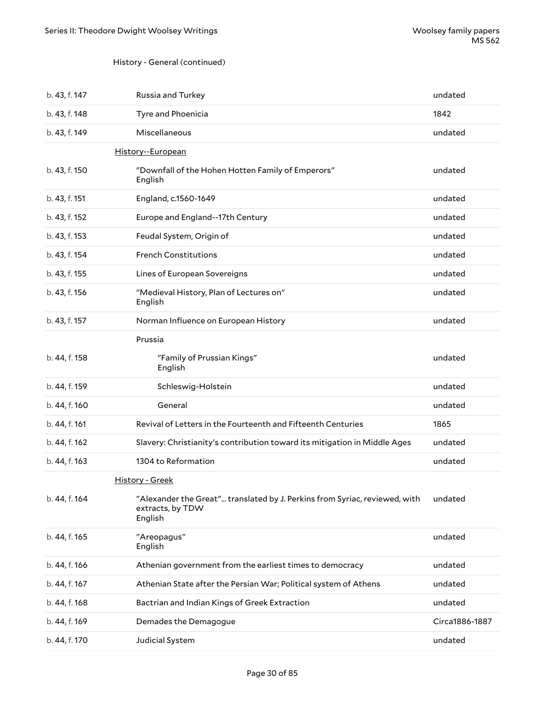### History - General (continued)

| b. 43, f. 147 | Russia and Turkey                                                                                         | undated        |
|---------------|-----------------------------------------------------------------------------------------------------------|----------------|
| b. 43, f. 148 | Tyre and Phoenicia                                                                                        | 1842           |
| b. 43, f. 149 | Miscellaneous                                                                                             | undated        |
|               | History--European                                                                                         |                |
| b. 43, f. 150 | "Downfall of the Hohen Hotten Family of Emperors"<br>English                                              | undated        |
| b. 43, f. 151 | England, c.1560-1649                                                                                      | undated        |
| b. 43, f. 152 | Europe and England--17th Century                                                                          | undated        |
| b. 43, f. 153 | Feudal System, Origin of                                                                                  | undated        |
| b. 43, f. 154 | <b>French Constitutions</b>                                                                               | undated        |
| b. 43, f. 155 | Lines of European Sovereigns                                                                              | undated        |
| b. 43, f. 156 | "Medieval History, Plan of Lectures on"<br>English                                                        | undated        |
| b. 43, f. 157 | Norman Influence on European History                                                                      | undated        |
|               | Prussia                                                                                                   |                |
| b. 44, f. 158 | "Family of Prussian Kings"<br>English                                                                     | undated        |
| b. 44, f. 159 | Schleswig-Holstein                                                                                        | undated        |
| b. 44, f. 160 | General                                                                                                   | undated        |
| b. 44, f. 161 | Revival of Letters in the Fourteenth and Fifteenth Centuries                                              | 1865           |
| b. 44, f. 162 | Slavery: Christianity's contribution toward its mitigation in Middle Ages                                 | undated        |
| b. 44, f. 163 | 1304 to Reformation                                                                                       | undated        |
|               | <b>History - Greek</b>                                                                                    |                |
| b. 44, f. 164 | "Alexander the Great" translated by J. Perkins from Syriac, reviewed, with<br>extracts, by TDW<br>English | undated        |
| b. 44, f. 165 | "Areopagus"<br>English                                                                                    | undated        |
| b. 44, f. 166 | Athenian government from the earliest times to democracy                                                  | undated        |
| b. 44, f. 167 | Athenian State after the Persian War; Political system of Athens                                          | undated        |
| b. 44, f. 168 | Bactrian and Indian Kings of Greek Extraction                                                             | undated        |
| b. 44, f. 169 | Demades the Demagogue                                                                                     | Circa1886-1887 |
| b. 44, f. 170 | Judicial System                                                                                           | undated        |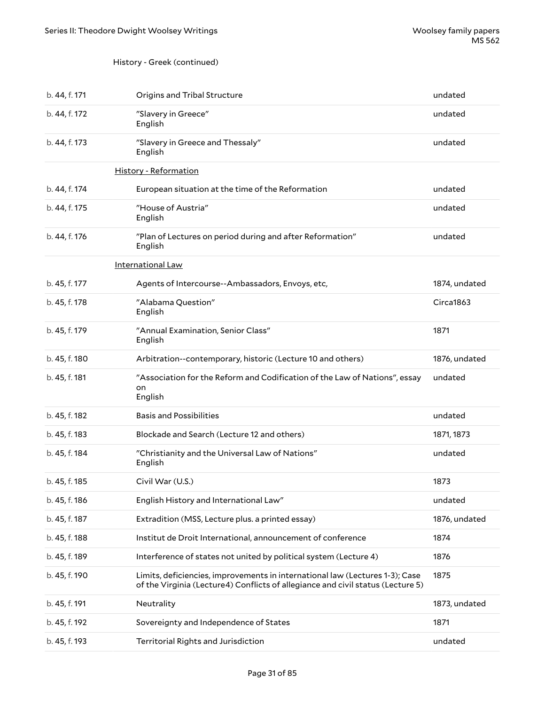### History - Greek (continued)

| b. 44, f. 171 | Origins and Tribal Structure                                                                                                                                    | undated       |
|---------------|-----------------------------------------------------------------------------------------------------------------------------------------------------------------|---------------|
| b. 44, f. 172 | "Slavery in Greece"<br>English                                                                                                                                  | undated       |
| b. 44, f. 173 | "Slavery in Greece and Thessaly"<br>English                                                                                                                     | undated       |
|               | <b>History - Reformation</b>                                                                                                                                    |               |
| b. 44, f. 174 | European situation at the time of the Reformation                                                                                                               | undated       |
| b. 44, f. 175 | "House of Austria"<br>English                                                                                                                                   | undated       |
| b. 44, f. 176 | "Plan of Lectures on period during and after Reformation"<br>English                                                                                            | undated       |
|               | International Law                                                                                                                                               |               |
| b. 45, f. 177 | Agents of Intercourse--Ambassadors, Envoys, etc,                                                                                                                | 1874, undated |
| b. 45, f. 178 | "Alabama Question"<br>English                                                                                                                                   | Circa1863     |
| b. 45, f. 179 | "Annual Examination, Senior Class"<br>English                                                                                                                   | 1871          |
| b. 45, f. 180 | Arbitration--contemporary, historic (Lecture 10 and others)                                                                                                     | 1876, undated |
| b. 45, f. 181 | "Association for the Reform and Codification of the Law of Nations", essay<br>on<br>English                                                                     | undated       |
| b. 45, f. 182 | <b>Basis and Possibilities</b>                                                                                                                                  | undated       |
| b. 45, f. 183 | Blockade and Search (Lecture 12 and others)                                                                                                                     | 1871, 1873    |
| b. 45, f. 184 | "Christianity and the Universal Law of Nations"<br>English                                                                                                      | undated       |
| b. 45, f. 185 | Civil War (U.S.)                                                                                                                                                | 1873          |
| b. 45, f. 186 | English History and International Law"                                                                                                                          | undated       |
| b. 45, f. 187 | Extradition (MSS, Lecture plus. a printed essay)                                                                                                                | 1876, undated |
| b. 45, f. 188 | Institut de Droit International, announcement of conference                                                                                                     | 1874          |
| b. 45, f. 189 | Interference of states not united by political system (Lecture 4)                                                                                               | 1876          |
| b. 45, f. 190 | Limits, deficiencies, improvements in international law (Lectures 1-3); Case<br>of the Virginia (Lecture4) Conflicts of allegiance and civil status (Lecture 5) | 1875          |
| b. 45, f. 191 | Neutrality                                                                                                                                                      | 1873, undated |
| b. 45, f. 192 | Sovereignty and Independence of States                                                                                                                          | 1871          |
| b. 45, f. 193 | Territorial Rights and Jurisdiction                                                                                                                             | undated       |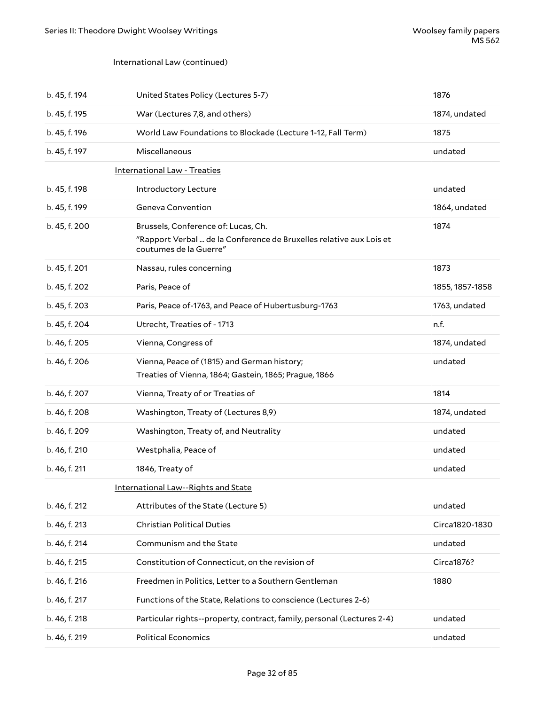#### International Law (continued)

| b. 45, f. 194 | United States Policy (Lectures 5-7)                                                                                                  | 1876            |
|---------------|--------------------------------------------------------------------------------------------------------------------------------------|-----------------|
| b. 45, f. 195 | War (Lectures 7,8, and others)                                                                                                       | 1874, undated   |
| b. 45, f. 196 | World Law Foundations to Blockade (Lecture 1-12, Fall Term)                                                                          | 1875            |
| b. 45, f. 197 | Miscellaneous                                                                                                                        | undated         |
|               | <b>International Law - Treaties</b>                                                                                                  |                 |
| b. 45, f. 198 | Introductory Lecture                                                                                                                 | undated         |
| b. 45, f. 199 | Geneva Convention                                                                                                                    | 1864, undated   |
| b. 45, f. 200 | Brussels, Conference of: Lucas, Ch.<br>"Rapport Verbal  de la Conference de Bruxelles relative aux Lois et<br>coutumes de la Guerre" | 1874            |
| b. 45, f. 201 | Nassau, rules concerning                                                                                                             | 1873            |
| b. 45, f. 202 | Paris, Peace of                                                                                                                      | 1855, 1857-1858 |
| b. 45, f. 203 | Paris, Peace of-1763, and Peace of Hubertusburg-1763                                                                                 | 1763, undated   |
| b. 45, f. 204 | Utrecht, Treaties of - 1713                                                                                                          | n.f.            |
| b. 46, f. 205 | Vienna, Congress of                                                                                                                  | 1874, undated   |
| b. 46, f. 206 | Vienna, Peace of (1815) and German history;<br>Treaties of Vienna, 1864; Gastein, 1865; Prague, 1866                                 | undated         |
| b. 46, f. 207 | Vienna, Treaty of or Treaties of                                                                                                     | 1814            |
| b. 46, f. 208 | Washington, Treaty of (Lectures 8,9)                                                                                                 | 1874, undated   |
| b. 46, f. 209 | Washington, Treaty of, and Neutrality                                                                                                | undated         |
| b. 46, f. 210 | Westphalia, Peace of                                                                                                                 | undated         |
| b. 46, f. 211 | 1846, Treaty of                                                                                                                      | undated         |
|               | International Law--Rights and State                                                                                                  |                 |
| b. 46, f. 212 | Attributes of the State (Lecture 5)                                                                                                  | undated         |
| b. 46, f. 213 | <b>Christian Political Duties</b>                                                                                                    | Circa1820-1830  |
| b. 46, f. 214 | Communism and the State                                                                                                              | undated         |
| b. 46, f. 215 | Constitution of Connecticut, on the revision of                                                                                      | Circa1876?      |
| b. 46, f. 216 | Freedmen in Politics, Letter to a Southern Gentleman                                                                                 | 1880            |
| b. 46, f. 217 | Functions of the State, Relations to conscience (Lectures 2-6)                                                                       |                 |
| b. 46, f. 218 | Particular rights--property, contract, family, personal (Lectures 2-4)                                                               | undated         |
| b. 46, f. 219 | <b>Political Economics</b>                                                                                                           | undated         |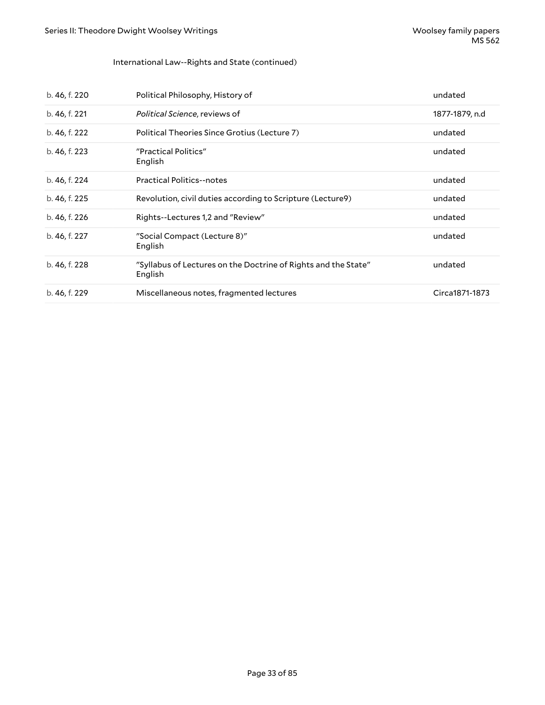### International Law--Rights and State (continued)

| b. 46, f. 220 | Political Philosophy, History of                                          | undated        |
|---------------|---------------------------------------------------------------------------|----------------|
| b. 46, f. 221 | Political Science, reviews of                                             | 1877-1879, n.d |
| b. 46, f. 222 | Political Theories Since Grotius (Lecture 7)                              | undated        |
| b. 46, f. 223 | "Practical Politics"<br>English                                           | undated        |
| b. 46, f. 224 | <b>Practical Politics--notes</b>                                          | undated        |
| b. 46, f. 225 | Revolution, civil duties according to Scripture (Lecture9)                | undated        |
| b. 46, f. 226 | Rights--Lectures 1,2 and "Review"                                         | undated        |
| b. 46, f. 227 | "Social Compact (Lecture 8)"<br>English                                   | undated        |
| b. 46, f. 228 | "Syllabus of Lectures on the Doctrine of Rights and the State"<br>English | undated        |
| b. 46, f. 229 | Miscellaneous notes, fragmented lectures                                  | Circa1871-1873 |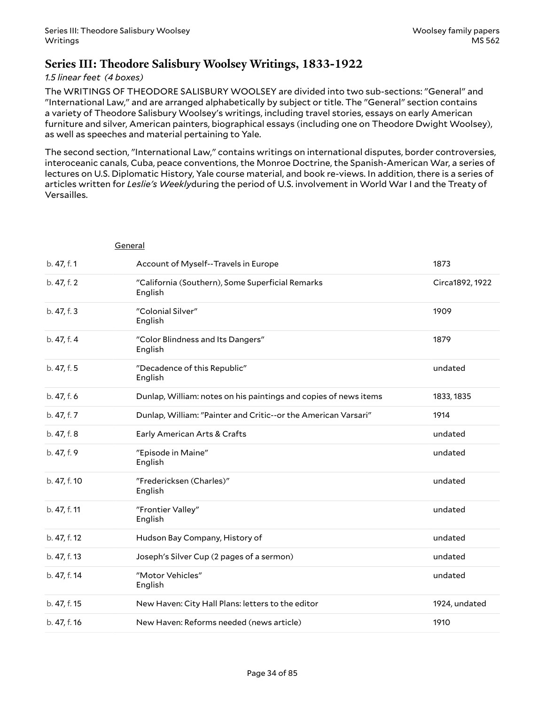### <span id="page-33-0"></span>**Series III: Theodore Salisbury Woolsey Writings, 1833-1922**

### *1.5 linear feet (4 boxes)*

The WRITINGS OF THEODORE SALISBURY WOOLSEY are divided into two sub-sections: "General" and "International Law," and are arranged alphabetically by subject or title. The "General" section contains a variety of Theodore Salisbury Woolsey's writings, including travel stories, essays on early American furniture and silver, American painters, biographical essays (including one on Theodore Dwight Woolsey), as well as speeches and material pertaining to Yale.

The second section, "International Law," contains writings on international disputes, border controversies, interoceanic canals, Cuba, peace conventions, the Monroe Doctrine, the Spanish-American War, a series of lectures on U.S. Diplomatic History, Yale course material, and book re-views. In addition, there is a series of articles written for *Leslie's Weekly*during the period of U.S. involvement in World War I and the Treaty of Versailles.

| General      |                                                                  |                 |
|--------------|------------------------------------------------------------------|-----------------|
| b. 47, f. 1  | Account of Myself--Travels in Europe                             | 1873            |
| b. 47, f. 2  | "California (Southern), Some Superficial Remarks<br>English      | Circa1892, 1922 |
| b. 47, f. 3  | "Colonial Silver"<br>English                                     | 1909            |
| b. 47, f. 4  | "Color Blindness and Its Dangers"<br>English                     | 1879            |
| b. 47, f. 5  | "Decadence of this Republic"<br>English                          | undated         |
| b. 47, f. 6  | Dunlap, William: notes on his paintings and copies of news items | 1833, 1835      |
| b. 47, f. 7  | Dunlap, William: "Painter and Critic--or the American Varsari"   | 1914            |
| b. 47, f. 8  | Early American Arts & Crafts                                     | undated         |
| b. 47, f. 9  | "Episode in Maine"<br>English                                    | undated         |
| b. 47, f. 10 | "Fredericksen (Charles)"<br>English                              | undated         |
| b. 47, f. 11 | "Frontier Valley"<br>English                                     | undated         |
| b. 47, f. 12 | Hudson Bay Company, History of                                   | undated         |
| b. 47, f. 13 | Joseph's Silver Cup (2 pages of a sermon)                        | undated         |
| b. 47, f. 14 | "Motor Vehicles"<br>English                                      | undated         |
| b. 47, f. 15 | New Haven: City Hall Plans: letters to the editor                | 1924, undated   |
| b. 47, f. 16 | New Haven: Reforms needed (news article)                         | 1910            |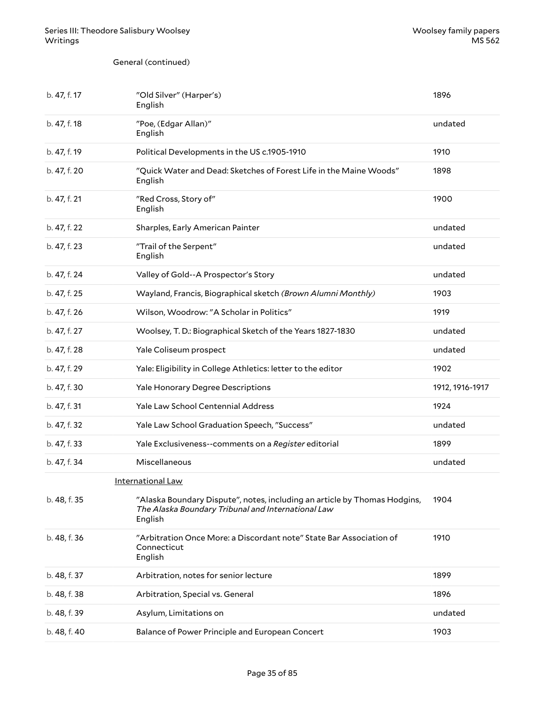General (continued)

| b. 47, f. 17 | "Old Silver" (Harper's)<br>English                                                                                                         | 1896            |
|--------------|--------------------------------------------------------------------------------------------------------------------------------------------|-----------------|
| b. 47, f. 18 | "Poe, (Edgar Allan)"<br>English                                                                                                            | undated         |
| b. 47, f. 19 | Political Developments in the US c.1905-1910                                                                                               | 1910            |
| b. 47, f. 20 | "Quick Water and Dead: Sketches of Forest Life in the Maine Woods"<br>English                                                              | 1898            |
| b. 47, f. 21 | "Red Cross, Story of"<br>English                                                                                                           | 1900            |
| b. 47, f. 22 | Sharples, Early American Painter                                                                                                           | undated         |
| b. 47, f. 23 | "Trail of the Serpent"<br>English                                                                                                          | undated         |
| b. 47, f. 24 | Valley of Gold--A Prospector's Story                                                                                                       | undated         |
| b. 47, f. 25 | Wayland, Francis, Biographical sketch (Brown Alumni Monthly)                                                                               | 1903            |
| b. 47, f. 26 | Wilson, Woodrow: "A Scholar in Politics"                                                                                                   | 1919            |
| b. 47, f. 27 | Woolsey, T. D.: Biographical Sketch of the Years 1827-1830                                                                                 | undated         |
| b. 47, f. 28 | Yale Coliseum prospect                                                                                                                     | undated         |
| b. 47, f. 29 | Yale: Eligibility in College Athletics: letter to the editor                                                                               | 1902            |
| b. 47, f. 30 | Yale Honorary Degree Descriptions                                                                                                          | 1912, 1916-1917 |
| b. 47, f. 31 | Yale Law School Centennial Address                                                                                                         | 1924            |
| b. 47, f. 32 | Yale Law School Graduation Speech, "Success"                                                                                               | undated         |
| b. 47, f. 33 | Yale Exclusiveness--comments on a Register editorial                                                                                       | 1899            |
| b. 47, f. 34 | Miscellaneous                                                                                                                              | undated         |
|              | International Law                                                                                                                          |                 |
| b. 48, f. 35 | "Alaska Boundary Dispute", notes, including an article by Thomas Hodgins,<br>The Alaska Boundary Tribunal and International Law<br>English | 1904            |
| b. 48, f. 36 | "Arbitration Once More: a Discordant note" State Bar Association of<br>Connecticut<br>English                                              | 1910            |
| b. 48, f. 37 | Arbitration, notes for senior lecture                                                                                                      | 1899            |
| b. 48, f. 38 | Arbitration, Special vs. General                                                                                                           | 1896            |
| b. 48, f. 39 | Asylum, Limitations on                                                                                                                     | undated         |
| b. 48, f. 40 | Balance of Power Principle and European Concert                                                                                            | 1903            |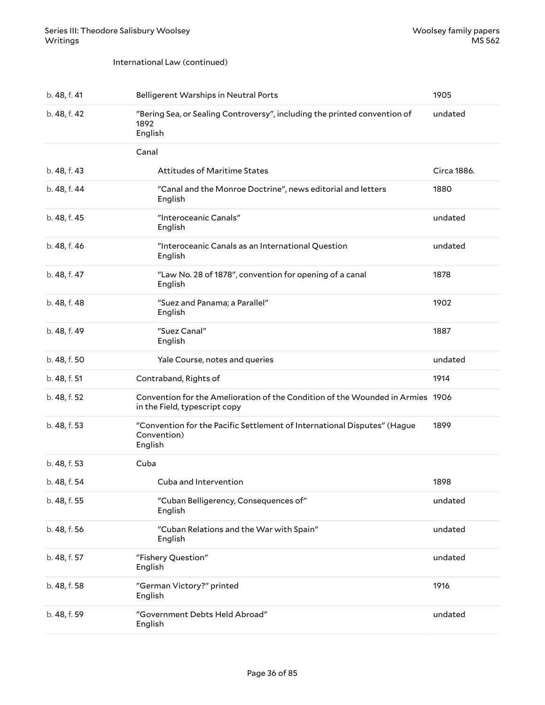#### International Law (continued)

| b. 48, f. 41 | <b>Belligerent Warships in Neutral Ports</b>                                                                    | 1905        |
|--------------|-----------------------------------------------------------------------------------------------------------------|-------------|
| b. 48, f. 42 | "Bering Sea, or Sealing Controversy", including the printed convention of<br>1892<br>English                    | undated     |
|              | Canal                                                                                                           |             |
| b. 48, f. 43 | <b>Attitudes of Maritime States</b>                                                                             | Circa 1886. |
| b. 48, f. 44 | "Canal and the Monroe Doctrine", news editorial and letters<br>English                                          | 1880        |
| b. 48, f. 45 | "Interoceanic Canals"<br>English                                                                                | undated     |
| b. 48, f. 46 | "Interoceanic Canals as an International Question<br>English                                                    | undated     |
| b. 48, f. 47 | "Law No. 28 of 1878", convention for opening of a canal<br>English                                              | 1878        |
| b. 48, f. 48 | "Suez and Panama; a Parallel"<br>English                                                                        | 1902        |
| b. 48, f. 49 | "Suez Canal"<br>English                                                                                         | 1887        |
| b. 48, f. 50 | Yale Course, notes and queries                                                                                  | undated     |
| b. 48, f. 51 | Contraband, Rights of                                                                                           | 1914        |
| b. 48, f. 52 | Convention for the Amelioration of the Condition of the Wounded in Armies 1906<br>in the Field, typescript copy |             |
| b. 48, f. 53 | "Convention for the Pacific Settlement of International Disputes" (Hague<br>Convention)<br>English              | 1899        |
| b. 48, f. 53 | Cuba                                                                                                            |             |
| b. 48, f. 54 | Cuba and Intervention                                                                                           | 1898        |
| b. 48, f. 55 | "Cuban Belligerency, Consequences of"<br>English                                                                | undated     |
| b. 48, f. 56 | "Cuban Relations and the War with Spain"<br>English                                                             | undated     |
| b. 48, f. 57 | "Fishery Question"<br>English                                                                                   | undated     |
| b. 48, f. 58 | "German Victory?" printed<br>English                                                                            | 1916        |
| b. 48, f. 59 | "Government Debts Held Abroad"<br>English                                                                       | undated     |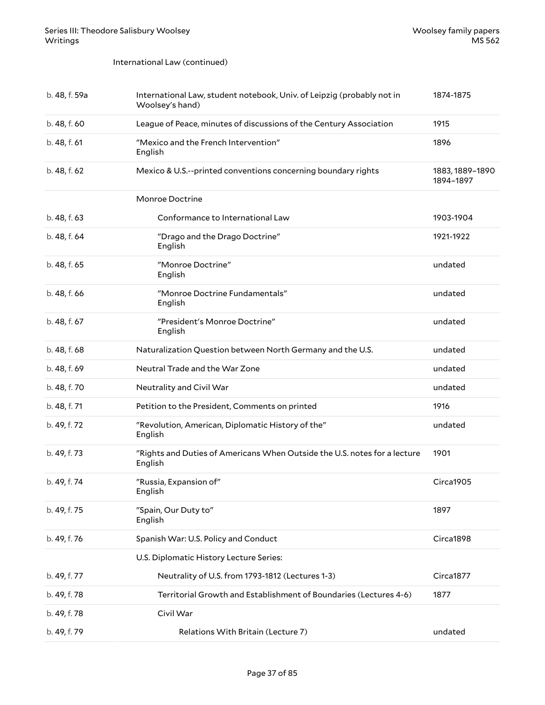#### International Law (continued)

| b. 48, f. 59a | International Law, student notebook, Univ. of Leipzig (probably not in<br>Woolsey's hand) | 1874-1875                    |
|---------------|-------------------------------------------------------------------------------------------|------------------------------|
| b. 48, f. 60  | League of Peace, minutes of discussions of the Century Association                        | 1915                         |
| b. 48, f. 61  | "Mexico and the French Intervention"<br>English                                           | 1896                         |
| b. 48, f. 62  | Mexico & U.S.--printed conventions concerning boundary rights                             | 1883, 1889-1890<br>1894-1897 |
|               | Monroe Doctrine                                                                           |                              |
| b. 48, f. 63  | Conformance to International Law                                                          | 1903-1904                    |
| b. 48, f. 64  | "Drago and the Drago Doctrine"<br>English                                                 | 1921-1922                    |
| b. 48, f. 65  | "Monroe Doctrine"<br>English                                                              | undated                      |
| b. 48, f. 66  | "Monroe Doctrine Fundamentals"<br>English                                                 | undated                      |
| b. 48, f. 67  | "President's Monroe Doctrine"<br>English                                                  | undated                      |
| b. 48, f. 68  | Naturalization Question between North Germany and the U.S.                                | undated                      |
| b. 48, f. 69  | Neutral Trade and the War Zone                                                            | undated                      |
| b. 48, f. 70  | Neutrality and Civil War                                                                  | undated                      |
| b. 48, f. 71  | Petition to the President, Comments on printed                                            | 1916                         |
| b. 49, f. 72  | "Revolution, American, Diplomatic History of the"<br>English                              | undated                      |
| b. 49, f. 73  | "Rights and Duties of Americans When Outside the U.S. notes for a lecture<br>English      | 1901                         |
| b. 49, f. 74  | "Russia, Expansion of"<br>English                                                         | Circa1905                    |
| b. 49, f. 75  | "Spain, Our Duty to"<br>English                                                           | 1897                         |
| b. 49, f. 76  | Spanish War: U.S. Policy and Conduct                                                      | Circa1898                    |
|               | U.S. Diplomatic History Lecture Series:                                                   |                              |
| b. 49, f. 77  | Neutrality of U.S. from 1793-1812 (Lectures 1-3)                                          | Circa1877                    |
| b. 49, f. 78  | Territorial Growth and Establishment of Boundaries (Lectures 4-6)                         | 1877                         |
| b. 49, f. 78  | Civil War                                                                                 |                              |
| b. 49, f. 79  | Relations With Britain (Lecture 7)                                                        | undated                      |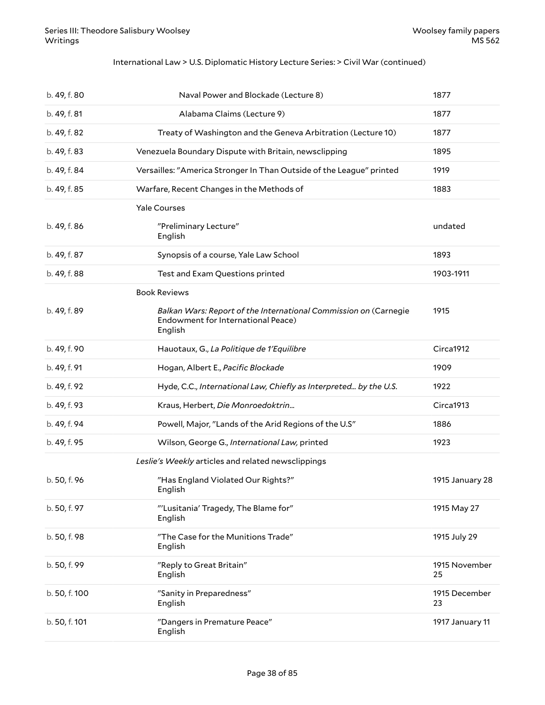#### International Law > U.S. Diplomatic History Lecture Series: > Civil War (continued)

| b. 49, f. 80  | Naval Power and Blockade (Lecture 8)                                                                              | 1877                |
|---------------|-------------------------------------------------------------------------------------------------------------------|---------------------|
| b. 49, f. 81  | Alabama Claims (Lecture 9)                                                                                        | 1877                |
| b. 49, f. 82  | Treaty of Washington and the Geneva Arbitration (Lecture 10)                                                      | 1877                |
| b. 49, f. 83  | Venezuela Boundary Dispute with Britain, newsclipping                                                             | 1895                |
| b. 49, f. 84  | Versailles: "America Stronger In Than Outside of the League" printed                                              | 1919                |
| b. 49, f. 85  | Warfare, Recent Changes in the Methods of                                                                         | 1883                |
|               | <b>Yale Courses</b>                                                                                               |                     |
| b. 49, f. 86  | "Preliminary Lecture"<br>English                                                                                  | undated             |
| b. 49, f. 87  | Synopsis of a course, Yale Law School                                                                             | 1893                |
| b. 49, f. 88  | Test and Exam Questions printed                                                                                   | 1903-1911           |
|               | <b>Book Reviews</b>                                                                                               |                     |
| b. 49, f. 89  | Balkan Wars: Report of the International Commission on (Carnegie<br>Endowment for International Peace)<br>English | 1915                |
| b. 49, f. 90  | Hauotaux, G., La Politique de 1'Equilibre                                                                         | Circa1912           |
| b. 49, f. 91  | Hogan, Albert E., Pacific Blockade                                                                                | 1909                |
| b. 49, f. 92  | Hyde, C.C., International Law, Chiefly as Interpreted by the U.S.                                                 | 1922                |
| b. 49, f. 93  | Kraus, Herbert, Die Monroedoktrin                                                                                 | Circa1913           |
| b. 49, f. 94  | Powell, Major, "Lands of the Arid Regions of the U.S"                                                             | 1886                |
| b. 49, f. 95  | Wilson, George G., International Law, printed                                                                     | 1923                |
|               | Leslie's Weekly articles and related newsclippings                                                                |                     |
| b. 50, f. 96  | "Has England Violated Our Rights?"<br>English                                                                     | 1915 January 28     |
| b. 50, f. 97  | "'Lusitania' Tragedy, The Blame for"<br>English                                                                   | 1915 May 27         |
| b. 50, f. 98  | "The Case for the Munitions Trade"<br>English                                                                     | 1915 July 29        |
| b. 50, f. 99  | "Reply to Great Britain"<br>English                                                                               | 1915 November<br>25 |
| b. 50, f. 100 | "Sanity in Preparedness"<br>English                                                                               | 1915 December<br>23 |
| b. 50, f. 101 | "Dangers in Premature Peace"<br>English                                                                           | 1917 January 11     |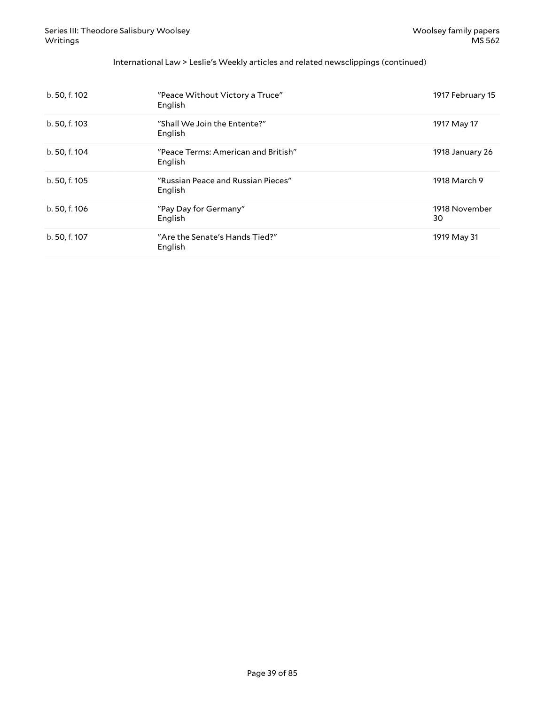#### International Law > Leslie's Weekly articles and related newsclippings (continued)

| b. 50, f. 102 | "Peace Without Victory a Truce"<br>English     | 1917 February 15    |
|---------------|------------------------------------------------|---------------------|
| b. 50, f. 103 | "Shall We Join the Entente?"<br>English        | 1917 May 17         |
| b. 50, f. 104 | "Peace Terms: American and British"<br>English | 1918 January 26     |
| b. 50, f. 105 | "Russian Peace and Russian Pieces"<br>English  | 1918 March 9        |
| b. 50, f. 106 | "Pay Day for Germany"<br>English               | 1918 November<br>30 |
| b. 50, f. 107 | "Are the Senate's Hands Tied?"<br>English      | 1919 May 31         |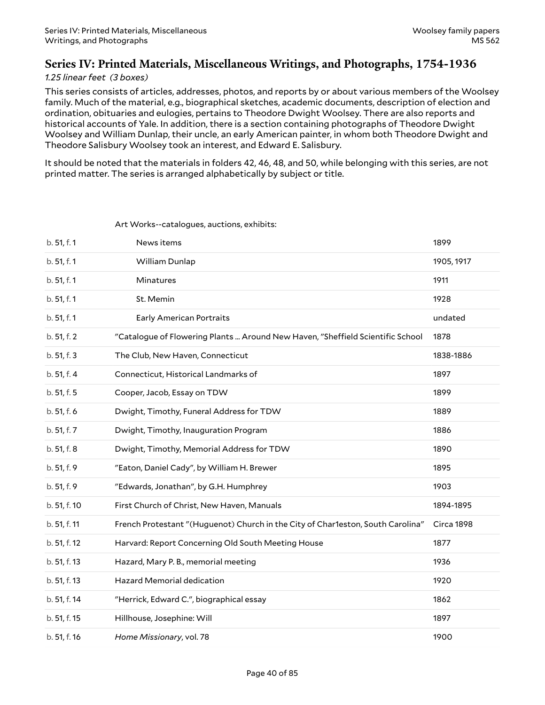## **Series IV: Printed Materials, Miscellaneous Writings, and Photographs, 1754-1936**

#### *1.25 linear feet (3 boxes)*

This series consists of articles, addresses, photos, and reports by or about various members of the Woolsey family. Much of the material, e.g., biographical sketches, academic documents, description of election and ordination, obituaries and eulogies, pertains to Theodore Dwight Woolsey. There are also reports and historical accounts of Yale. In addition, there is a section containing photographs of Theodore Dwight Woolsey and William Dunlap, their uncle, an early American painter, in whom both Theodore Dwight and Theodore Salisbury Woolsey took an interest, and Edward E. Salisbury.

It should be noted that the materials in folders 42, 46, 48, and 50, while belonging with this series, are not printed matter. The series is arranged alphabetically by subject or title.

| b. 51, f. 1  | News items                                                                      | 1899       |
|--------------|---------------------------------------------------------------------------------|------------|
| b. 51, f. 1  | William Dunlap                                                                  | 1905, 1917 |
| b. 51, f. 1  | Minatures                                                                       | 1911       |
| b. 51, f. 1  | St. Memin                                                                       | 1928       |
| b. 51, f. 1  | <b>Early American Portraits</b>                                                 | undated    |
| b. 51, f. 2  | "Catalogue of Flowering Plants  Around New Haven, "Sheffield Scientific School  | 1878       |
| b. 51, f. 3  | The Club, New Haven, Connecticut                                                | 1838-1886  |
| b. 51, f. 4  | Connecticut, Historical Landmarks of                                            | 1897       |
| b. 51, f. 5  | Cooper, Jacob, Essay on TDW                                                     | 1899       |
| b. 51, f. 6  | Dwight, Timothy, Funeral Address for TDW                                        | 1889       |
| b. 51, f. 7  | Dwight, Timothy, Inauguration Program                                           | 1886       |
| b. 51, f. 8  | Dwight, Timothy, Memorial Address for TDW                                       | 1890       |
| b. 51, f. 9  | "Eaton, Daniel Cady", by William H. Brewer                                      | 1895       |
| b. 51, f. 9  | "Edwards, Jonathan", by G.H. Humphrey                                           | 1903       |
| b. 51, f. 10 | First Church of Christ, New Haven, Manuals                                      | 1894-1895  |
| b. 51, f. 11 | French Protestant "(Huguenot) Church in the City of Char1eston, South Carolina" | Circa 1898 |
| b. 51, f. 12 | Harvard: Report Concerning Old South Meeting House                              | 1877       |
| b. 51, f. 13 | Hazard, Mary P. B., memorial meeting                                            | 1936       |
| b. 51, f. 13 | Hazard Memorial dedication                                                      | 1920       |
| b. 51, f. 14 | "Herrick, Edward C.", biographical essay                                        | 1862       |
| b. 51, f. 15 | Hillhouse, Josephine: Will                                                      | 1897       |
| b. 51, f. 16 | Home Missionary, vol. 78                                                        | 1900       |

#### <span id="page-39-0"></span>Art Works--catalogues, auctions, exhibits: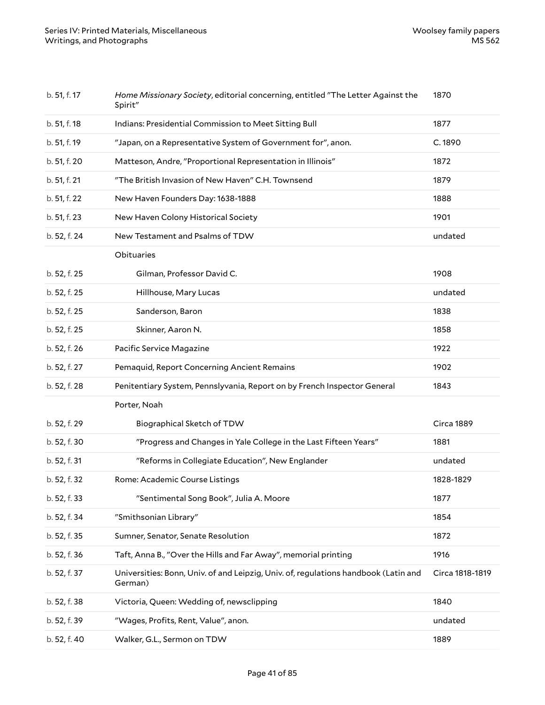| b. 51, f. 17 | Home Missionary Society, editorial concerning, entitled "The Letter Against the<br>Spirit"     | 1870            |
|--------------|------------------------------------------------------------------------------------------------|-----------------|
| b. 51, f. 18 | Indians: Presidential Commission to Meet Sitting Bull                                          | 1877            |
| b. 51, f. 19 | "Japan, on a Representative System of Government for", anon.                                   | C.1890          |
| b. 51, f. 20 | Matteson, Andre, "Proportional Representation in Illinois"                                     | 1872            |
| b. 51, f. 21 | "The British Invasion of New Haven" C.H. Townsend                                              | 1879            |
| b. 51, f. 22 | New Haven Founders Day: 1638-1888                                                              | 1888            |
| b. 51, f. 23 | New Haven Colony Historical Society                                                            | 1901            |
| b. 52, f. 24 | New Testament and Psalms of TDW                                                                | undated         |
|              | Obituaries                                                                                     |                 |
| b. 52, f. 25 | Gilman, Professor David C.                                                                     | 1908            |
| b. 52, f. 25 | Hillhouse, Mary Lucas                                                                          | undated         |
| b. 52, f. 25 | Sanderson, Baron                                                                               | 1838            |
| b. 52, f. 25 | Skinner, Aaron N.                                                                              | 1858            |
| b. 52, f. 26 | Pacific Service Magazine                                                                       | 1922            |
| b. 52, f. 27 | Pemaquid, Report Concerning Ancient Remains                                                    | 1902            |
| b. 52, f. 28 | Penitentiary System, Pennslyvania, Report on by French Inspector General                       | 1843            |
|              | Porter, Noah                                                                                   |                 |
| b. 52, f. 29 | Biographical Sketch of TDW                                                                     | Circa 1889      |
| b. 52, f. 30 | "Progress and Changes in Yale College in the Last Fifteen Years"                               | 1881            |
| b. 52, f. 31 | "Reforms in Collegiate Education", New Englander                                               | undated         |
| b. 52, f. 32 | Rome: Academic Course Listings                                                                 | 1828-1829       |
| b. 52, f. 33 | "Sentimental Song Book", Julia A. Moore                                                        | 1877            |
| b. 52, f. 34 | "Smithsonian Library"                                                                          | 1854            |
| b. 52, f. 35 | Sumner, Senator, Senate Resolution                                                             | 1872            |
| b. 52, f. 36 | Taft, Anna B., "Over the Hills and Far Away", memorial printing                                | 1916            |
| b. 52, f. 37 | Universities: Bonn, Univ. of and Leipzig, Univ. of, regulations handbook (Latin and<br>German) | Circa 1818-1819 |
| b. 52, f. 38 | Victoria, Queen: Wedding of, newsclipping                                                      | 1840            |
| b. 52, f. 39 | "Wages, Profits, Rent, Value", anon.                                                           | undated         |
| b. 52, f. 40 | Walker, G.L., Sermon on TDW                                                                    | 1889            |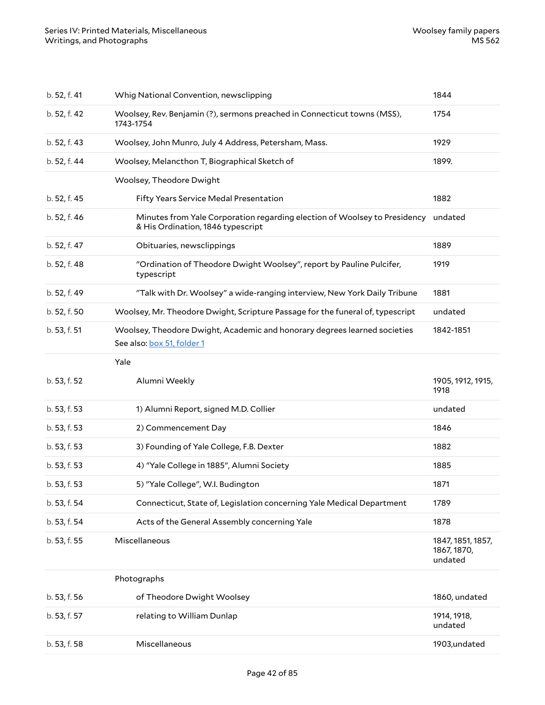| b. 52, f. 41 | Whig National Convention, newsclipping                                                                                 | 1844                                        |
|--------------|------------------------------------------------------------------------------------------------------------------------|---------------------------------------------|
| b. 52, f. 42 | Woolsey, Rev. Benjamin (?), sermons preached in Connecticut towns (MSS),<br>1743-1754                                  | 1754                                        |
| b. 52, f. 43 | Woolsey, John Munro, July 4 Address, Petersham, Mass.                                                                  | 1929                                        |
| b. 52, f. 44 | Woolsey, Melancthon T, Biographical Sketch of                                                                          | 1899.                                       |
|              | Woolsey, Theodore Dwight                                                                                               |                                             |
| b. 52, f. 45 | Fifty Years Service Medal Presentation                                                                                 | 1882                                        |
| b. 52, f. 46 | Minutes from Yale Corporation regarding election of Woolsey to Presidency undated<br>& His Ordination, 1846 typescript |                                             |
| b. 52, f. 47 | Obituaries, newsclippings                                                                                              | 1889                                        |
| b. 52, f. 48 | "Ordination of Theodore Dwight Woolsey", report by Pauline Pulcifer,<br>typescript                                     | 1919                                        |
| b. 52, f. 49 | "Talk with Dr. Woolsey" a wide-ranging interview, New York Daily Tribune                                               | 1881                                        |
| b. 52, f. 50 | Woolsey, Mr. Theodore Dwight, Scripture Passage for the funeral of, typescript                                         | undated                                     |
| b. 53, f. 51 | Woolsey, Theodore Dwight, Academic and honorary degrees learned societies<br>See also: box 51, folder 1                | 1842-1851                                   |
|              | Yale                                                                                                                   |                                             |
|              |                                                                                                                        |                                             |
| b. 53, f. 52 | Alumni Weekly                                                                                                          | 1905, 1912, 1915,<br>1918                   |
| b. 53, f. 53 | 1) Alumni Report, signed M.D. Collier                                                                                  | undated                                     |
| b. 53, f. 53 | 2) Commencement Day                                                                                                    | 1846                                        |
| b. 53, f. 53 | 3) Founding of Yale College, F.B. Dexter                                                                               | 1882                                        |
| b. 53, f. 53 | 4) "Yale College in 1885", Alumni Society                                                                              | 1885                                        |
| b. 53, f. 53 | 5) "Yale College", W.I. Budington                                                                                      | 1871                                        |
| b. 53, f. 54 | Connecticut, State of, Legislation concerning Yale Medical Department                                                  | 1789                                        |
| b. 53, f. 54 | Acts of the General Assembly concerning Yale                                                                           | 1878                                        |
| b. 53, f. 55 | Miscellaneous                                                                                                          | 1847, 1851, 1857,<br>1867, 1870,<br>undated |
|              | Photographs                                                                                                            |                                             |
| b. 53, f. 56 | of Theodore Dwight Woolsey                                                                                             | 1860, undated                               |
| b. 53, f. 57 | relating to William Dunlap                                                                                             | 1914, 1918,<br>undated                      |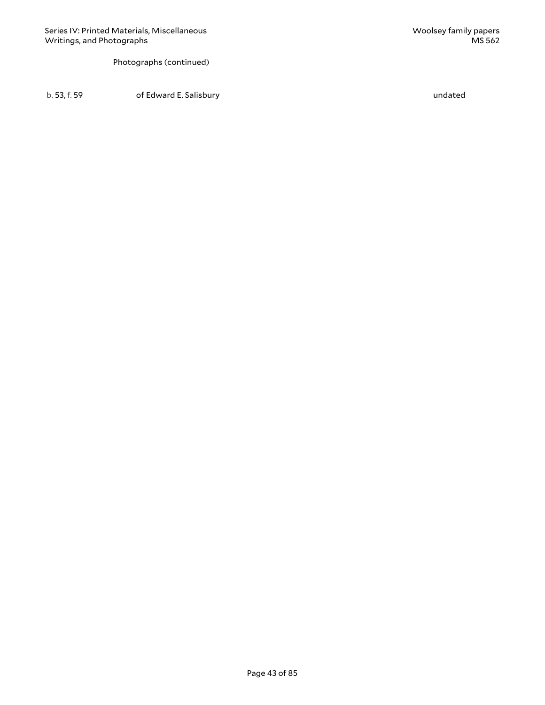Photographs (continued)

b. 53, f. 59 of Edward E. Salisbury undated b. 53, f. 59 undated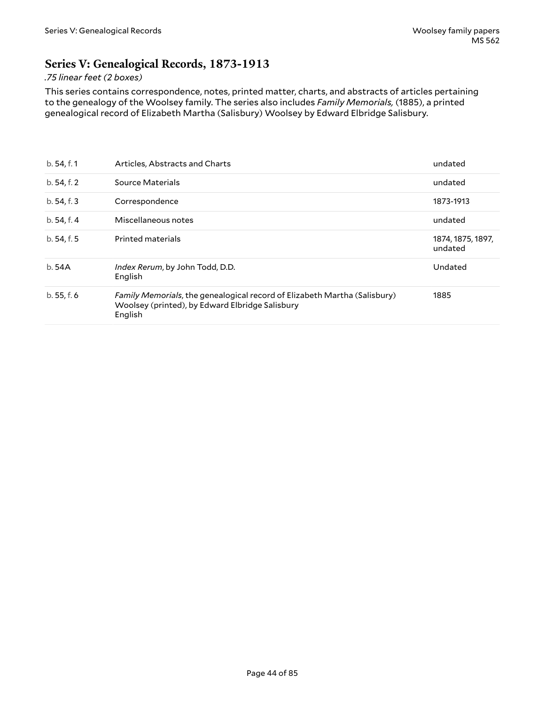## **Series V: Genealogical Records, 1873-1913**

### *.75 linear feet (2 boxes)*

This series contains correspondence, notes, printed matter, charts, and abstracts of articles pertaining to the genealogy of the Woolsey family. The series also includes *Family Memorials,* (1885), a printed genealogical record of Elizabeth Martha (Salisbury) Woolsey by Edward Elbridge Salisbury.

| b.54, f.1   | Articles, Abstracts and Charts                                                                                                                 | undated                      |
|-------------|------------------------------------------------------------------------------------------------------------------------------------------------|------------------------------|
| b. 54, f. 2 | Source Materials                                                                                                                               | undated                      |
| b.54, f.3   | Correspondence                                                                                                                                 | 1873-1913                    |
| b.54, f.4   | Miscellaneous notes                                                                                                                            | undated                      |
| b.54, f.5   | <b>Printed materials</b>                                                                                                                       | 1874, 1875, 1897,<br>undated |
| b.54A       | Index Rerum, by John Todd, D.D.<br>English                                                                                                     | Undated                      |
| b.55, f.6   | <i>Family Memorials, the genealogical record of Elizabeth Martha (Salisbury)</i><br>Woolsey (printed), by Edward Elbridge Salisbury<br>English | 1885                         |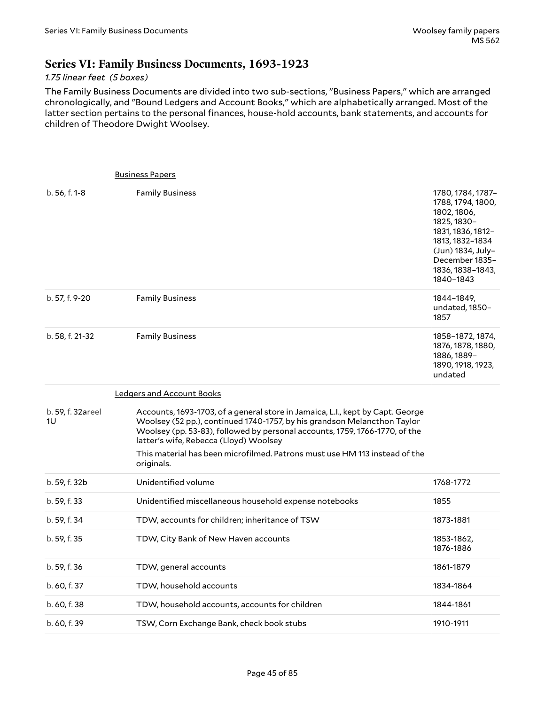## **Series VI: Family Business Documents, 1693-1923**

#### *1.75 linear feet (5 boxes)*

The Family Business Documents are divided into two sub-sections, "Business Papers," which are arranged chronologically, and "Bound Ledgers and Account Books," which are alphabetically arranged. Most of the latter section pertains to the personal finances, house-hold accounts, bank statements, and accounts for children of Theodore Dwight Woolsey.

|                         | <b>Business Papers</b>                                                                                                                                                                                                                                                                                                                                                          |                                                                                                                                                                                      |
|-------------------------|---------------------------------------------------------------------------------------------------------------------------------------------------------------------------------------------------------------------------------------------------------------------------------------------------------------------------------------------------------------------------------|--------------------------------------------------------------------------------------------------------------------------------------------------------------------------------------|
| b. 56, f. 1-8           | <b>Family Business</b>                                                                                                                                                                                                                                                                                                                                                          | 1780, 1784, 1787-<br>1788, 1794, 1800,<br>1802, 1806,<br>1825, 1830-<br>1831, 1836, 1812-<br>1813, 1832-1834<br>(Jun) 1834, July-<br>December 1835-<br>1836, 1838-1843,<br>1840-1843 |
| b. 57, f. 9-20          | <b>Family Business</b>                                                                                                                                                                                                                                                                                                                                                          | 1844–1849,<br>undated, 1850-<br>1857                                                                                                                                                 |
| b. 58, f. 21-32         | <b>Family Business</b>                                                                                                                                                                                                                                                                                                                                                          | 1858-1872, 1874,<br>1876, 1878, 1880,<br>1886, 1889-<br>1890, 1918, 1923,<br>undated                                                                                                 |
|                         | <b>Ledgers and Account Books</b>                                                                                                                                                                                                                                                                                                                                                |                                                                                                                                                                                      |
| b. 59, f. 32areel<br>1U | Accounts, 1693-1703, of a general store in Jamaica, L.I., kept by Capt. George<br>Woolsey (52 pp.), continued 1740-1757, by his grandson Melancthon Taylor<br>Woolsey (pp. 53-83), followed by personal accounts, 1759, 1766-1770, of the<br>latter's wife, Rebecca (Lloyd) Woolsey<br>This material has been microfilmed. Patrons must use HM 113 instead of the<br>originals. |                                                                                                                                                                                      |
| b. 59, f. 32b           | Unidentified volume                                                                                                                                                                                                                                                                                                                                                             | 1768-1772                                                                                                                                                                            |
| b. 59, f. 33            | Unidentified miscellaneous household expense notebooks                                                                                                                                                                                                                                                                                                                          | 1855                                                                                                                                                                                 |
| b. 59, f. 34            | TDW, accounts for children; inheritance of TSW                                                                                                                                                                                                                                                                                                                                  | 1873-1881                                                                                                                                                                            |
| b. 59, f. 35            | TDW, City Bank of New Haven accounts                                                                                                                                                                                                                                                                                                                                            | 1853-1862,<br>1876-1886                                                                                                                                                              |
| b. 59, f. 36            | TDW, general accounts                                                                                                                                                                                                                                                                                                                                                           | 1861-1879                                                                                                                                                                            |
| b. 60, f. 37            | TDW, household accounts                                                                                                                                                                                                                                                                                                                                                         | 1834-1864                                                                                                                                                                            |
| b. 60, f. 38            | TDW, household accounts, accounts for children                                                                                                                                                                                                                                                                                                                                  | 1844-1861                                                                                                                                                                            |
| b. 60, f. 39            | TSW, Corn Exchange Bank, check book stubs                                                                                                                                                                                                                                                                                                                                       | 1910-1911                                                                                                                                                                            |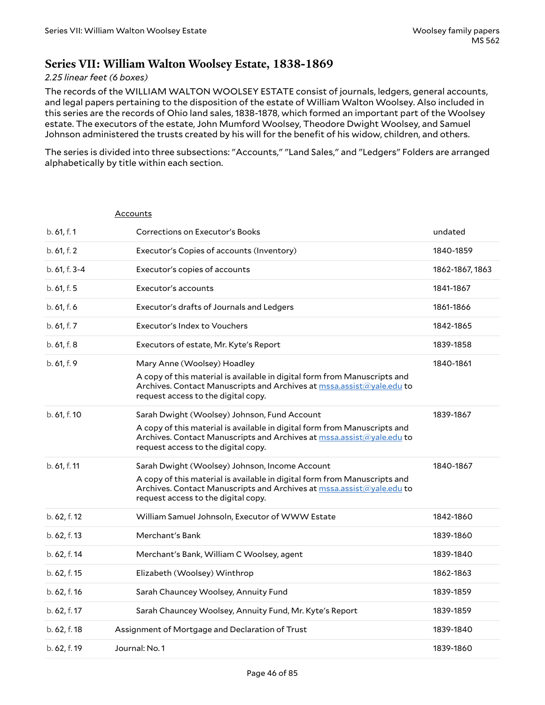## **Series VII: William Walton Woolsey Estate, 1838-1869**

#### *2.25 linear feet (6 boxes)*

The records of the WILLIAM WALTON WOOLSEY ESTATE consist of journals, ledgers, general accounts, and legal papers pertaining to the disposition of the estate of William Walton Woolsey. Also included in this series are the records of Ohio land sales, 1838-1878, which formed an important part of the Woolsey estate. The executors of the estate, John Mumford Woolsey, Theodore Dwight Woolsey, and Samuel Johnson administered the trusts created by his will for the benefit of his widow, children, and others.

The series is divided into three subsections: "Accounts," "Land Sales," and "Ledgers" Folders are arranged alphabetically by title within each section.

|               | Accounts                                                                                                                                                                                  |                 |
|---------------|-------------------------------------------------------------------------------------------------------------------------------------------------------------------------------------------|-----------------|
| b. 61, f. 1   | Corrections on Executor's Books                                                                                                                                                           | undated         |
| b. 61, f. 2   | Executor's Copies of accounts (Inventory)                                                                                                                                                 | 1840-1859       |
| b. 61, f. 3-4 | Executor's copies of accounts                                                                                                                                                             | 1862-1867, 1863 |
| b. 61, f. 5   | Executor's accounts                                                                                                                                                                       | 1841-1867       |
| b. 61, f. 6   | Executor's drafts of Journals and Ledgers                                                                                                                                                 | 1861-1866       |
| b. 61, f. 7   | Executor's Index to Vouchers                                                                                                                                                              | 1842-1865       |
| b. 61, f. 8   | Executors of estate, Mr. Kyte's Report                                                                                                                                                    | 1839-1858       |
| b. 61, f. 9   | Mary Anne (Woolsey) Hoadley                                                                                                                                                               | 1840-1861       |
|               | A copy of this material is available in digital form from Manuscripts and<br>Archives. Contact Manuscripts and Archives at mssa.assist@yale.edu to<br>request access to the digital copy. |                 |
| b. 61, f. 10  | Sarah Dwight (Woolsey) Johnson, Fund Account                                                                                                                                              | 1839-1867       |
|               | A copy of this material is available in digital form from Manuscripts and<br>Archives. Contact Manuscripts and Archives at mssa.assist@yale.edu to<br>request access to the digital copy. |                 |
| b. 61, f. 11  | Sarah Dwight (Woolsey) Johnson, Income Account                                                                                                                                            | 1840-1867       |
|               | A copy of this material is available in digital form from Manuscripts and<br>Archives. Contact Manuscripts and Archives at mssa.assist@yale.edu to<br>request access to the digital copy. |                 |
| b. 62, f. 12  | William Samuel Johnsoln, Executor of WWW Estate                                                                                                                                           | 1842-1860       |
| b. 62, f. 13  | Merchant's Bank                                                                                                                                                                           | 1839-1860       |
| b. 62, f. 14  | Merchant's Bank, William C Woolsey, agent                                                                                                                                                 | 1839-1840       |
| b. 62, f. 15  | Elizabeth (Woolsey) Winthrop                                                                                                                                                              | 1862-1863       |
| b. 62, f. 16  | Sarah Chauncey Woolsey, Annuity Fund                                                                                                                                                      | 1839-1859       |
| b. 62, f. 17  | Sarah Chauncey Woolsey, Annuity Fund, Mr. Kyte's Report                                                                                                                                   | 1839-1859       |
| b. 62, f. 18  | Assignment of Mortgage and Declaration of Trust                                                                                                                                           | 1839-1840       |
| b. 62, f. 19  | Journal: No. 1                                                                                                                                                                            | 1839-1860       |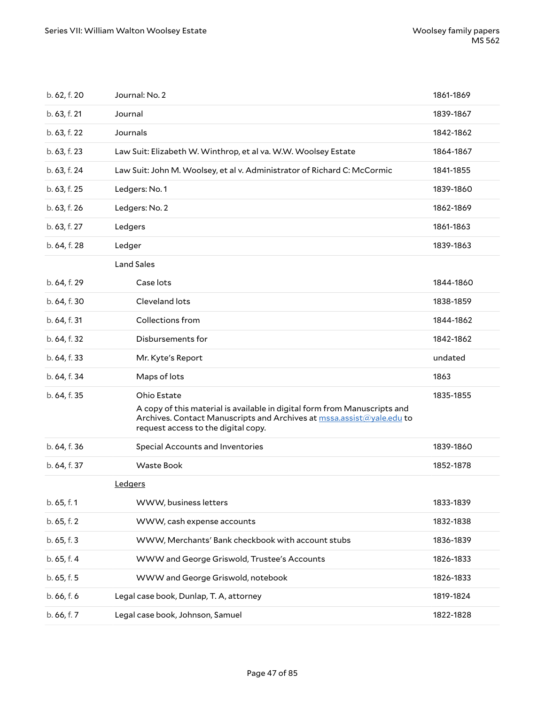| b. 62, f. 20 | Journal: No. 2                                                                                                                                                                                           | 1861-1869 |
|--------------|----------------------------------------------------------------------------------------------------------------------------------------------------------------------------------------------------------|-----------|
| b. 63, f. 21 | Journal                                                                                                                                                                                                  | 1839-1867 |
| b. 63, f. 22 | Journals                                                                                                                                                                                                 | 1842-1862 |
| b. 63, f. 23 | Law Suit: Elizabeth W. Winthrop, et al va. W.W. Woolsey Estate                                                                                                                                           | 1864-1867 |
| b. 63, f. 24 | Law Suit: John M. Woolsey, et al v. Administrator of Richard C: McCormic                                                                                                                                 | 1841-1855 |
| b. 63, f. 25 | Ledgers: No. 1                                                                                                                                                                                           | 1839-1860 |
| b. 63, f. 26 | Ledgers: No. 2                                                                                                                                                                                           | 1862-1869 |
| b. 63, f. 27 | Ledgers                                                                                                                                                                                                  | 1861-1863 |
| b. 64, f. 28 | Ledger                                                                                                                                                                                                   | 1839-1863 |
|              | <b>Land Sales</b>                                                                                                                                                                                        |           |
| b. 64, f. 29 | Case lots                                                                                                                                                                                                | 1844-1860 |
| b. 64, f. 30 | Cleveland lots                                                                                                                                                                                           | 1838-1859 |
| b. 64, f. 31 | Collections from                                                                                                                                                                                         | 1844-1862 |
| b. 64, f. 32 | Disbursements for                                                                                                                                                                                        | 1842-1862 |
| b. 64, f. 33 | Mr. Kyte's Report                                                                                                                                                                                        | undated   |
| b. 64, f. 34 | Maps of lots                                                                                                                                                                                             | 1863      |
| b. 64, f. 35 | Ohio Estate<br>A copy of this material is available in digital form from Manuscripts and<br>Archives. Contact Manuscripts and Archives at mssa.assist@yale.edu to<br>request access to the digital copy. | 1835-1855 |
| b. 64, f. 36 | Special Accounts and Inventories                                                                                                                                                                         | 1839-1860 |
| b. 64, f. 37 | Waste Book                                                                                                                                                                                               | 1852-1878 |
|              | Ledgers                                                                                                                                                                                                  |           |
| b. 65, f. 1  | WWW, business letters                                                                                                                                                                                    | 1833-1839 |
| b. 65, f. 2  | WWW, cash expense accounts                                                                                                                                                                               | 1832-1838 |
| b. 65, f. 3  | WWW, Merchants' Bank checkbook with account stubs                                                                                                                                                        | 1836-1839 |
| b. 65, f. 4  | WWW and George Griswold, Trustee's Accounts                                                                                                                                                              | 1826-1833 |
| b. 65, f. 5  | WWW and George Griswold, notebook                                                                                                                                                                        | 1826-1833 |
| b. 66, f. 6  | Legal case book, Dunlap, T. A, attorney                                                                                                                                                                  | 1819-1824 |
| b. 66, f. 7  | Legal case book, Johnson, Samuel                                                                                                                                                                         | 1822-1828 |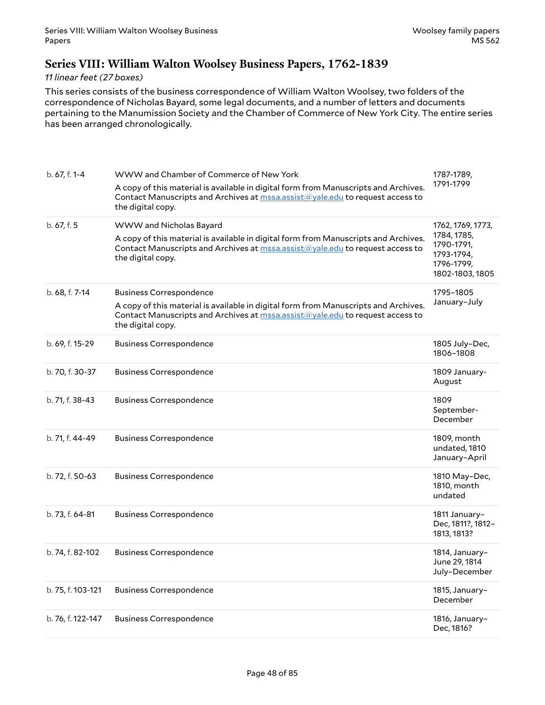## **Series VIII: William Walton Woolsey Business Papers, 1762-1839**

#### *11 linear feet (27 boxes)*

This series consists of the business correspondence of William Walton Woolsey, two folders of the correspondence of Nicholas Bayard, some legal documents, and a number of letters and documents pertaining to the Manumission Society and the Chamber of Commerce of New York City. The entire series has been arranged chronologically.

| b. 67, f. 1-4     | WWW and Chamber of Commerce of New York                                                                                                                                                          | 1787-1789,                                                               |
|-------------------|--------------------------------------------------------------------------------------------------------------------------------------------------------------------------------------------------|--------------------------------------------------------------------------|
|                   | A copy of this material is available in digital form from Manuscripts and Archives.<br>Contact Manuscripts and Archives at mssa.assist@yale.edu to request access to<br>the digital copy.        | 1791-1799                                                                |
| b. 67, f. 5       | WWW and Nicholas Bayard                                                                                                                                                                          | 1762, 1769, 1773,                                                        |
|                   | A copy of this material is available in digital form from Manuscripts and Archives.<br>Contact Manuscripts and Archives at <b>mssa.assist@yale.edu</b> to request access to<br>the digital copy. | 1784, 1785,<br>1790-1791,<br>1793-1794,<br>1796-1799,<br>1802-1803, 1805 |
| b. 68, f. 7-14    | <b>Business Correspondence</b>                                                                                                                                                                   | 1795-1805                                                                |
|                   | A copy of this material is available in digital form from Manuscripts and Archives.<br>Contact Manuscripts and Archives at mssa.assist@yale.edu to request access to<br>the digital copy.        | January-July                                                             |
| b. 69, f. 15-29   | <b>Business Correspondence</b>                                                                                                                                                                   | 1805 July-Dec,<br>1806-1808                                              |
| b. 70, f. 30-37   | <b>Business Correspondence</b>                                                                                                                                                                   | 1809 January-<br>August                                                  |
| b. 71, f. 38-43   | <b>Business Correspondence</b>                                                                                                                                                                   | 1809<br>September-<br>December                                           |
| b. 71, f. 44-49   | <b>Business Correspondence</b>                                                                                                                                                                   | 1809, month<br>undated, 1810<br>January-April                            |
| b. 72, f. 50-63   | <b>Business Correspondence</b>                                                                                                                                                                   | 1810 May-Dec,<br>1810, month<br>undated                                  |
| b. 73, f. 64-81   | <b>Business Correspondence</b>                                                                                                                                                                   | 1811 January-<br>Dec, 1811?, 1812-<br>1813, 1813?                        |
| b. 74, f. 82-102  | <b>Business Correspondence</b>                                                                                                                                                                   | 1814, January-<br>June 29, 1814<br>July-December                         |
| b. 75, f. 103-121 | <b>Business Correspondence</b>                                                                                                                                                                   | 1815, January-<br>December                                               |
| b. 76, f. 122-147 | <b>Business Correspondence</b>                                                                                                                                                                   | 1816, January-<br>Dec, 1816?                                             |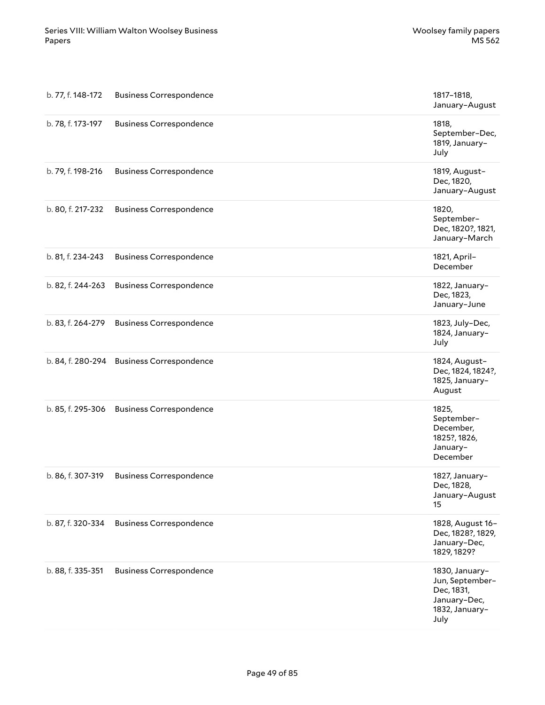| b. 77, f. 148-172 | <b>Business Correspondence</b>            | 1817-1818,<br>January-August                                                              |
|-------------------|-------------------------------------------|-------------------------------------------------------------------------------------------|
| b. 78, f. 173-197 | <b>Business Correspondence</b>            | 1818,<br>September-Dec,<br>1819, January-<br>July                                         |
| b. 79, f. 198-216 | <b>Business Correspondence</b>            | 1819, August-<br>Dec, 1820,<br>January-August                                             |
| b. 80, f. 217-232 | <b>Business Correspondence</b>            | 1820,<br>September-<br>Dec, 1820?, 1821,<br>January-March                                 |
| b. 81, f. 234-243 | <b>Business Correspondence</b>            | 1821, April-<br>December                                                                  |
| b. 82, f. 244-263 | <b>Business Correspondence</b>            | 1822, January-<br>Dec, 1823,<br>January-June                                              |
| b. 83, f. 264-279 | <b>Business Correspondence</b>            | 1823, July-Dec,<br>1824, January-<br>July                                                 |
|                   | b. 84, f. 280-294 Business Correspondence | 1824, August-<br>Dec, 1824, 1824?,<br>1825, January-<br>August                            |
| b. 85, f. 295-306 | <b>Business Correspondence</b>            | 1825,<br>September-<br>December,<br>1825?, 1826,<br>January-<br>December                  |
| b. 86, f. 307-319 | <b>Business Correspondence</b>            | 1827, January-<br>Dec, 1828,<br>January-August<br>15                                      |
| b. 87, f. 320-334 | <b>Business Correspondence</b>            | 1828, August 16-<br>Dec, 1828?, 1829,<br>January-Dec,<br>1829, 1829?                      |
| b. 88, f. 335-351 | <b>Business Correspondence</b>            | 1830, January-<br>Jun, September-<br>Dec, 1831,<br>January-Dec,<br>1832, January-<br>July |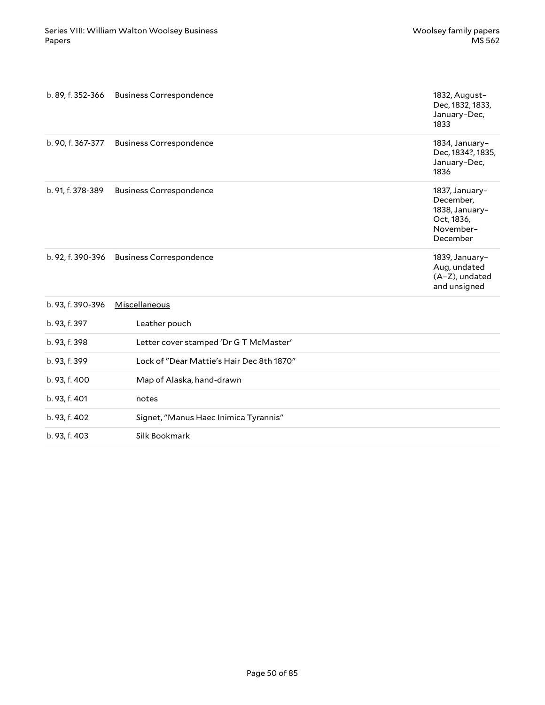|                   | b. 89, f. 352-366 Business Correspondence | 1832, August-<br>Dec, 1832, 1833,<br>January-Dec,<br>1833                            |
|-------------------|-------------------------------------------|--------------------------------------------------------------------------------------|
|                   | b. 90, f. 367-377 Business Correspondence | 1834, January-<br>Dec, 1834?, 1835,<br>January-Dec,<br>1836                          |
| b. 91, f. 378-389 | <b>Business Correspondence</b>            | 1837, January-<br>December,<br>1838, January-<br>Oct, 1836,<br>November-<br>December |
|                   | b. 92, f. 390-396 Business Correspondence | 1839, January-<br>Aug, undated<br>(A-Z), undated<br>and unsigned                     |
| b. 93, f. 390-396 | Miscellaneous                             |                                                                                      |
| b. 93, f. 397     | Leather pouch                             |                                                                                      |
| b. 93, f. 398     | Letter cover stamped 'Dr G T McMaster'    |                                                                                      |
| b. 93, f. 399     | Lock of "Dear Mattie's Hair Dec 8th 1870" |                                                                                      |
| b. 93, f. 400     | Map of Alaska, hand-drawn                 |                                                                                      |
| b. 93, f. 401     | notes                                     |                                                                                      |
| b. 93, f. 402     | Signet, "Manus Haec Inimica Tyrannis"     |                                                                                      |
| b. 93, f. 403     | Silk Bookmark                             |                                                                                      |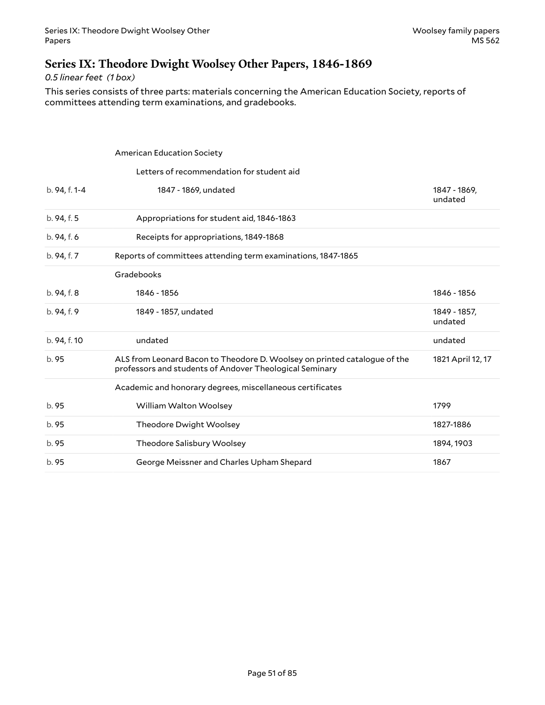## **Series IX: Theodore Dwight Woolsey Other Papers, 1846-1869**

*0.5 linear feet (1 box)*

This series consists of three parts: materials concerning the American Education Society, reports of committees attending term examinations, and gradebooks.

|               | <b>American Education Society</b>                                                                                                    |                         |
|---------------|--------------------------------------------------------------------------------------------------------------------------------------|-------------------------|
|               | Letters of recommendation for student aid                                                                                            |                         |
| b. 94, f. 1-4 | 1847 - 1869, undated                                                                                                                 | 1847 - 1869,<br>undated |
| b. 94, f. 5   | Appropriations for student aid, 1846-1863                                                                                            |                         |
| b. 94, f. 6   | Receipts for appropriations, 1849-1868                                                                                               |                         |
| b. 94, f. 7   | Reports of committees attending term examinations, 1847-1865                                                                         |                         |
|               | Gradebooks                                                                                                                           |                         |
| b. 94, f. 8   | 1846 - 1856                                                                                                                          | 1846 - 1856             |
| b. 94, f. 9   | 1849 - 1857, undated                                                                                                                 | 1849 - 1857,<br>undated |
| b. 94, f. 10  | undated                                                                                                                              | undated                 |
| b. 95         | ALS from Leonard Bacon to Theodore D. Woolsey on printed catalogue of the<br>professors and students of Andover Theological Seminary | 1821 April 12, 17       |
|               | Academic and honorary degrees, miscellaneous certificates                                                                            |                         |
| b. 95         | William Walton Woolsey                                                                                                               | 1799                    |
| b. 95         | Theodore Dwight Woolsey                                                                                                              | 1827-1886               |
| b. 95         | Theodore Salisbury Woolsey                                                                                                           | 1894, 1903              |
| b. 95         | George Meissner and Charles Upham Shepard                                                                                            | 1867                    |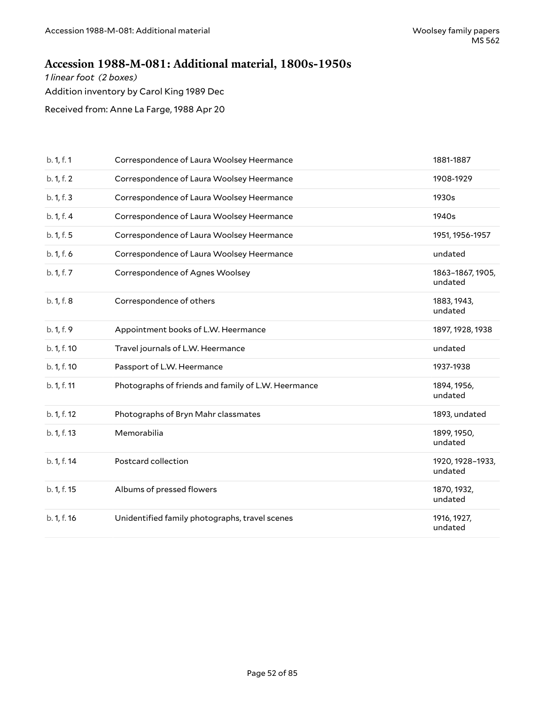## **Accession 1988-M-081: Additional material, 1800s-1950s**

*1 linear foot (2 boxes)*

Addition inventory by Carol King 1989 Dec

Received from: Anne La Farge, 1988 Apr 20

| b. 1, f. 1  | Correspondence of Laura Woolsey Heermance           | 1881-1887                   |
|-------------|-----------------------------------------------------|-----------------------------|
| b. 1, f. 2  | Correspondence of Laura Woolsey Heermance           | 1908-1929                   |
| b. 1, f. 3  | Correspondence of Laura Woolsey Heermance           | 1930s                       |
| b. 1, f. 4  | Correspondence of Laura Woolsey Heermance           | 1940s                       |
| b. 1, f. 5  | Correspondence of Laura Woolsey Heermance           | 1951, 1956-1957             |
| b. 1, f. 6  | Correspondence of Laura Woolsey Heermance           | undated                     |
| b. 1, f. 7  | Correspondence of Agnes Woolsey                     | 1863-1867, 1905,<br>undated |
| b. 1, f. 8  | Correspondence of others                            | 1883, 1943,<br>undated      |
| b. 1, f. 9  | Appointment books of L.W. Heermance                 | 1897, 1928, 1938            |
| b. 1, f. 10 | Travel journals of L.W. Heermance                   | undated                     |
| b. 1, f. 10 | Passport of L.W. Heermance                          | 1937-1938                   |
| b. 1, f. 11 | Photographs of friends and family of L.W. Heermance | 1894, 1956,<br>undated      |
| b. 1, f. 12 | Photographs of Bryn Mahr classmates                 | 1893, undated               |
| b. 1, f. 13 | Memorabilia                                         | 1899, 1950,<br>undated      |
| b. 1, f. 14 | Postcard collection                                 | 1920, 1928-1933,<br>undated |
| b. 1, f. 15 | Albums of pressed flowers                           | 1870, 1932,<br>undated      |
| b. 1, f. 16 | Unidentified family photographs, travel scenes      | 1916, 1927,<br>undated      |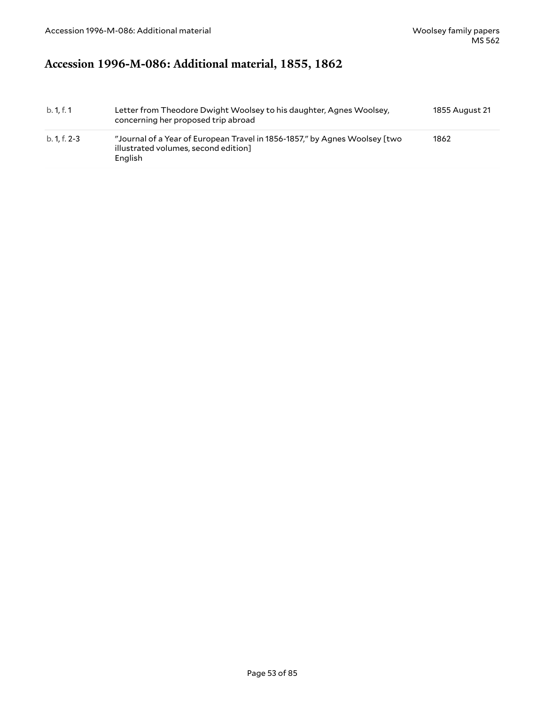# **Accession 1996-M-086: Additional material, 1855, 1862**

| b. 1.f. 1    | Letter from Theodore Dwight Woolsey to his daughter, Agnes Woolsey,<br>concerning her proposed trip abroad                    | 1855 August 21 |
|--------------|-------------------------------------------------------------------------------------------------------------------------------|----------------|
| b. 1. f. 2-3 | "Journal of a Year of European Travel in 1856-1857," by Agnes Woolsey [two<br>illustrated volumes, second edition]<br>English | 1862           |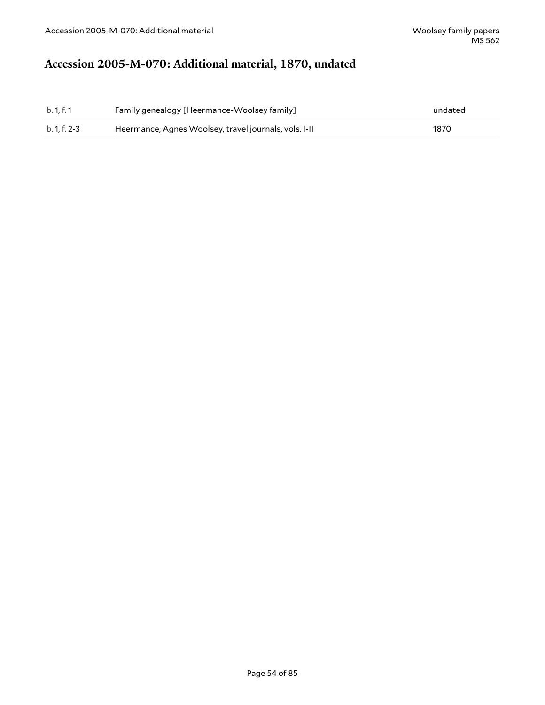# **Accession 2005-M-070: Additional material, 1870, undated**

| b. 1. f. 1   | Family genealogy [Heermance-Woolsey family]           | undated |
|--------------|-------------------------------------------------------|---------|
| b. 1. f. 2-3 | Heermance, Agnes Woolsey, travel journals, vols. I-II | 1870    |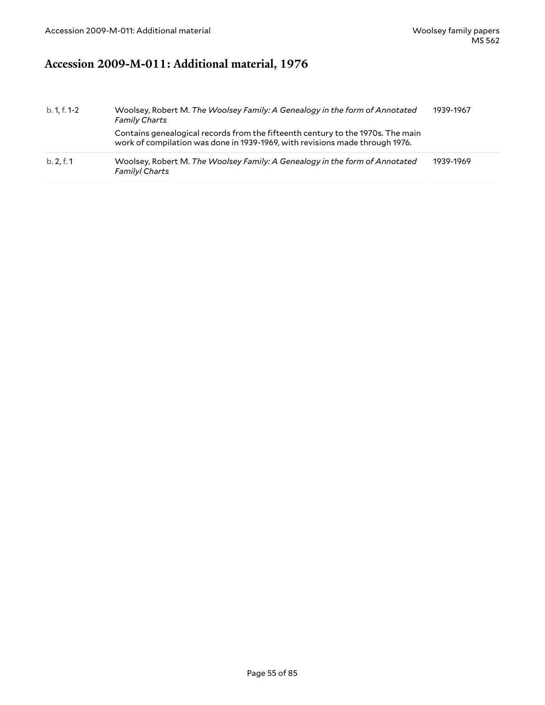# **Accession 2009-M-011: Additional material, 1976**

| b. 1, f. 1-2 | Woolsey, Robert M. The Woolsey Family: A Genealogy in the form of Annotated<br><b>Family Charts</b>                                                             | 1939-1967 |
|--------------|-----------------------------------------------------------------------------------------------------------------------------------------------------------------|-----------|
|              | Contains genealogical records from the fifteenth century to the 1970s. The main<br>work of compilation was done in 1939-1969, with revisions made through 1976. |           |
| b. 2, f. 1   | Woolsey, Robert M. The Woolsey Family: A Genealogy in the form of Annotated<br><b>Familyl Charts</b>                                                            | 1939-1969 |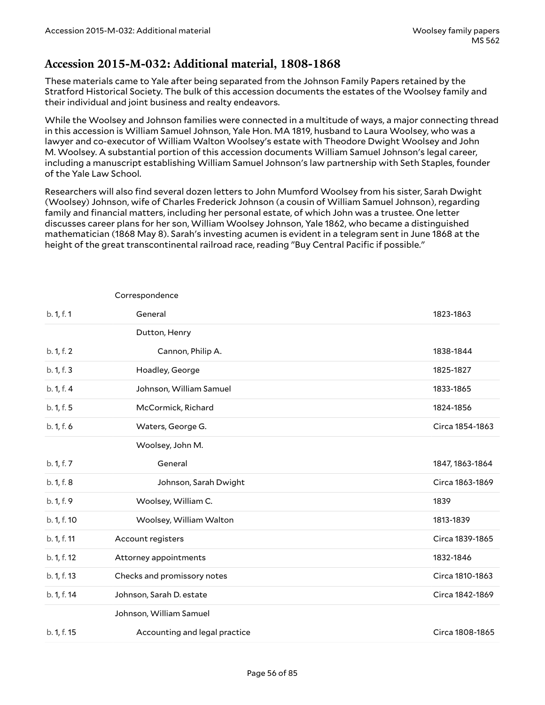## **Accession 2015-M-032: Additional material, 1808-1868**

These materials came to Yale after being separated from the Johnson Family Papers retained by the Stratford Historical Society. The bulk of this accession documents the estates of the Woolsey family and their individual and joint business and realty endeavors.

While the Woolsey and Johnson families were connected in a multitude of ways, a major connecting thread in this accession is William Samuel Johnson, Yale Hon. MA 1819, husband to Laura Woolsey, who was a lawyer and co-executor of William Walton Woolsey's estate with Theodore Dwight Woolsey and John M. Woolsey. A substantial portion of this accession documents William Samuel Johnson's legal career, including a manuscript establishing William Samuel Johnson's law partnership with Seth Staples, founder of the Yale Law School.

Researchers will also find several dozen letters to John Mumford Woolsey from his sister, Sarah Dwight (Woolsey) Johnson, wife of Charles Frederick Johnson (a cousin of William Samuel Johnson), regarding family and financial matters, including her personal estate, of which John was a trustee. One letter discusses career plans for her son, William Woolsey Johnson, Yale 1862, who became a distinguished mathematician (1868 May 8). Sarah's investing acumen is evident in a telegram sent in June 1868 at the height of the great transcontinental railroad race, reading "Buy Central Pacific if possible."

|             | Correspondence                |                 |
|-------------|-------------------------------|-----------------|
| b. 1, f. 1  | General                       | 1823-1863       |
|             | Dutton, Henry                 |                 |
| b. 1, f. 2  | Cannon, Philip A.             | 1838-1844       |
| b. 1, f. 3  | Hoadley, George               | 1825-1827       |
| b. 1, f. 4  | Johnson, William Samuel       | 1833-1865       |
| b. 1, f. 5  | McCormick, Richard            | 1824-1856       |
| b. 1, f. 6  | Waters, George G.             | Circa 1854-1863 |
|             | Woolsey, John M.              |                 |
| b. 1, f. 7  | General                       | 1847, 1863-1864 |
| b. 1, f. 8  | Johnson, Sarah Dwight         | Circa 1863-1869 |
| b. 1, f. 9  | Woolsey, William C.           | 1839            |
| b. 1, f. 10 | Woolsey, William Walton       | 1813-1839       |
| b. 1, f. 11 | Account registers             | Circa 1839-1865 |
| b. 1, f. 12 | Attorney appointments         | 1832-1846       |
| b. 1, f. 13 | Checks and promissory notes   | Circa 1810-1863 |
| b. 1, f. 14 | Johnson, Sarah D. estate      | Circa 1842-1869 |
|             | Johnson, William Samuel       |                 |
| b. 1, f. 15 | Accounting and legal practice | Circa 1808-1865 |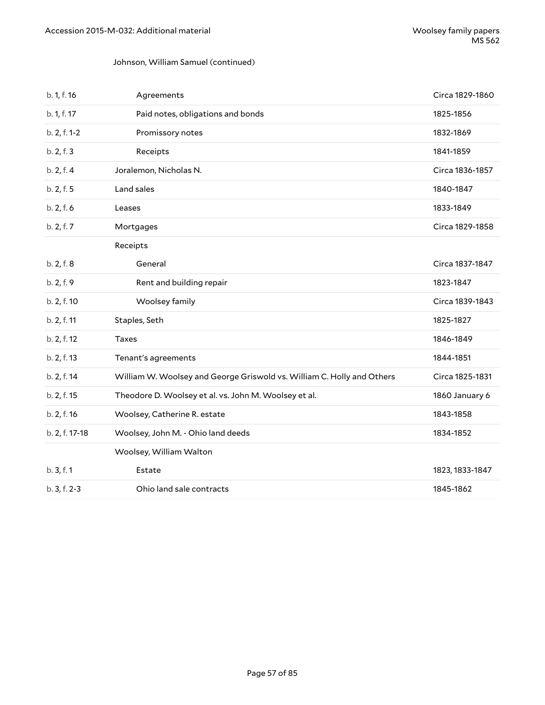#### Johnson, William Samuel (continued)

| b. 1, f. 16    | Agreements                                                             | Circa 1829-1860 |
|----------------|------------------------------------------------------------------------|-----------------|
| b. 1, f. 17    | Paid notes, obligations and bonds                                      | 1825-1856       |
| b. 2, f. 1-2   | Promissory notes                                                       | 1832-1869       |
| b. 2, f. 3     | Receipts                                                               | 1841-1859       |
| b. 2, f. 4     | Joralemon, Nicholas N.                                                 | Circa 1836-1857 |
| b. 2, f. 5     | Land sales                                                             | 1840-1847       |
| b. 2, f. 6     | Leases                                                                 | 1833-1849       |
| b. 2, f. 7     | Mortgages                                                              | Circa 1829-1858 |
|                | Receipts                                                               |                 |
| b. 2, f. 8     | General                                                                | Circa 1837-1847 |
| b. 2, f. 9     | Rent and building repair                                               | 1823-1847       |
| b. 2, f. 10    | Woolsey family                                                         | Circa 1839-1843 |
| b. 2, f. 11    | Staples, Seth                                                          | 1825-1827       |
| b. 2, f. 12    | Taxes                                                                  | 1846-1849       |
| b. 2, f. 13    | Tenant's agreements                                                    | 1844-1851       |
| b. 2, f. 14    | William W. Woolsey and George Griswold vs. William C. Holly and Others | Circa 1825-1831 |
| b. 2, f. 15    | Theodore D. Woolsey et al. vs. John M. Woolsey et al.                  | 1860 January 6  |
| b. 2, f. 16    | Woolsey, Catherine R. estate                                           | 1843-1858       |
| b. 2, f. 17-18 | Woolsey, John M. - Ohio land deeds                                     | 1834-1852       |
|                | Woolsey, William Walton                                                |                 |
| b. 3, f. 1     | Estate                                                                 | 1823, 1833-1847 |
| b. 3, f. 2-3   | Ohio land sale contracts                                               | 1845-1862       |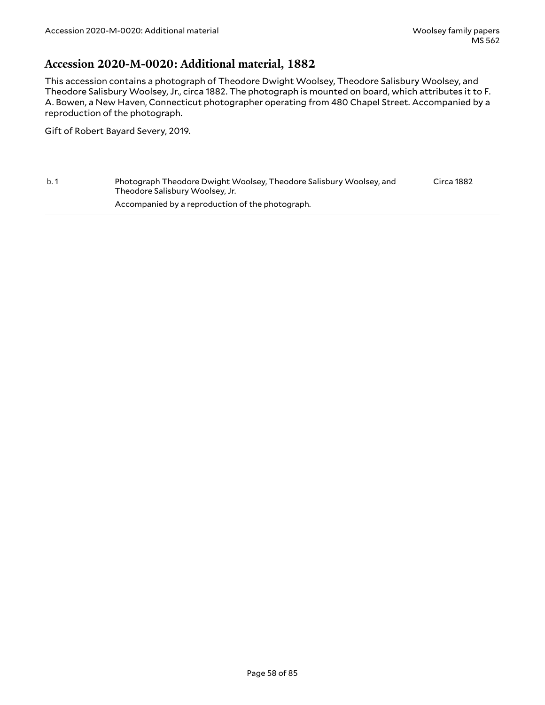### **Accession 2020-M-0020: Additional material, 1882**

This accession contains a photograph of Theodore Dwight Woolsey, Theodore Salisbury Woolsey, and Theodore Salisbury Woolsey, Jr., circa 1882. The photograph is mounted on board, which attributes it to F. A. Bowen, a New Haven, Connecticut photographer operating from 480 Chapel Street. Accompanied by a reproduction of the photograph.

Gift of Robert Bayard Severy, 2019.

b. 1 Photograph Theodore Dwight Woolsey, Theodore Salisbury Woolsey, and Theodore Salisbury Woolsey, Jr. Accompanied by a reproduction of the photograph. Circa 1882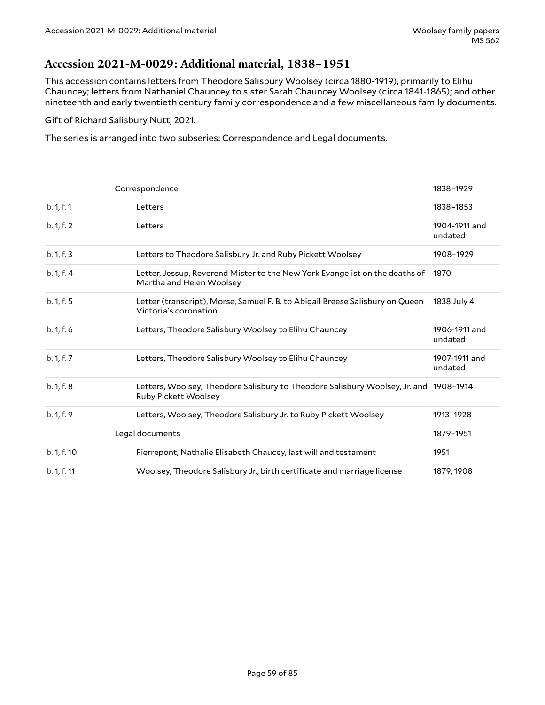## **Accession 2021-M-0029: Additional material, 1838–1951**

This accession contains letters from Theodore Salisbury Woolsey (circa 1880-1919), primarily to Elihu Chauncey; letters from Nathaniel Chauncey to sister Sarah Chauncey Woolsey (circa 1841-1865); and other nineteenth and early twentieth century family correspondence and a few miscellaneous family documents.

Gift of Richard Salisbury Nutt, 2021.

The series is arranged into two subseries: Correspondence and Legal documents.

|             | Correspondence                                                                                                       | 1838-1929                |
|-------------|----------------------------------------------------------------------------------------------------------------------|--------------------------|
| b. 1, f. 1  | Letters                                                                                                              | 1838-1853                |
| b. 1, f. 2  | Letters                                                                                                              | 1904-1911 and<br>undated |
| b. 1, f. 3  | Letters to Theodore Salisbury Jr. and Ruby Pickett Woolsey                                                           | 1908-1929                |
| b. 1, f. 4  | Letter, Jessup, Reverend Mister to the New York Evangelist on the deaths of<br>Martha and Helen Woolsey              | 1870                     |
| b. 1, f. 5  | Letter (transcript), Morse, Samuel F. B. to Abigail Breese Salisbury on Queen<br>Victoria's coronation               | 1838 July 4              |
| b. 1, f. 6  | Letters, Theodore Salisbury Woolsey to Elihu Chauncey                                                                | 1906-1911 and<br>undated |
| b. 1, f. 7  | Letters, Theodore Salisbury Woolsey to Elihu Chauncey                                                                | 1907-1911 and<br>undated |
| b. 1, f. 8  | Letters, Woolsey, Theodore Salisbury to Theodore Salisbury Woolsey, Jr. and 1908-1914<br><b>Ruby Pickett Woolsey</b> |                          |
| b. 1, f. 9  | Letters, Woolsey, Theodore Salisbury Jr. to Ruby Pickett Woolsey                                                     | 1913-1928                |
|             | Legal documents                                                                                                      | 1879-1951                |
| b. 1, f. 10 | Pierrepont, Nathalie Elisabeth Chaucey, last will and testament                                                      | 1951                     |
| b. 1, f. 11 | Woolsey, Theodore Salisbury Jr., birth certificate and marriage license                                              | 1879, 1908               |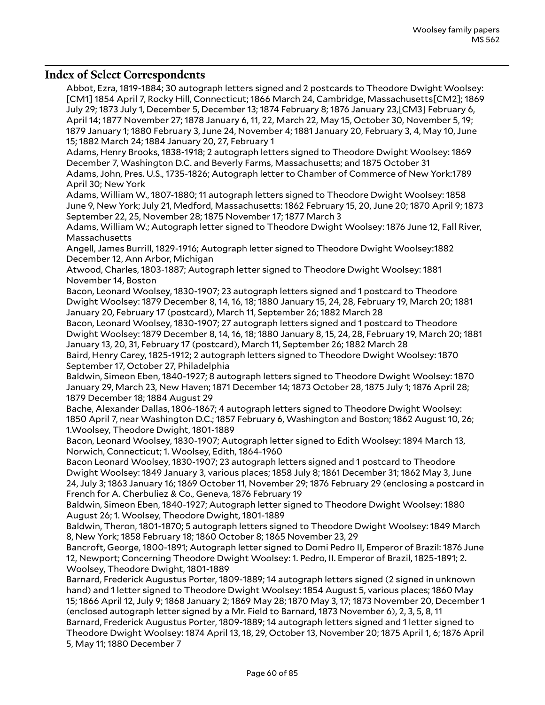### **Index of Select Correspondents**

Abbot, Ezra, 1819-1884; 30 autograph letters signed and 2 postcards to Theodore Dwight Woolsey: [CM1] 1854 April 7, Rocky Hill, Connecticut; 1866 March 24, Cambridge, Massachusetts[CM2]; 1869 July 29; 1873 July 1, December 5, December 13; 1874 February 8; 1876 January 23,[CM3] February 6, April 14; 1877 November 27; 1878 January 6, 11, 22, March 22, May 15, October 30, November 5, 19; 1879 January 1; 1880 February 3, June 24, November 4; 1881 January 20, February 3, 4, May 10, June 15; 1882 March 24; 1884 January 20, 27, February 1 Adams, Henry Brooks, 1838-1918; 2 autograph letters signed to Theodore Dwight Woolsey: 1869 December 7, Washington D.C. and Beverly Farms, Massachusetts; and 1875 October 31 Adams, John, Pres. U.S., 1735-1826; Autograph letter to Chamber of Commerce of New York:1789 April 30; New York Adams, William W., 1807-1880; 11 autograph letters signed to Theodore Dwight Woolsey: 1858 June 9, New York; July 21, Medford, Massachusetts: 1862 February 15, 20, June 20; 1870 April 9; 1873 September 22, 25, November 28; 1875 November 17; 1877 March 3 Adams, William W.; Autograph letter signed to Theodore Dwight Woolsey: 1876 June 12, Fall River, Massachusetts Angell, James Burrill, 1829-1916; Autograph letter signed to Theodore Dwight Woolsey:1882 December 12, Ann Arbor, Michigan Atwood, Charles, 1803-1887; Autograph letter signed to Theodore Dwight Woolsey: 1881 November 14, Boston Bacon, Leonard Woolsey, 1830-1907; 23 autograph letters signed and 1 postcard to Theodore Dwight Woolsey: 1879 December 8, 14, 16, 18; 1880 January 15, 24, 28, February 19, March 20; 1881 January 20, February 17 (postcard), March 11, September 26; 1882 March 28 Bacon, Leonard Woolsey, 1830-1907; 27 autograph letters signed and 1 postcard to Theodore Dwight Woolsey: 1879 December 8, 14, 16, 18; 1880 January 8, 15, 24, 28, February 19, March 20; 1881 January 13, 20, 31, February 17 (postcard), March 11, September 26; 1882 March 28 Baird, Henry Carey, 1825-1912; 2 autograph letters signed to Theodore Dwight Woolsey: 1870 September 17, October 27, Philadelphia Baldwin, Simeon Eben, 1840-1927; 8 autograph letters signed to Theodore Dwight Woolsey: 1870 January 29, March 23, New Haven; 1871 December 14; 1873 October 28, 1875 July 1; 1876 April 28; 1879 December 18; 1884 August 29 Bache, Alexander Dallas, 1806-1867; 4 autograph letters signed to Theodore Dwight Woolsey: 1850 April 7, near Washington D.C.; 1857 February 6, Washington and Boston; 1862 August 10, 26; 1.Woolsey, Theodore Dwight, 1801-1889 Bacon, Leonard Woolsey, 1830-1907; Autograph letter signed to Edith Woolsey: 1894 March 13, Norwich, Connecticut; 1. Woolsey, Edith, 1864-1960 Bacon Leonard Woolsey, 1830-1907; 23 autograph letters signed and 1 postcard to Theodore Dwight Woolsey: 1849 January 3, various places; 1858 July 8; 1861 December 31; 1862 May 3, June 24, July 3; 1863 January 16; 1869 October 11, November 29; 1876 February 29 (enclosing a postcard in French for A. Cherbuliez & Co., Geneva, 1876 February 19 Baldwin, Simeon Eben, 1840-1927; Autograph letter signed to Theodore Dwight Woolsey: 1880 August 26; 1. Woolsey, Theodore Dwight, 1801-1889 Baldwin, Theron, 1801-1870; 5 autograph letters signed to Theodore Dwight Woolsey: 1849 March 8, New York; 1858 February 18; 1860 October 8; 1865 November 23, 29 Bancroft, George, 1800-1891; Autograph letter signed to Domi Pedro II, Emperor of Brazil: 1876 June 12, Newport; Concerning Theodore Dwight Woolsey: 1. Pedro, II. Emperor of Brazil, 1825-1891; 2. Woolsey, Theodore Dwight, 1801-1889 Barnard, Frederick Augustus Porter, 1809-1889; 14 autograph letters signed (2 signed in unknown

hand) and 1 letter signed to Theodore Dwight Woolsey: 1854 August 5, various places; 1860 May 15; 1866 April 12, July 9; 1868 January 2; 1869 May 28; 1870 May 3, 17; 1873 November 20, December 1 (enclosed autograph letter signed by a Mr. Field to Barnard, 1873 November 6), 2, 3, 5, 8, 11 Barnard, Frederick Augustus Porter, 1809-1889; 14 autograph letters signed and 1 letter signed to Theodore Dwight Woolsey: 1874 April 13, 18, 29, October 13, November 20; 1875 April 1, 6; 1876 April 5, May 11; 1880 December 7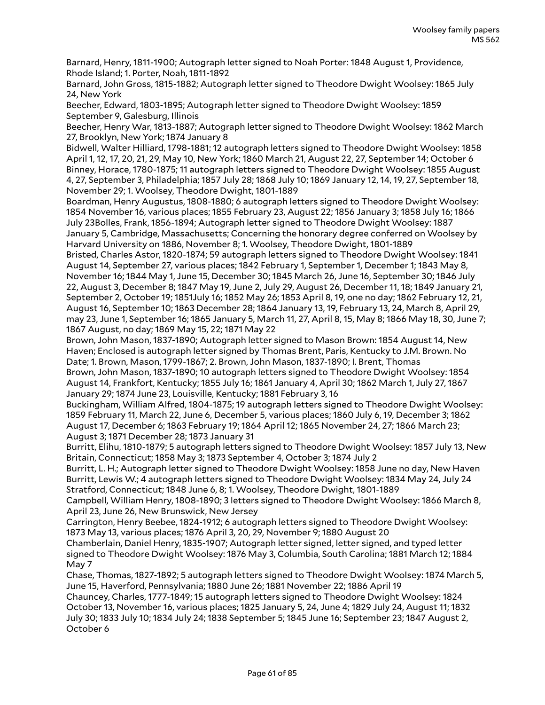Barnard, Henry, 1811-1900; Autograph letter signed to Noah Porter: 1848 August 1, Providence, Rhode Island; 1. Porter, Noah, 1811-1892

Barnard, John Gross, 1815-1882; Autograph letter signed to Theodore Dwight Woolsey: 1865 July 24, New York

Beecher, Edward, 1803-1895; Autograph letter signed to Theodore Dwight Woolsey: 1859 September 9, Galesburg, Illinois

Beecher, Henry War, 1813-1887; Autograph letter signed to Theodore Dwight Woolsey: 1862 March 27, Brooklyn, New York; 1874 January 8

Bidwell, Walter Hilliard, 1798-1881; 12 autograph letters signed to Theodore Dwight Woolsey: 1858 April 1, 12, 17, 20, 21, 29, May 10, New York; 1860 March 21, August 22, 27, September 14; October 6 Binney, Horace, 1780-1875; 11 autograph letters signed to Theodore Dwight Woolsey: 1855 August 4, 27, September 3, Philadelphia; 1857 July 28; 1868 July 10; 1869 January 12, 14, 19, 27, September 18, November 29; 1. Woolsey, Theodore Dwight, 1801-1889

Boardman, Henry Augustus, 1808-1880; 6 autograph letters signed to Theodore Dwight Woolsey: 1854 November 16, various places; 1855 February 23, August 22; 1856 January 3; 1858 July 16; 1866 July 23Bolles, Frank, 1856-1894; Autograph letter signed to Theodore Dwight Woolsey: 1887 January 5, Cambridge, Massachusetts; Concerning the honorary degree conferred on Woolsey by Harvard University on 1886, November 8; 1. Woolsey, Theodore Dwight, 1801-1889

Bristed, Charles Astor, 1820-1874; 59 autograph letters signed to Theodore Dwight Woolsey: 1841 August 14, September 27, various places; 1842 February 1, September 1, December 1; 1843 May 8, November 16; 1844 May 1, June 15, December 30; 1845 March 26, June 16, September 30; 1846 July 22, August 3, December 8; 1847 May 19, June 2, July 29, August 26, December 11, 18; 1849 January 21, September 2, October 19; 1851July 16; 1852 May 26; 1853 April 8, 19, one no day; 1862 February 12, 21, August 16, September 10; 1863 December 28; 1864 January 13, 19, February 13, 24, March 8, April 29, may 23, June 1, September 16; 1865 January 5, March 11, 27, April 8, 15, May 8; 1866 May 18, 30, June 7; 1867 August, no day; 1869 May 15, 22; 1871 May 22

Brown, John Mason, 1837-1890; Autograph letter signed to Mason Brown: 1854 August 14, New Haven; Enclosed is autograph letter signed by Thomas Brent, Paris, Kentucky to J.M. Brown. No Date; 1. Brown, Mason, 1799-1867; 2. Brown, John Mason, 1837-1890; I. Brent, Thomas

Brown, John Mason, 1837-1890; 10 autograph letters signed to Theodore Dwight Woolsey: 1854 August 14, Frankfort, Kentucky; 1855 July 16; 1861 January 4, April 30; 1862 March 1, July 27, 1867 January 29; 1874 June 23, Louisville, Kentucky; 1881 February 3, 16

Buckingham, William Alfred, 1804-1875; 19 autograph letters signed to Theodore Dwight Woolsey: 1859 February 11, March 22, June 6, December 5, various places; 1860 July 6, 19, December 3; 1862 August 17, December 6; 1863 February 19; 1864 April 12; 1865 November 24, 27; 1866 March 23; August 3; 1871 December 28; 1873 January 31

Burritt, Elihu, 1810-1879; 5 autograph letters signed to Theodore Dwight Woolsey: 1857 July 13, New Britain, Connecticut; 1858 May 3; 1873 September 4, October 3; 1874 July 2

Burritt, L. H.; Autograph letter signed to Theodore Dwight Woolsey: 1858 June no day, New Haven Burritt, Lewis W.; 4 autograph letters signed to Theodore Dwight Woolsey: 1834 May 24, July 24 Stratford, Connecticut; 1848 June 6, 8; 1. Woolsey, Theodore Dwight, 1801-1889

Campbell, William Henry, 1808-1890; 3 letters signed to Theodore Dwight Woolsey: 1866 March 8, April 23, June 26, New Brunswick, New Jersey

Carrington, Henry Beebee, 1824-1912; 6 autograph letters signed to Theodore Dwight Woolsey: 1873 May 13, various places; 1876 April 3, 20, 29, November 9; 1880 August 20

Chamberlain, Daniel Henry, 1835-1907; Autograph letter signed, letter signed, and typed letter signed to Theodore Dwight Woolsey: 1876 May 3, Columbia, South Carolina; 1881 March 12; 1884 May 7

Chase, Thomas, 1827-1892; 5 autograph letters signed to Theodore Dwight Woolsey: 1874 March 5, June 15, Haverford, Pennsylvania; 1880 June 26; 1881 November 22; 1886 April 19

Chauncey, Charles, 1777-1849; 15 autograph letters signed to Theodore Dwight Woolsey: 1824 October 13, November 16, various places; 1825 January 5, 24, June 4; 1829 July 24, August 11; 1832 July 30; 1833 July 10; 1834 July 24; 1838 September 5; 1845 June 16; September 23; 1847 August 2, October 6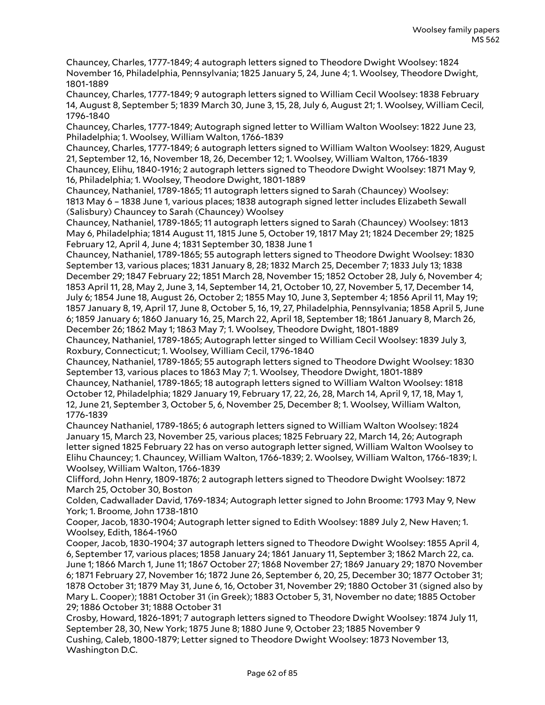Chauncey, Charles, 1777-1849; 4 autograph letters signed to Theodore Dwight Woolsey: 1824 November 16, Philadelphia, Pennsylvania; 1825 January 5, 24, June 4; 1. Woolsey, Theodore Dwight, 1801-1889

Chauncey, Charles, 1777-1849; 9 autograph letters signed to William Cecil Woolsey: 1838 February 14, August 8, September 5; 1839 March 30, June 3, 15, 28, July 6, August 21; 1. Woolsey, William Cecil, 1796-1840

Chauncey, Charles, 1777-1849; Autograph signed letter to William Walton Woolsey: 1822 June 23, Philadelphia; 1. Woolsey, William Walton, 1766-1839

Chauncey, Charles, 1777-1849; 6 autograph letters signed to William Walton Woolsey: 1829, August 21, September 12, 16, November 18, 26, December 12; 1. Woolsey, William Walton, 1766-1839 Chauncey, Elihu, 1840-1916; 2 autograph letters signed to Theodore Dwight Woolsey: 1871 May 9, 16, Philadelphia; 1. Woolsey, Theodore Dwight, 1801-1889

Chauncey, Nathaniel, 1789-1865; 11 autograph letters signed to Sarah (Chauncey) Woolsey: 1813 May 6 – 1838 June 1, various places; 1838 autograph signed letter includes Elizabeth Sewall (Salisbury) Chauncey to Sarah (Chauncey) Woolsey

Chauncey, Nathaniel, 1789-1865; 11 autograph letters signed to Sarah (Chauncey) Woolsey: 1813 May 6, Philadelphia; 1814 August 11, 1815 June 5, October 19, 1817 May 21; 1824 December 29; 1825 February 12, April 4, June 4; 1831 September 30, 1838 June 1

Chauncey, Nathaniel, 1789-1865; 55 autograph letters signed to Theodore Dwight Woolsey: 1830 September 13, various places; 1831 January 8, 28; 1832 March 25, December 7; 1833 July 13; 1838 December 29; 1847 February 22; 1851 March 28, November 15; 1852 October 28, July 6, November 4; 1853 April 11, 28, May 2, June 3, 14, September 14, 21, October 10, 27, November 5, 17, December 14, July 6; 1854 June 18, August 26, October 2; 1855 May 10, June 3, September 4; 1856 April 11, May 19; 1857 January 8, 19, April 17, June 8, October 5, 16, 19, 27, Philadelphia, Pennsylvania; 1858 April 5, June 6; 1859 January 6; 1860 January 16, 25, March 22, April 18, September 18; 1861 January 8, March 26, December 26; 1862 May 1; 1863 May 7; 1. Woolsey, Theodore Dwight, 1801-1889

Chauncey, Nathaniel, 1789-1865; Autograph letter singed to William Cecil Woolsey: 1839 July 3, Roxbury, Connecticut; 1. Woolsey, William Cecil, 1796-1840

Chauncey, Nathaniel, 1789-1865; 55 autograph letters signed to Theodore Dwight Woolsey: 1830 September 13, various places to 1863 May 7; 1. Woolsey, Theodore Dwight, 1801-1889

Chauncey, Nathaniel, 1789-1865; 18 autograph letters signed to William Walton Woolsey: 1818 October 12, Philadelphia; 1829 January 19, February 17, 22, 26, 28, March 14, April 9, 17, 18, May 1, 12, June 21, September 3, October 5, 6, November 25, December 8; 1. Woolsey, William Walton, 1776-1839

Chauncey Nathaniel, 1789-1865; 6 autograph letters signed to William Walton Woolsey: 1824 January 15, March 23, November 25, various places; 1825 February 22, March 14, 26; Autograph letter signed 1825 February 22 has on verso autograph letter signed, William Walton Woolsey to Elihu Chauncey; 1. Chauncey, William Walton, 1766-1839; 2. Woolsey, William Walton, 1766-1839; I. Woolsey, William Walton, 1766-1839

Clifford, John Henry, 1809-1876; 2 autograph letters signed to Theodore Dwight Woolsey: 1872 March 25, October 30, Boston

Colden, Cadwallader David, 1769-1834; Autograph letter signed to John Broome: 1793 May 9, New York; 1. Broome, John 1738-1810

Cooper, Jacob, 1830-1904; Autograph letter signed to Edith Woolsey: 1889 July 2, New Haven; 1. Woolsey, Edith, 1864-1960

Cooper, Jacob, 1830-1904; 37 autograph letters signed to Theodore Dwight Woolsey: 1855 April 4, 6, September 17, various places; 1858 January 24; 1861 January 11, September 3; 1862 March 22, ca. June 1; 1866 March 1, June 11; 1867 October 27; 1868 November 27; 1869 January 29; 1870 November 6; 1871 February 27, November 16; 1872 June 26, September 6, 20, 25, December 30; 1877 October 31; 1878 October 31; 1879 May 31, June 6, 16, October 31, November 29; 1880 October 31 (signed also by Mary L. Cooper); 1881 October 31 (in Greek); 1883 October 5, 31, November no date; 1885 October 29; 1886 October 31; 1888 October 31

Crosby, Howard, 1826-1891; 7 autograph letters signed to Theodore Dwight Woolsey: 1874 July 11, September 28, 30, New York; 1875 June 8; 1880 June 9, October 23; 1885 November 9 Cushing, Caleb, 1800-1879; Letter signed to Theodore Dwight Woolsey: 1873 November 13, Washington D.C.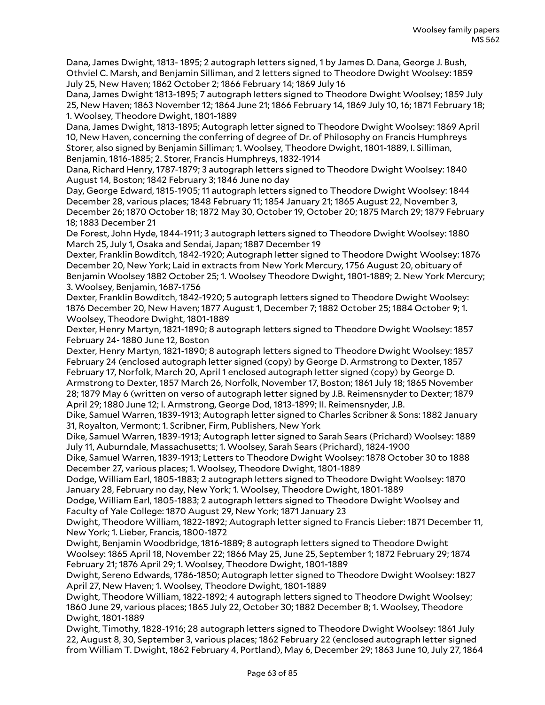Dana, James Dwight, 1813- 1895; 2 autograph letters signed, 1 by James D. Dana, George J. Bush, Othviel C. Marsh, and Benjamin Silliman, and 2 letters signed to Theodore Dwight Woolsey: 1859 July 25, New Haven; 1862 October 2; 1866 February 14; 1869 July 16

Dana, James Dwight 1813-1895; 7 autograph letters signed to Theodore Dwight Woolsey; 1859 July 25, New Haven; 1863 November 12; 1864 June 21; 1866 February 14, 1869 July 10, 16; 1871 February 18; 1. Woolsey, Theodore Dwight, 1801-1889

Dana, James Dwight, 1813-1895; Autograph letter signed to Theodore Dwight Woolsey: 1869 April 10, New Haven, concerning the conferring of degree of Dr. of Philosophy on Francis Humphreys Storer, also signed by Benjamin Silliman; 1. Woolsey, Theodore Dwight, 1801-1889, I. Silliman, Benjamin, 1816-1885; 2. Storer, Francis Humphreys, 1832-1914

Dana, Richard Henry, 1787-1879; 3 autograph letters signed to Theodore Dwight Woolsey: 1840 August 14, Boston; 1842 February 3; 1846 June no day

Day, George Edward, 1815-1905; 11 autograph letters signed to Theodore Dwight Woolsey: 1844 December 28, various places; 1848 February 11; 1854 January 21; 1865 August 22, November 3, December 26; 1870 October 18; 1872 May 30, October 19, October 20; 1875 March 29; 1879 February 18; 1883 December 21

De Forest, John Hyde, 1844-1911; 3 autograph letters signed to Theodore Dwight Woolsey: 1880 March 25, July 1, Osaka and Sendai, Japan; 1887 December 19

Dexter, Franklin Bowditch, 1842-1920; Autograph letter signed to Theodore Dwight Woolsey: 1876 December 20, New York; Laid in extracts from New York Mercury, 1756 August 20, obituary of Benjamin Woolsey 1882 October 25; 1. Woolsey Theodore Dwight, 1801-1889; 2. New York Mercury; 3. Woolsey, Benjamin, 1687-1756

Dexter, Franklin Bowditch, 1842-1920; 5 autograph letters signed to Theodore Dwight Woolsey: 1876 December 20, New Haven; 1877 August 1, December 7; 1882 October 25; 1884 October 9; 1. Woolsey, Theodore Dwight, 1801-1889

Dexter, Henry Martyn, 1821-1890; 8 autograph letters signed to Theodore Dwight Woolsey: 1857 February 24- 1880 June 12, Boston

Dexter, Henry Martyn, 1821-1890; 8 autograph letters signed to Theodore Dwight Woolsey: 1857 February 24 (enclosed autograph letter signed (copy) by George D. Armstrong to Dexter, 1857 February 17, Norfolk, March 20, April 1 enclosed autograph letter signed (copy) by George D. Armstrong to Dexter, 1857 March 26, Norfolk, November 17, Boston; 1861 July 18; 1865 November 28; 1879 May 6 (written on verso of autograph letter signed by J.B. Reimensnyder to Dexter; 1879 April 29; 1880 June 12; I. Armstrong, George Dod, 1813-1899; II. Reimensnyder, J.B.

Dike, Samuel Warren, 1839-1913; Autograph letter signed to Charles Scribner & Sons: 1882 January 31, Royalton, Vermont; 1. Scribner, Firm, Publishers, New York

Dike, Samuel Warren, 1839-1913; Autograph letter signed to Sarah Sears (Prichard) Woolsey: 1889 July 11, Auburndale, Massachusetts; 1. Woolsey, Sarah Sears (Prichard), 1824-1900

Dike, Samuel Warren, 1839-1913; Letters to Theodore Dwight Woolsey: 1878 October 30 to 1888 December 27, various places; 1. Woolsey, Theodore Dwight, 1801-1889

Dodge, William Earl, 1805-1883; 2 autograph letters signed to Theodore Dwight Woolsey: 1870 January 28, February no day, New York; 1. Woolsey, Theodore Dwight, 1801-1889

Dodge, William Earl, 1805-1883; 2 autograph letters signed to Theodore Dwight Woolsey and Faculty of Yale College: 1870 August 29, New York; 1871 January 23

Dwight, Theodore William, 1822-1892; Autograph letter signed to Francis Lieber: 1871 December 11, New York; 1. Lieber, Francis, 1800-1872

Dwight, Benjamin Woodbridge, 1816-1889; 8 autograph letters signed to Theodore Dwight Woolsey: 1865 April 18, November 22; 1866 May 25, June 25, September 1; 1872 February 29; 1874 February 21; 1876 April 29; 1. Woolsey, Theodore Dwight, 1801-1889

Dwight, Sereno Edwards, 1786-1850; Autograph letter signed to Theodore Dwight Woolsey: 1827 April 27, New Haven; 1. Woolsey, Theodore Dwight, 1801-1889

Dwight, Theodore William, 1822-1892; 4 autograph letters signed to Theodore Dwight Woolsey; 1860 June 29, various places; 1865 July 22, October 30; 1882 December 8; 1. Woolsey, Theodore Dwight, 1801-1889

Dwight, Timothy, 1828-1916; 28 autograph letters signed to Theodore Dwight Woolsey: 1861 July 22, August 8, 30, September 3, various places; 1862 February 22 (enclosed autograph letter signed from William T. Dwight, 1862 February 4, Portland), May 6, December 29; 1863 June 10, July 27, 1864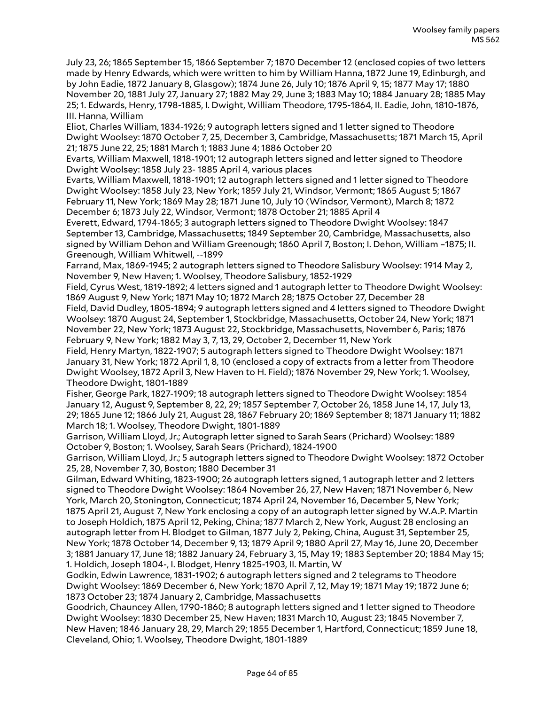July 23, 26; 1865 September 15, 1866 September 7; 1870 December 12 (enclosed copies of two letters made by Henry Edwards, which were written to him by William Hanna, 1872 June 19, Edinburgh, and by John Eadie, 1872 January 8, Glasgow); 1874 June 26, July 10; 1876 April 9, 15; 1877 May 17; 1880 November 20, 1881 July 27, January 27; 1882 May 29, June 3; 1883 May 10; 1884 January 28; 1885 May 25; 1. Edwards, Henry, 1798-1885, I. Dwight, William Theodore, 1795-1864, II. Eadie, John, 1810-1876, III. Hanna, William

Eliot, Charles William, 1834-1926; 9 autograph letters signed and 1 letter signed to Theodore Dwight Woolsey: 1870 October 7, 25, December 3, Cambridge, Massachusetts; 1871 March 15, April 21; 1875 June 22, 25; 1881 March 1; 1883 June 4; 1886 October 20

Evarts, William Maxwell, 1818-1901; 12 autograph letters signed and letter signed to Theodore Dwight Woolsey: 1858 July 23- 1885 April 4, various places

Evarts, William Maxwell, 1818-1901; 12 autograph letters signed and 1 letter signed to Theodore Dwight Woolsey: 1858 July 23, New York; 1859 July 21, Windsor, Vermont; 1865 August 5; 1867 February 11, New York; 1869 May 28; 1871 June 10, July 10 (Windsor, Vermont), March 8; 1872 December 6; 1873 July 22, Windsor, Vermont; 1878 October 21; 1885 April 4

Everett, Edward, 1794-1865; 3 autograph letters signed to Theodore Dwight Woolsey: 1847 September 13, Cambridge, Massachusetts; 1849 September 20, Cambridge, Massachusetts, also signed by William Dehon and William Greenough; 1860 April 7, Boston; I. Dehon, William –1875; II. Greenough, William Whitwell, --1899

Farrand, Max, 1869-1945; 2 autograph letters signed to Theodore Salisbury Woolsey: 1914 May 2, November 9, New Haven; 1. Woolsey, Theodore Salisbury, 1852-1929

Field, Cyrus West, 1819-1892; 4 letters signed and 1 autograph letter to Theodore Dwight Woolsey: 1869 August 9, New York; 1871 May 10; 1872 March 28; 1875 October 27, December 28

Field, David Dudley, 1805-1894; 9 autograph letters signed and 4 letters signed to Theodore Dwight Woolsey: 1870 August 24, September 1, Stockbridge, Massachusetts, October 24, New York; 1871 November 22, New York; 1873 August 22, Stockbridge, Massachusetts, November 6, Paris; 1876 February 9, New York; 1882 May 3, 7, 13, 29, October 2, December 11, New York

Field, Henry Martyn, 1822-1907; 5 autograph letters signed to Theodore Dwight Woolsey: 1871 January 31, New York; 1872 April 1, 8, 10 (enclosed a copy of extracts from a letter from Theodore Dwight Woolsey, 1872 April 3, New Haven to H. Field); 1876 November 29, New York; 1. Woolsey, Theodore Dwight, 1801-1889

Fisher, George Park, 1827-1909; 18 autograph letters signed to Theodore Dwight Woolsey: 1854 January 12, August 9, September 8, 22, 29; 1857 September 7, October 26, 1858 June 14, 17, July 13, 29; 1865 June 12; 1866 July 21, August 28, 1867 February 20; 1869 September 8; 1871 January 11; 1882 March 18; 1. Woolsey, Theodore Dwight, 1801-1889

Garrison, William Lloyd, Jr.; Autograph letter signed to Sarah Sears (Prichard) Woolsey: 1889 October 9, Boston; 1. Woolsey, Sarah Sears (Prichard), 1824-1900

Garrison, William Lloyd, Jr.; 5 autograph letters signed to Theodore Dwight Woolsey: 1872 October 25, 28, November 7, 30, Boston; 1880 December 31

Gilman, Edward Whiting, 1823-1900; 26 autograph letters signed, 1 autograph letter and 2 letters signed to Theodore Dwight Woolsey: 1864 November 26, 27, New Haven; 1871 November 6, New York, March 20, Stonington, Connecticut; 1874 April 24, November 16, December 5, New York; 1875 April 21, August 7, New York enclosing a copy of an autograph letter signed by W.A.P. Martin to Joseph Holdich, 1875 April 12, Peking, China; 1877 March 2, New York, August 28 enclosing an autograph letter from H. Blodget to Gilman, 1877 July 2, Peking, China, August 31, September 25, New York; 1878 October 14, December 9, 13; 1879 April 9; 1880 April 27, May 16, June 20, December 3; 1881 January 17, June 18; 1882 January 24, February 3, 15, May 19; 1883 September 20; 1884 May 15; 1. Holdich, Joseph 1804-, I. Blodget, Henry 1825-1903, II. Martin, W

Godkin, Edwin Lawrence, 1831-1902; 6 autograph letters signed and 2 telegrams to Theodore Dwight Woolsey: 1869 December 6, New York; 1870 April 7, 12, May 19; 1871 May 19; 1872 June 6; 1873 October 23; 1874 January 2, Cambridge, Massachusetts

Goodrich, Chauncey Allen, 1790-1860; 8 autograph letters signed and 1 letter signed to Theodore Dwight Woolsey: 1830 December 25, New Haven; 1831 March 10, August 23; 1845 November 7, New Haven; 1846 January 28, 29, March 29; 1855 December 1, Hartford, Connecticut; 1859 June 18, Cleveland, Ohio; 1. Woolsey, Theodore Dwight, 1801-1889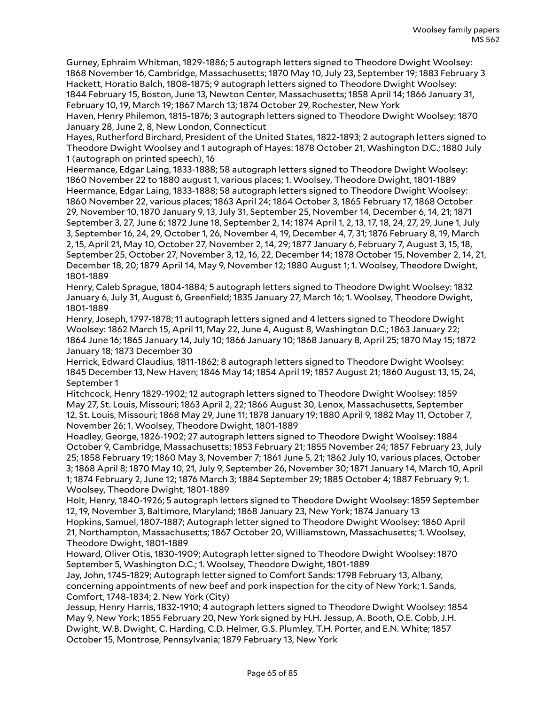Gurney, Ephraim Whitman, 1829-1886; 5 autograph letters signed to Theodore Dwight Woolsey: 1868 November 16, Cambridge, Massachusetts; 1870 May 10, July 23, September 19; 1883 February 3 Hackett, Horatio Balch, 1808-1875; 9 autograph letters signed to Theodore Dwight Woolsey: 1844 February 15, Boston, June 13, Newton Center, Massachusetts; 1858 April 14; 1866 January 31, February 10, 19, March 19; 1867 March 13; 1874 October 29, Rochester, New York

Haven, Henry Philemon, 1815-1876; 3 autograph letters signed to Theodore Dwight Woolsey: 1870 January 28, June 2, 8, New London, Connecticut

Hayes, Rutherford Birchard, President of the United States, 1822-1893; 2 autograph letters signed to Theodore Dwight Woolsey and 1 autograph of Hayes: 1878 October 21, Washington D.C.; 1880 July 1 (autograph on printed speech), 16

Heermance, Edgar Laing, 1833-1888; 58 autograph letters signed to Theodore Dwight Woolsey: 1860 November 22 to 1880 august 1, various places; 1. Woolsey, Theodore Dwight, 1801-1889 Heermance, Edgar Laing, 1833-1888; 58 autograph letters signed to Theodore Dwight Woolsey: 1860 November 22, various places; 1863 April 24; 1864 October 3, 1865 February 17, 1868 October 29, November 10, 1870 January 9, 13, July 31, September 25, November 14, December 6, 14, 21; 1871 September 3, 27, June 6; 1872 June 18, September 2, 14; 1874 April 1, 2, 13, 17, 18, 24, 27, 29, June 1, July 3, September 16, 24, 29, October 1, 26, November 4, 19, December 4, 7, 31; 1876 February 8, 19, March 2, 15, April 21, May 10, October 27, November 2, 14, 29; 1877 January 6, February 7, August 3, 15, 18, September 25, October 27, November 3, 12, 16, 22, December 14; 1878 October 15, November 2, 14, 21, December 18, 20; 1879 April 14, May 9, November 12; 1880 August 1; 1. Woolsey, Theodore Dwight, 1801-1889

Henry, Caleb Sprague, 1804-1884; 5 autograph letters signed to Theodore Dwight Woolsey: 1832 January 6, July 31, August 6, Greenfield; 1835 January 27, March 16; 1. Woolsey, Theodore Dwight, 1801-1889

Henry, Joseph, 1797-1878; 11 autograph letters signed and 4 letters signed to Theodore Dwight Woolsey: 1862 March 15, April 11, May 22, June 4, August 8, Washington D.C.; 1863 January 22; 1864 June 16; 1865 January 14, July 10; 1866 January 10; 1868 January 8, April 25; 1870 May 15; 1872 January 18; 1873 December 30

Herrick, Edward Claudius, 1811-1862; 8 autograph letters signed to Theodore Dwight Woolsey: 1845 December 13, New Haven; 1846 May 14; 1854 April 19; 1857 August 21; 1860 August 13, 15, 24, September 1

Hitchcock, Henry 1829-1902; 12 autograph letters signed to Theodore Dwight Woolsey: 1859 May 27, St. Louis, Missouri; 1863 April 2, 22; 1866 August 30, Lenox, Massachusetts, September 12, St. Louis, Missouri; 1868 May 29, June 11; 1878 January 19; 1880 April 9, 1882 May 11, October 7, November 26; 1. Woolsey, Theodore Dwight, 1801-1889

Hoadley, George, 1826-1902; 27 autograph letters signed to Theodore Dwight Woolsey: 1884 October 9, Cambridge, Massachusetts; 1853 February 21; 1855 November 24; 1857 February 23, July 25; 1858 February 19; 1860 May 3, November 7; 1861 June 5, 21; 1862 July 10, various places, October 3; 1868 April 8; 1870 May 10, 21, July 9, September 26, November 30; 1871 January 14, March 10, April 1; 1874 February 2, June 12; 1876 March 3; 1884 September 29; 1885 October 4; 1887 February 9; 1. Woolsey, Theodore Dwight, 1801-1889

Holt, Henry, 1840-1926; 5 autograph letters signed to Theodore Dwight Woolsey: 1859 September 12, 19, November 3, Baltimore, Maryland; 1868 January 23, New York; 1874 January 13 Hopkins, Samuel, 1807-1887; Autograph letter signed to Theodore Dwight Woolsey: 1860 April 21, Northampton, Massachusetts; 1867 October 20, Williamstown, Massachusetts; 1. Woolsey, Theodore Dwight, 1801-1889

Howard, Oliver Otis, 1830-1909; Autograph letter signed to Theodore Dwight Woolsey: 1870 September 5, Washington D.C.; 1. Woolsey, Theodore Dwight, 1801-1889

Jay, John, 1745-1829; Autograph letter signed to Comfort Sands: 1798 February 13, Albany, concerning appointments of new beef and pork inspection for the city of New York; 1. Sands, Comfort, 1748-1834; 2. New York (City)

Jessup, Henry Harris, 1832-1910; 4 autograph letters signed to Theodore Dwight Woolsey: 1854 May 9, New York; 1855 February 20, New York signed by H.H. Jessup, A. Booth, O.E. Cobb, J.H. Dwight, W.B. Dwight, C. Harding, C.D. Helmer, G.S. Plumley, T.H. Porter, and E.N. White; 1857 October 15, Montrose, Pennsylvania; 1879 February 13, New York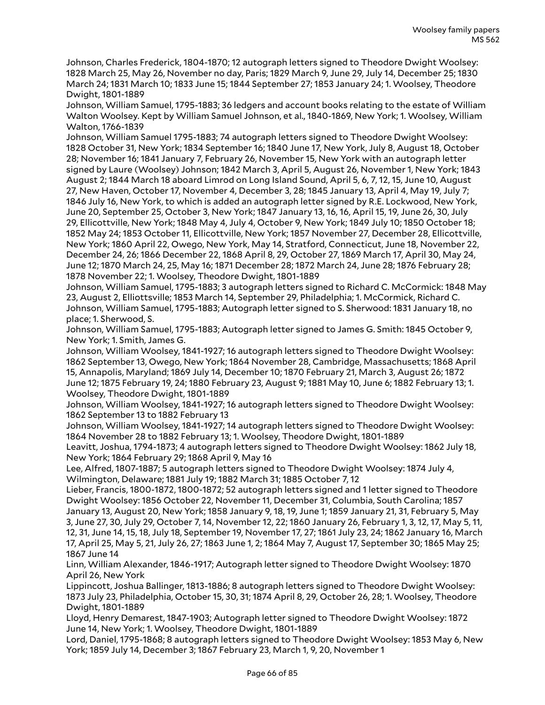Johnson, Charles Frederick, 1804-1870; 12 autograph letters signed to Theodore Dwight Woolsey: 1828 March 25, May 26, November no day, Paris; 1829 March 9, June 29, July 14, December 25; 1830 March 24; 1831 March 10; 1833 June 15; 1844 September 27; 1853 January 24; 1. Woolsey, Theodore Dwight, 1801-1889

Johnson, William Samuel, 1795-1883; 36 ledgers and account books relating to the estate of William Walton Woolsey. Kept by William Samuel Johnson, et al., 1840-1869, New York; 1. Woolsey, William Walton, 1766-1839

Johnson, William Samuel 1795-1883; 74 autograph letters signed to Theodore Dwight Woolsey: 1828 October 31, New York; 1834 September 16; 1840 June 17, New York, July 8, August 18, October 28; November 16; 1841 January 7, February 26, November 15, New York with an autograph letter signed by Laure (Woolsey) Johnson; 1842 March 3, April 5, August 26, November 1, New York; 1843 August 2; 1844 March 18 aboard Limrod on Long Island Sound, April 5, 6, 7, 12, 15, June 10, August 27, New Haven, October 17, November 4, December 3, 28; 1845 January 13, April 4, May 19, July 7; 1846 July 16, New York, to which is added an autograph letter signed by R.E. Lockwood, New York, June 20, September 25, October 3, New York; 1847 January 13, 16, 16, April 15, 19, June 26, 30, July 29, Ellicottville, New York; 1848 May 4, July 4, October 9, New York; 1849 July 10; 1850 October 18; 1852 May 24; 1853 October 11, Ellicottville, New York; 1857 November 27, December 28, Ellicottville, New York; 1860 April 22, Owego, New York, May 14, Stratford, Connecticut, June 18, November 22, December 24, 26; 1866 December 22, 1868 April 8, 29, October 27, 1869 March 17, April 30, May 24, June 12; 1870 March 24, 25, May 16; 1871 December 28; 1872 March 24, June 28; 1876 February 28; 1878 November 22; 1. Woolsey, Theodore Dwight, 1801-1889

Johnson, William Samuel, 1795-1883; 3 autograph letters signed to Richard C. McCormick: 1848 May 23, August 2, Elliottsville; 1853 March 14, September 29, Philadelphia; 1. McCormick, Richard C. Johnson, William Samuel, 1795-1883; Autograph letter signed to S. Sherwood: 1831 January 18, no place; 1. Sherwood, S.

Johnson, William Samuel, 1795-1883; Autograph letter signed to James G. Smith: 1845 October 9, New York; 1. Smith, James G.

Johnson, William Woolsey, 1841-1927; 16 autograph letters signed to Theodore Dwight Woolsey: 1862 September 13, Owego, New York; 1864 November 28, Cambridge, Massachusetts; 1868 April 15, Annapolis, Maryland; 1869 July 14, December 10; 1870 February 21, March 3, August 26; 1872 June 12; 1875 February 19, 24; 1880 February 23, August 9; 1881 May 10, June 6; 1882 February 13; 1. Woolsey, Theodore Dwight, 1801-1889

Johnson, William Woolsey, 1841-1927; 16 autograph letters signed to Theodore Dwight Woolsey: 1862 September 13 to 1882 February 13

Johnson, William Woolsey, 1841-1927; 14 autograph letters signed to Theodore Dwight Woolsey: 1864 November 28 to 1882 February 13; 1. Woolsey, Theodore Dwight, 1801-1889

Leavitt, Joshua, 1794-1873; 4 autograph letters signed to Theodore Dwight Woolsey: 1862 July 18, New York; 1864 February 29; 1868 April 9, May 16

Lee, Alfred, 1807-1887; 5 autograph letters signed to Theodore Dwight Woolsey: 1874 July 4, Wilmington, Delaware; 1881 July 19; 1882 March 31; 1885 October 7, 12

Lieber, Francis, 1800-1872, 1800-1872; 52 autograph letters signed and 1 letter signed to Theodore Dwight Woolsey: 1856 October 22, November 11, December 31, Columbia, South Carolina; 1857 January 13, August 20, New York; 1858 January 9, 18, 19, June 1; 1859 January 21, 31, February 5, May 3, June 27, 30, July 29, October 7, 14, November 12, 22; 1860 January 26, February 1, 3, 12, 17, May 5, 11, 12, 31, June 14, 15, 18, July 18, September 19, November 17, 27; 1861 July 23, 24; 1862 January 16, March 17, April 25, May 5, 21, July 26, 27; 1863 June 1, 2; 1864 May 7, August 17, September 30; 1865 May 25; 1867 June 14

Linn, William Alexander, 1846-1917; Autograph letter signed to Theodore Dwight Woolsey: 1870 April 26, New York

Lippincott, Joshua Ballinger, 1813-1886; 8 autograph letters signed to Theodore Dwight Woolsey: 1873 July 23, Philadelphia, October 15, 30, 31; 1874 April 8, 29, October 26, 28; 1. Woolsey, Theodore Dwight, 1801-1889

Lloyd, Henry Demarest, 1847-1903; Autograph letter signed to Theodore Dwight Woolsey: 1872 June 14, New York; 1. Woolsey, Theodore Dwight, 1801-1889

Lord, Daniel, 1795-1868; 8 autograph letters signed to Theodore Dwight Woolsey: 1853 May 6, New York; 1859 July 14, December 3; 1867 February 23, March 1, 9, 20, November 1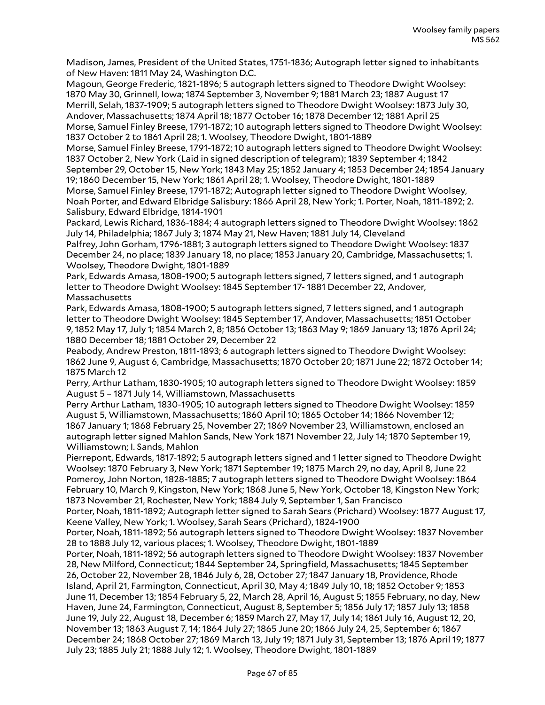Madison, James, President of the United States, 1751-1836; Autograph letter signed to inhabitants of New Haven: 1811 May 24, Washington D.C.

Magoun, George Frederic, 1821-1896; 5 autograph letters signed to Theodore Dwight Woolsey: 1870 May 30, Grinnell, Iowa; 1874 September 3, November 9; 1881 March 23; 1887 August 17 Merrill, Selah, 1837-1909; 5 autograph letters signed to Theodore Dwight Woolsey: 1873 July 30, Andover, Massachusetts; 1874 April 18; 1877 October 16; 1878 December 12; 1881 April 25 Morse, Samuel Finley Breese, 1791-1872; 10 autograph letters signed to Theodore Dwight Woolsey: 1837 October 2 to 1861 April 28; 1. Woolsey, Theodore Dwight, 1801-1889

Morse, Samuel Finley Breese, 1791-1872; 10 autograph letters signed to Theodore Dwight Woolsey: 1837 October 2, New York (Laid in signed description of telegram); 1839 September 4; 1842 September 29, October 15, New York; 1843 May 25; 1852 January 4; 1853 December 24; 1854 January

19; 1860 December 15, New York; 1861 April 28; 1. Woolsey, Theodore Dwight, 1801-1889 Morse, Samuel Finley Breese, 1791-1872; Autograph letter signed to Theodore Dwight Woolsey, Noah Porter, and Edward Elbridge Salisbury: 1866 April 28, New York; 1. Porter, Noah, 1811-1892; 2. Salisbury, Edward Elbridge, 1814-1901

Packard, Lewis Richard, 1836-1884; 4 autograph letters signed to Theodore Dwight Woolsey: 1862 July 14, Philadelphia; 1867 July 3; 1874 May 21, New Haven; 1881 July 14, Cleveland

Palfrey, John Gorham, 1796-1881; 3 autograph letters signed to Theodore Dwight Woolsey: 1837 December 24, no place; 1839 January 18, no place; 1853 January 20, Cambridge, Massachusetts; 1. Woolsey, Theodore Dwight, 1801-1889

Park, Edwards Amasa, 1808-1900; 5 autograph letters signed, 7 letters signed, and 1 autograph letter to Theodore Dwight Woolsey: 1845 September 17- 1881 December 22, Andover, Massachusetts

Park, Edwards Amasa, 1808-1900; 5 autograph letters signed, 7 letters signed, and 1 autograph letter to Theodore Dwight Woolsey: 1845 September 17, Andover, Massachusetts; 1851 October 9, 1852 May 17, July 1; 1854 March 2, 8; 1856 October 13; 1863 May 9; 1869 January 13; 1876 April 24; 1880 December 18; 1881 October 29, December 22

Peabody, Andrew Preston, 1811-1893; 6 autograph letters signed to Theodore Dwight Woolsey: 1862 June 9, August 6, Cambridge, Massachusetts; 1870 October 20; 1871 June 22; 1872 October 14; 1875 March 12

Perry, Arthur Latham, 1830-1905; 10 autograph letters signed to Theodore Dwight Woolsey: 1859 August 5 – 1871 July 14, Williamstown, Massachusetts

Perry Arthur Latham, 1830-1905; 10 autograph letters signed to Theodore Dwight Woolsey: 1859 August 5, Williamstown, Massachusetts; 1860 April 10; 1865 October 14; 1866 November 12; 1867 January 1; 1868 February 25, November 27; 1869 November 23, Williamstown, enclosed an autograph letter signed Mahlon Sands, New York 1871 November 22, July 14; 1870 September 19, Williamstown; I. Sands, Mahlon

Pierrepont, Edwards, 1817-1892; 5 autograph letters signed and 1 letter signed to Theodore Dwight Woolsey: 1870 February 3, New York; 1871 September 19; 1875 March 29, no day, April 8, June 22 Pomeroy, John Norton, 1828-1885; 7 autograph letters signed to Theodore Dwight Woolsey: 1864 February 10, March 9, Kingston, New York; 1868 June 5, New York, October 18, Kingston New York; 1873 November 21, Rochester, New York; 1884 July 9, September 1, San Francisco

Porter, Noah, 1811-1892; Autograph letter signed to Sarah Sears (Prichard) Woolsey: 1877 August 17, Keene Valley, New York; 1. Woolsey, Sarah Sears (Prichard), 1824-1900

Porter, Noah, 1811-1892; 56 autograph letters signed to Theodore Dwight Woolsey: 1837 November 28 to 1888 July 12, various places; 1. Woolsey, Theodore Dwight, 1801-1889

Porter, Noah, 1811-1892; 56 autograph letters signed to Theodore Dwight Woolsey: 1837 November 28, New Milford, Connecticut; 1844 September 24, Springfield, Massachusetts; 1845 September 26, October 22, November 28, 1846 July 6, 28, October 27; 1847 January 18, Providence, Rhode Island, April 21, Farmington, Connecticut, April 30, May 4; 1849 July 10, 18; 1852 October 9; 1853 June 11, December 13; 1854 February 5, 22, March 28, April 16, August 5; 1855 February, no day, New Haven, June 24, Farmington, Connecticut, August 8, September 5; 1856 July 17; 1857 July 13; 1858 June 19, July 22, August 18, December 6; 1859 March 27, May 17, July 14; 1861 July 16, August 12, 20, November 13; 1863 August 7, 14; 1864 July 27; 1865 June 20; 1866 July 24, 25, September 6; 1867 December 24; 1868 October 27; 1869 March 13, July 19; 1871 July 31, September 13; 1876 April 19; 1877 July 23; 1885 July 21; 1888 July 12; 1. Woolsey, Theodore Dwight, 1801-1889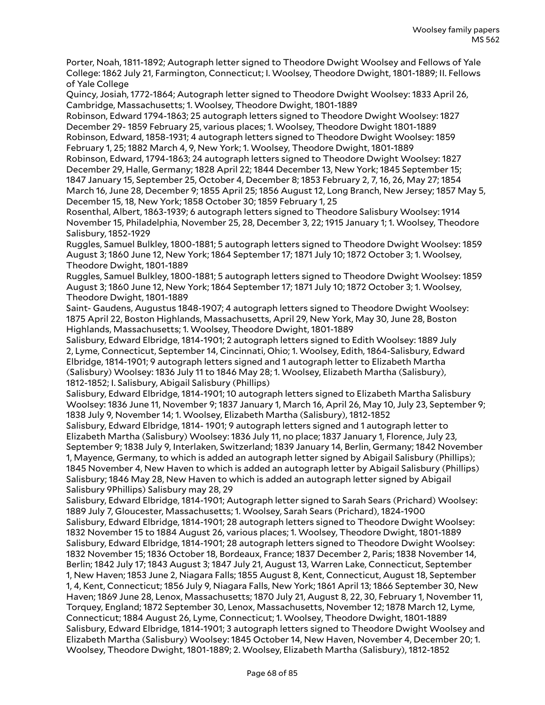Porter, Noah, 1811-1892; Autograph letter signed to Theodore Dwight Woolsey and Fellows of Yale College: 1862 July 21, Farmington, Connecticut; I. Woolsey, Theodore Dwight, 1801-1889; II. Fellows of Yale College

Quincy, Josiah, 1772-1864; Autograph letter signed to Theodore Dwight Woolsey: 1833 April 26, Cambridge, Massachusetts; 1. Woolsey, Theodore Dwight, 1801-1889

Robinson, Edward 1794-1863; 25 autograph letters signed to Theodore Dwight Woolsey: 1827 December 29- 1859 February 25, various places; 1. Woolsey, Theodore Dwight 1801-1889 Robinson, Edward, 1858-1931; 4 autograph letters signed to Theodore Dwight Woolsey: 1859 February 1, 25; 1882 March 4, 9, New York; 1. Woolsey, Theodore Dwight, 1801-1889

Robinson, Edward, 1794-1863; 24 autograph letters signed to Theodore Dwight Woolsey: 1827 December 29, Halle, Germany; 1828 April 22; 1844 December 13, New York; 1845 September 15; 1847 January 15, September 25, October 4, December 8; 1853 February 2, 7, 16, 26, May 27; 1854 March 16, June 28, December 9; 1855 April 25; 1856 August 12, Long Branch, New Jersey; 1857 May 5, December 15, 18, New York; 1858 October 30; 1859 February 1, 25

Rosenthal, Albert, 1863-1939; 6 autograph letters signed to Theodore Salisbury Woolsey: 1914 November 15, Philadelphia, November 25, 28, December 3, 22; 1915 January 1; 1. Woolsey, Theodore Salisbury, 1852-1929

Ruggles, Samuel Bulkley, 1800-1881; 5 autograph letters signed to Theodore Dwight Woolsey: 1859 August 3; 1860 June 12, New York; 1864 September 17; 1871 July 10; 1872 October 3; 1. Woolsey, Theodore Dwight, 1801-1889

Ruggles, Samuel Bulkley, 1800-1881; 5 autograph letters signed to Theodore Dwight Woolsey: 1859 August 3; 1860 June 12, New York; 1864 September 17; 1871 July 10; 1872 October 3; 1. Woolsey, Theodore Dwight, 1801-1889

Saint- Gaudens, Augustus 1848-1907; 4 autograph letters signed to Theodore Dwight Woolsey: 1875 April 22, Boston Highlands, Massachusetts, April 29, New York, May 30, June 28, Boston Highlands, Massachusetts; 1. Woolsey, Theodore Dwight, 1801-1889

Salisbury, Edward Elbridge, 1814-1901; 2 autograph letters signed to Edith Woolsey: 1889 July 2, Lyme, Connecticut, September 14, Cincinnati, Ohio; 1. Woolsey, Edith, 1864-Salisbury, Edward Elbridge, 1814-1901; 9 autograph letters signed and 1 autograph letter to Elizabeth Martha (Salisbury) Woolsey: 1836 July 11 to 1846 May 28; 1. Woolsey, Elizabeth Martha (Salisbury), 1812-1852; I. Salisbury, Abigail Salisbury (Phillips)

Salisbury, Edward Elbridge, 1814-1901; 10 autograph letters signed to Elizabeth Martha Salisbury Woolsey: 1836 June 11, November 9; 1837 January 1, March 16, April 26, May 10, July 23, September 9; 1838 July 9, November 14; 1. Woolsey, Elizabeth Martha (Salisbury), 1812-1852

Salisbury, Edward Elbridge, 1814- 1901; 9 autograph letters signed and 1 autograph letter to Elizabeth Martha (Salisbury) Woolsey: 1836 July 11, no place; 1837 January 1, Florence, July 23, September 9; 1838 July 9, Interlaken, Switzerland; 1839 January 14, Berlin, Germany; 1842 November 1, Mayence, Germany, to which is added an autograph letter signed by Abigail Salisbury (Phillips); 1845 November 4, New Haven to which is added an autograph letter by Abigail Salisbury (Phillips) Salisbury; 1846 May 28, New Haven to which is added an autograph letter signed by Abigail Salisbury 9Phillips) Salisbury may 28, 29

Salisbury, Edward Elbridge, 1814-1901; Autograph letter signed to Sarah Sears (Prichard) Woolsey: 1889 July 7, Gloucester, Massachusetts; 1. Woolsey, Sarah Sears (Prichard), 1824-1900 Salisbury, Edward Elbridge, 1814-1901; 28 autograph letters signed to Theodore Dwight Woolsey: 1832 November 15 to 1884 August 26, various places; 1. Woolsey, Theodore Dwight, 1801-1889 Salisbury, Edward Elbridge, 1814-1901; 28 autograph letters signed to Theodore Dwight Woolsey: 1832 November 15; 1836 October 18, Bordeaux, France; 1837 December 2, Paris; 1838 November 14, Berlin; 1842 July 17; 1843 August 3; 1847 July 21, August 13, Warren Lake, Connecticut, September 1, New Haven; 1853 June 2, Niagara Falls; 1855 August 8, Kent, Connecticut, August 18, September 1, 4, Kent, Connecticut; 1856 July 9, Niagara Falls, New York; 1861 April 13; 1866 September 30, New Haven; 1869 June 28, Lenox, Massachusetts; 1870 July 21, August 8, 22, 30, February 1, November 11, Torquey, England; 1872 September 30, Lenox, Massachusetts, November 12; 1878 March 12, Lyme, Connecticut; 1884 August 26, Lyme, Connecticut; 1. Woolsey, Theodore Dwight, 1801-1889 Salisbury, Edward Elbridge, 1814-1901; 3 autograph letters signed to Theodore Dwight Woolsey and Elizabeth Martha (Salisbury) Woolsey: 1845 October 14, New Haven, November 4, December 20; 1. Woolsey, Theodore Dwight, 1801-1889; 2. Woolsey, Elizabeth Martha (Salisbury), 1812-1852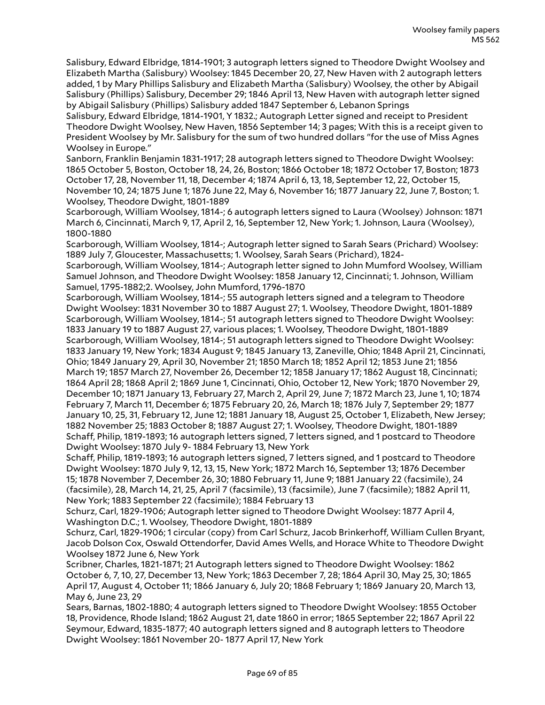Salisbury, Edward Elbridge, 1814-1901; 3 autograph letters signed to Theodore Dwight Woolsey and Elizabeth Martha (Salisbury) Woolsey: 1845 December 20, 27, New Haven with 2 autograph letters added, 1 by Mary Phillips Salisbury and Elizabeth Martha (Salisbury) Woolsey, the other by Abigail Salisbury (Phillips) Salisbury, December 29; 1846 April 13, New Haven with autograph letter signed by Abigail Salisbury (Phillips) Salisbury added 1847 September 6, Lebanon Springs

Salisbury, Edward Elbridge, 1814-1901, Y 1832.; Autograph Letter signed and receipt to President Theodore Dwight Woolsey, New Haven, 1856 September 14; 3 pages; With this is a receipt given to President Woolsey by Mr. Salisbury for the sum of two hundred dollars "for the use of Miss Agnes Woolsey in Europe."

Sanborn, Franklin Benjamin 1831-1917; 28 autograph letters signed to Theodore Dwight Woolsey: 1865 October 5, Boston, October 18, 24, 26, Boston; 1866 October 18; 1872 October 17, Boston; 1873 October 17, 28, November 11, 18, December 4; 1874 April 6, 13, 18, September 12, 22, October 15, November 10, 24; 1875 June 1; 1876 June 22, May 6, November 16; 1877 January 22, June 7, Boston; 1. Woolsey, Theodore Dwight, 1801-1889

Scarborough, William Woolsey, 1814-; 6 autograph letters signed to Laura (Woolsey) Johnson: 1871 March 6, Cincinnati, March 9, 17, April 2, 16, September 12, New York; 1. Johnson, Laura (Woolsey), 1800-1880

Scarborough, William Woolsey, 1814-; Autograph letter signed to Sarah Sears (Prichard) Woolsey: 1889 July 7, Gloucester, Massachusetts; 1. Woolsey, Sarah Sears (Prichard), 1824-

Scarborough, William Woolsey, 1814-; Autograph letter signed to John Mumford Woolsey, William Samuel Johnson, and Theodore Dwight Woolsey: 1858 January 12, Cincinnati; 1. Johnson, William Samuel, 1795-1882;2. Woolsey, John Mumford, 1796-1870

Scarborough, William Woolsey, 1814-; 55 autograph letters signed and a telegram to Theodore Dwight Woolsey: 1831 November 30 to 1887 August 27; 1. Woolsey, Theodore Dwight, 1801-1889 Scarborough, William Woolsey, 1814-; 51 autograph letters signed to Theodore Dwight Woolsey: 1833 January 19 to 1887 August 27, various places; 1. Woolsey, Theodore Dwight, 1801-1889 Scarborough, William Woolsey, 1814-; 51 autograph letters signed to Theodore Dwight Woolsey: 1833 January 19, New York; 1834 August 9; 1845 January 13, Zaneville, Ohio; 1848 April 21, Cincinnati, Ohio; 1849 January 29, April 30, November 21; 1850 March 18; 1852 April 12; 1853 June 21; 1856 March 19; 1857 March 27, November 26, December 12; 1858 January 17; 1862 August 18, Cincinnati; 1864 April 28; 1868 April 2; 1869 June 1, Cincinnati, Ohio, October 12, New York; 1870 November 29, December 10; 1871 January 13, February 27, March 2, April 29, June 7; 1872 March 23, June 1, 10; 1874 February 7, March 11, December 6; 1875 February 20, 26, March 18; 1876 July 7, September 29; 1877 January 10, 25, 31, February 12, June 12; 1881 January 18, August 25, October 1, Elizabeth, New Jersey; 1882 November 25; 1883 October 8; 1887 August 27; 1. Woolsey, Theodore Dwight, 1801-1889 Schaff, Philip, 1819-1893; 16 autograph letters signed, 7 letters signed, and 1 postcard to Theodore Dwight Woolsey: 1870 July 9- 1884 February 13, New York

Schaff, Philip, 1819-1893; 16 autograph letters signed, 7 letters signed, and 1 postcard to Theodore Dwight Woolsey: 1870 July 9, 12, 13, 15, New York; 1872 March 16, September 13; 1876 December 15; 1878 November 7, December 26, 30; 1880 February 11, June 9; 1881 January 22 (facsimile), 24 (facsimile), 28, March 14, 21, 25, April 7 (facsimile), 13 (facsimile), June 7 (facsimile); 1882 April 11, New York; 1883 September 22 (facsimile); 1884 February 13

Schurz, Carl, 1829-1906; Autograph letter signed to Theodore Dwight Woolsey: 1877 April 4, Washington D.C.; 1. Woolsey, Theodore Dwight, 1801-1889

Schurz, Carl, 1829-1906; 1 circular (copy) from Carl Schurz, Jacob Brinkerhoff, William Cullen Bryant, Jacob Dolson Cox, Oswald Ottendorfer, David Ames Wells, and Horace White to Theodore Dwight Woolsey 1872 June 6, New York

Scribner, Charles, 1821-1871; 21 Autograph letters signed to Theodore Dwight Woolsey: 1862 October 6, 7, 10, 27, December 13, New York; 1863 December 7, 28; 1864 April 30, May 25, 30; 1865 April 17, August 4, October 11; 1866 January 6, July 20; 1868 February 1; 1869 January 20, March 13, May 6, June 23, 29

Sears, Barnas, 1802-1880; 4 autograph letters signed to Theodore Dwight Woolsey: 1855 October 18, Providence, Rhode Island; 1862 August 21, date 1860 in error; 1865 September 22; 1867 April 22 Seymour, Edward, 1835-1877; 40 autograph letters signed and 8 autograph letters to Theodore Dwight Woolsey: 1861 November 20- 1877 April 17, New York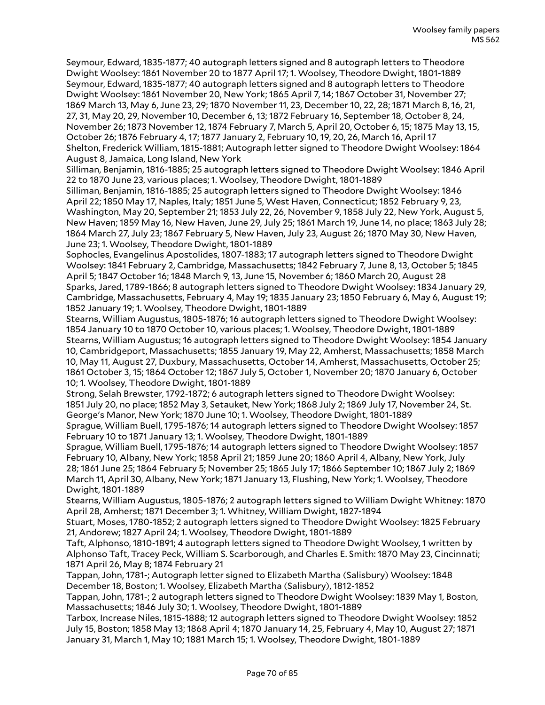Seymour, Edward, 1835-1877; 40 autograph letters signed and 8 autograph letters to Theodore Dwight Woolsey: 1861 November 20 to 1877 April 17; 1. Woolsey, Theodore Dwight, 1801-1889 Seymour, Edward, 1835-1877; 40 autograph letters signed and 8 autograph letters to Theodore Dwight Woolsey: 1861 November 20, New York; 1865 April 7, 14; 1867 October 31, November 27; 1869 March 13, May 6, June 23, 29; 1870 November 11, 23, December 10, 22, 28; 1871 March 8, 16, 21, 27, 31, May 20, 29, November 10, December 6, 13; 1872 February 16, September 18, October 8, 24, November 26; 1873 November 12, 1874 February 7, March 5, April 20, October 6, 15; 1875 May 13, 15, October 26; 1876 February 4, 17; 1877 January 2, February 10, 19, 20, 26, March 16, April 17 Shelton, Frederick William, 1815-1881; Autograph letter signed to Theodore Dwight Woolsey: 1864 August 8, Jamaica, Long Island, New York

Silliman, Benjamin, 1816-1885; 25 autograph letters signed to Theodore Dwight Woolsey: 1846 April 22 to 1870 June 23, various places; 1. Woolsey, Theodore Dwight, 1801-1889

Silliman, Benjamin, 1816-1885; 25 autograph letters signed to Theodore Dwight Woolsey: 1846 April 22; 1850 May 17, Naples, Italy; 1851 June 5, West Haven, Connecticut; 1852 February 9, 23, Washington, May 20, September 21; 1853 July 22, 26, November 9, 1858 July 22, New York, August 5, New Haven; 1859 May 16, New Haven, June 29, July 25; 1861 March 19, June 14, no place; 1863 July 28; 1864 March 27, July 23; 1867 February 5, New Haven, July 23, August 26; 1870 May 30, New Haven, June 23; 1. Woolsey, Theodore Dwight, 1801-1889

Sophocles, Evangelinus Apostolides, 1807-1883; 17 autograph letters signed to Theodore Dwight Woolsey: 1841 February 2, Cambridge, Massachusetts; 1842 February 7, June 8, 13, October 5; 1845 April 5; 1847 October 16; 1848 March 9, 13, June 15, November 6; 1860 March 20, August 28 Sparks, Jared, 1789-1866; 8 autograph letters signed to Theodore Dwight Woolsey: 1834 January 29, Cambridge, Massachusetts, February 4, May 19; 1835 January 23; 1850 February 6, May 6, August 19; 1852 January 19; 1. Woolsey, Theodore Dwight, 1801-1889

Stearns, William Augustus, 1805-1876; 16 autograph letters signed to Theodore Dwight Woolsey: 1854 January 10 to 1870 October 10, various places; 1. Woolsey, Theodore Dwight, 1801-1889 Stearns, William Augustus; 16 autograph letters signed to Theodore Dwight Woolsey: 1854 January 10, Cambridgeport, Massachusetts; 1855 January 19, May 22, Amherst, Massachusetts; 1858 March 10, May 11, August 27, Duxbury, Massachusetts, October 14, Amherst, Massachusetts, October 25; 1861 October 3, 15; 1864 October 12; 1867 July 5, October 1, November 20; 1870 January 6, October 10; 1. Woolsey, Theodore Dwight, 1801-1889

Strong, Selah Brewster, 1792-1872; 6 autograph letters signed to Theodore Dwight Woolsey: 1851 July 20, no place; 1852 May 3, Setauket, New York; 1868 July 2; 1869 July 17, November 24, St. George's Manor, New York; 1870 June 10; 1. Woolsey, Theodore Dwight, 1801-1889

Sprague, William Buell, 1795-1876; 14 autograph letters signed to Theodore Dwight Woolsey: 1857 February 10 to 1871 January 13; 1. Woolsey, Theodore Dwight, 1801-1889

Sprague, William Buell, 1795-1876; 14 autograph letters signed to Theodore Dwight Woolsey: 1857 February 10, Albany, New York; 1858 April 21; 1859 June 20; 1860 April 4, Albany, New York, July 28; 1861 June 25; 1864 February 5; November 25; 1865 July 17; 1866 September 10; 1867 July 2; 1869 March 11, April 30, Albany, New York; 1871 January 13, Flushing, New York; 1. Woolsey, Theodore Dwight, 1801-1889

Stearns, William Augustus, 1805-1876; 2 autograph letters signed to William Dwight Whitney: 1870 April 28, Amherst; 1871 December 3; 1. Whitney, William Dwight, 1827-1894

Stuart, Moses, 1780-1852; 2 autograph letters signed to Theodore Dwight Woolsey: 1825 February 21, Andorew; 1827 April 24; 1. Woolsey, Theodore Dwight, 1801-1889

Taft, Alphonso, 1810-1891; 4 autograph letters signed to Theodore Dwight Woolsey, 1 written by Alphonso Taft, Tracey Peck, William S. Scarborough, and Charles E. Smith: 1870 May 23, Cincinnati; 1871 April 26, May 8; 1874 February 21

Tappan, John, 1781-; Autograph letter signed to Elizabeth Martha (Salisbury) Woolsey: 1848 December 18, Boston; 1. Woolsey, Elizabeth Martha (Salisbury), 1812-1852

Tappan, John, 1781-; 2 autograph letters signed to Theodore Dwight Woolsey: 1839 May 1, Boston, Massachusetts; 1846 July 30; 1. Woolsey, Theodore Dwight, 1801-1889

Tarbox, Increase Niles, 1815-1888; 12 autograph letters signed to Theodore Dwight Woolsey: 1852 July 15, Boston; 1858 May 13; 1868 April 4; 1870 January 14, 25, February 4, May 10, August 27; 1871 January 31, March 1, May 10; 1881 March 15; 1. Woolsey, Theodore Dwight, 1801-1889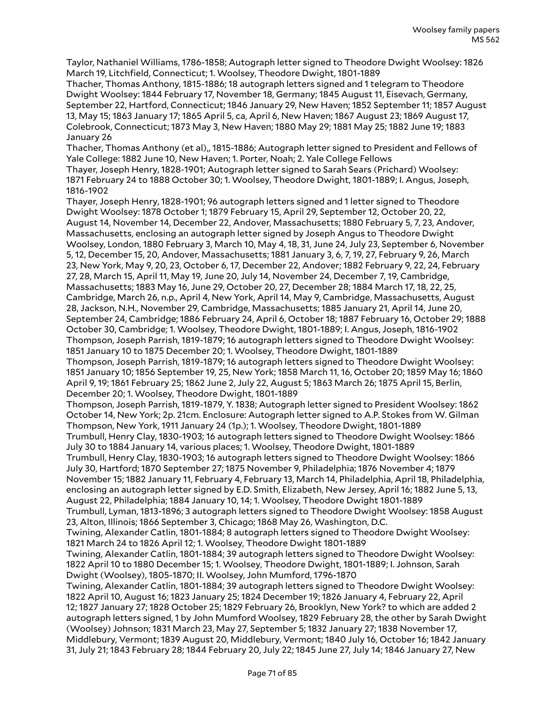Taylor, Nathaniel Williams, 1786-1858; Autograph letter signed to Theodore Dwight Woolsey: 1826 March 19, Litchfield, Connecticut; 1. Woolsey, Theodore Dwight, 1801-1889

Thacher, Thomas Anthony, 1815-1886; 18 autograph letters signed and 1 telegram to Theodore Dwight Woolsey: 1844 February 17, November 18, Germany; 1845 August 11, Eisevach, Germany, September 22, Hartford, Connecticut; 1846 January 29, New Haven; 1852 September 11; 1857 August 13, May 15; 1863 January 17; 1865 April 5, ca, April 6, New Haven; 1867 August 23; 1869 August 17, Colebrook, Connecticut; 1873 May 3, New Haven; 1880 May 29; 1881 May 25; 1882 June 19; 1883 January 26

Thacher, Thomas Anthony (et al),, 1815-1886; Autograph letter signed to President and Fellows of Yale College: 1882 June 10, New Haven; 1. Porter, Noah; 2. Yale College Fellows

Thayer, Joseph Henry, 1828-1901; Autograph letter signed to Sarah Sears (Prichard) Woolsey: 1871 February 24 to 1888 October 30; 1. Woolsey, Theodore Dwight, 1801-1889; I. Angus, Joseph, 1816-1902

Thayer, Joseph Henry, 1828-1901; 96 autograph letters signed and 1 letter signed to Theodore Dwight Woolsey: 1878 October 1; 1879 February 15, April 29, September 12, October 20, 22, August 14, November 14, December 22, Andover, Massachusetts; 1880 February 5, 7, 23, Andover, Massachusetts, enclosing an autograph letter signed by Joseph Angus to Theodore Dwight Woolsey, London, 1880 February 3, March 10, May 4, 18, 31, June 24, July 23, September 6, November 5, 12, December 15, 20, Andover, Massachusetts; 1881 January 3, 6, 7, 19, 27, February 9, 26, March 23, New York, May 9, 20, 23, October 6, 17, December 22, Andover; 1882 February 9, 22, 24, February 27, 28, March 15, April 11, May 19, June 20, July 14, November 24, December 7, 19, Cambridge, Massachusetts; 1883 May 16, June 29, October 20, 27, December 28; 1884 March 17, 18, 22, 25, Cambridge, March 26, n.p., April 4, New York, April 14, May 9, Cambridge, Massachusetts, August 28, Jackson, N.H., November 29, Cambridge, Massachusetts; 1885 January 21, April 14, June 20, September 24, Cambridge; 1886 February 24, April 6, October 18; 1887 February 16, October 29; 1888 October 30, Cambridge; 1. Woolsey, Theodore Dwight, 1801-1889; I. Angus, Joseph, 1816-1902 Thompson, Joseph Parrish, 1819-1879; 16 autograph letters signed to Theodore Dwight Woolsey: 1851 January 10 to 1875 December 20; 1. Woolsey, Theodore Dwight, 1801-1889 Thompson, Joseph Parrish, 1819-1879; 16 autograph letters signed to Theodore Dwight Woolsey: 1851 January 10; 1856 September 19, 25, New York; 1858 March 11, 16, October 20; 1859 May 16; 1860 April 9, 19; 1861 February 25; 1862 June 2, July 22, August 5; 1863 March 26; 1875 April 15, Berlin, December 20; 1. Woolsey, Theodore Dwight, 1801-1889 Thompson, Joseph Parrish, 1819-1879, Y. 1838; Autograph letter signed to President Woolsey: 1862 October 14, New York; 2p. 21cm. Enclosure: Autograph letter signed to A.P. Stokes from W. Gilman Thompson, New York, 1911 January 24 (1p.); 1. Woolsey, Theodore Dwight, 1801-1889 Trumbull, Henry Clay, 1830-1903; 16 autograph letters signed to Theodore Dwight Woolsey: 1866 July 30 to 1884 January 14, various places; 1. Woolsey, Theodore Dwight, 1801-1889 Trumbull, Henry Clay, 1830-1903; 16 autograph letters signed to Theodore Dwight Woolsey: 1866 July 30, Hartford; 1870 September 27; 1875 November 9, Philadelphia; 1876 November 4; 1879 November 15; 1882 January 11, February 4, February 13, March 14, Philadelphia, April 18, Philadelphia, enclosing an autograph letter signed by E.D. Smith, Elizabeth, New Jersey, April 16; 1882 June 5, 13, August 22, Philadelphia; 1884 January 10, 14; 1. Woolsey, Theodore Dwight 1801-1889 Trumbull, Lyman, 1813-1896; 3 autograph letters signed to Theodore Dwight Woolsey: 1858 August 23, Alton, Illinois; 1866 September 3, Chicago; 1868 May 26, Washington, D.C. Twining, Alexander Catlin, 1801-1884; 8 autograph letters signed to Theodore Dwight Woolsey: 1821 March 24 to 1826 April 12; 1. Woolsey, Theodore Dwight 1801-1889 Twining, Alexander Catlin, 1801-1884; 39 autograph letters signed to Theodore Dwight Woolsey: 1822 April 10 to 1880 December 15; 1. Woolsey, Theodore Dwight, 1801-1889; I. Johnson, Sarah Dwight (Woolsey), 1805-1870; II. Woolsey, John Mumford, 1796-1870 Twining, Alexander Catlin, 1801-1884; 39 autograph letters signed to Theodore Dwight Woolsey: 1822 April 10, August 16; 1823 January 25; 1824 December 19; 1826 January 4, February 22, April 12; 1827 January 27; 1828 October 25; 1829 February 26, Brooklyn, New York? to which are added 2 autograph letters signed, 1 by John Mumford Woolsey, 1829 February 28, the other by Sarah Dwight

(Woolsey) Johnson; 1831 March 23, May 27, September 5; 1832 January 27; 1838 November 17, Middlebury, Vermont; 1839 August 20, Middlebury, Vermont; 1840 July 16, October 16; 1842 January 31, July 21; 1843 February 28; 1844 February 20, July 22; 1845 June 27, July 14; 1846 January 27, New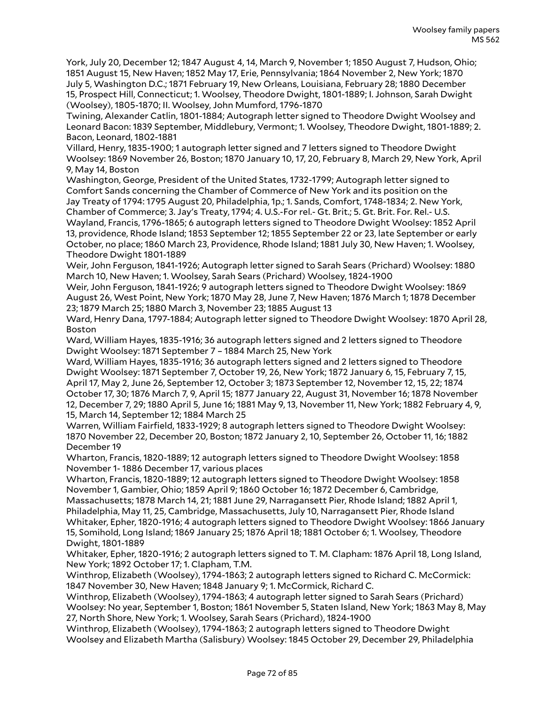York, July 20, December 12; 1847 August 4, 14, March 9, November 1; 1850 August 7, Hudson, Ohio; 1851 August 15, New Haven; 1852 May 17, Erie, Pennsylvania; 1864 November 2, New York; 1870 July 5, Washington D.C.; 1871 February 19, New Orleans, Louisiana, February 28; 1880 December 15, Prospect Hill, Connecticut; 1. Woolsey, Theodore Dwight, 1801-1889; I. Johnson, Sarah Dwight (Woolsey), 1805-1870; II. Woolsey, John Mumford, 1796-1870

Twining, Alexander Catlin, 1801-1884; Autograph letter signed to Theodore Dwight Woolsey and Leonard Bacon: 1839 September, Middlebury, Vermont; 1. Woolsey, Theodore Dwight, 1801-1889; 2. Bacon, Leonard, 1802-1881

Villard, Henry, 1835-1900; 1 autograph letter signed and 7 letters signed to Theodore Dwight Woolsey: 1869 November 26, Boston; 1870 January 10, 17, 20, February 8, March 29, New York, April 9, May 14, Boston

Washington, George, President of the United States, 1732-1799; Autograph letter signed to Comfort Sands concerning the Chamber of Commerce of New York and its position on the Jay Treaty of 1794: 1795 August 20, Philadelphia, 1p.; 1. Sands, Comfort, 1748-1834; 2. New York, Chamber of Commerce; 3. Jay's Treaty, 1794; 4. U.S.-For rel.- Gt. Brit.; 5. Gt. Brit. For. Rel.- U.S. Wayland, Francis, 1796-1865; 6 autograph letters signed to Theodore Dwight Woolsey: 1852 April 13, providence, Rhode Island; 1853 September 12; 1855 September 22 or 23, late September or early October, no place; 1860 March 23, Providence, Rhode Island; 1881 July 30, New Haven; 1. Woolsey, Theodore Dwight 1801-1889

Weir, John Ferguson, 1841-1926; Autograph letter signed to Sarah Sears (Prichard) Woolsey: 1880 March 10, New Haven; 1. Woolsey, Sarah Sears (Prichard) Woolsey, 1824-1900

Weir, John Ferguson, 1841-1926; 9 autograph letters signed to Theodore Dwight Woolsey: 1869 August 26, West Point, New York; 1870 May 28, June 7, New Haven; 1876 March 1; 1878 December 23; 1879 March 25; 1880 March 3, November 23; 1885 August 13

Ward, Henry Dana, 1797-1884; Autograph letter signed to Theodore Dwight Woolsey: 1870 April 28, Boston

Ward, William Hayes, 1835-1916; 36 autograph letters signed and 2 letters signed to Theodore Dwight Woolsey: 1871 September 7 – 1884 March 25, New York

Ward, William Hayes, 1835-1916; 36 autograph letters signed and 2 letters signed to Theodore Dwight Woolsey: 1871 September 7, October 19, 26, New York; 1872 January 6, 15, February 7, 15, April 17, May 2, June 26, September 12, October 3; 1873 September 12, November 12, 15, 22; 1874 October 17, 30; 1876 March 7, 9, April 15; 1877 January 22, August 31, November 16; 1878 November 12, December 7, 29; 1880 April 5, June 16; 1881 May 9, 13, November 11, New York; 1882 February 4, 9, 15, March 14, September 12; 1884 March 25

Warren, William Fairfield, 1833-1929; 8 autograph letters signed to Theodore Dwight Woolsey: 1870 November 22, December 20, Boston; 1872 January 2, 10, September 26, October 11, 16; 1882 December 19

Wharton, Francis, 1820-1889; 12 autograph letters signed to Theodore Dwight Woolsey: 1858 November 1- 1886 December 17, various places

Wharton, Francis, 1820-1889; 12 autograph letters signed to Theodore Dwight Woolsey: 1858 November 1, Gambier, Ohio; 1859 April 9; 1860 October 16; 1872 December 6, Cambridge, Massachusetts; 1878 March 14, 21; 1881 June 29, Narragansett Pier, Rhode Island; 1882 April 1, Philadelphia, May 11, 25, Cambridge, Massachusetts, July 10, Narragansett Pier, Rhode Island Whitaker, Epher, 1820-1916; 4 autograph letters signed to Theodore Dwight Woolsey: 1866 January 15, Somihold, Long Island; 1869 January 25; 1876 April 18; 1881 October 6; 1. Woolsey, Theodore Dwight, 1801-1889

Whitaker, Epher, 1820-1916; 2 autograph letters signed to T. M. Clapham: 1876 April 18, Long Island, New York; 1892 October 17; 1. Clapham, T.M.

Winthrop, Elizabeth (Woolsey), 1794-1863; 2 autograph letters signed to Richard C. McCormick: 1847 November 30, New Haven; 1848 January 9; 1. McCormick, Richard C.

Winthrop, Elizabeth (Woolsey), 1794-1863; 4 autograph letter signed to Sarah Sears (Prichard) Woolsey: No year, September 1, Boston; 1861 November 5, Staten Island, New York; 1863 May 8, May 27, North Shore, New York; 1. Woolsey, Sarah Sears (Prichard), 1824-1900

Winthrop, Elizabeth (Woolsey), 1794-1863; 2 autograph letters signed to Theodore Dwight Woolsey and Elizabeth Martha (Salisbury) Woolsey: 1845 October 29, December 29, Philadelphia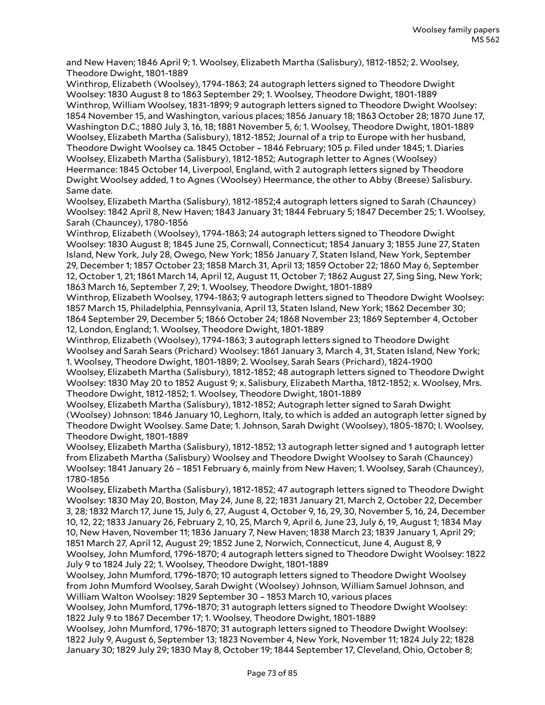and New Haven; 1846 April 9; 1. Woolsey, Elizabeth Martha (Salisbury), 1812-1852; 2. Woolsey, Theodore Dwight, 1801-1889

Winthrop, Elizabeth (Woolsey), 1794-1863; 24 autograph letters signed to Theodore Dwight Woolsey: 1830 August 8 to 1863 September 29; 1. Woolsey, Theodore Dwight, 1801-1889 Winthrop, William Woolsey, 1831-1899; 9 autograph letters signed to Theodore Dwight Woolsey: 1854 November 15, and Washington, various places; 1856 January 18; 1863 October 28; 1870 June 17, Washington D.C.; 1880 July 3, 16, 18; 1881 November 5, 6; 1. Woolsey, Theodore Dwight, 1801-1889 Woolsey, Elizabeth Martha (Salisbury), 1812-1852; Journal of a trip to Europe with her husband, Theodore Dwight Woolsey ca. 1845 October – 1846 February; 105 p. Filed under 1845; 1. Diaries Woolsey, Elizabeth Martha (Salisbury), 1812-1852; Autograph letter to Agnes (Woolsey) Heermance: 1845 October 14, Liverpool, England, with 2 autograph letters signed by Theodore Dwight Woolsey added, 1 to Agnes (Woolsey) Heermance, the other to Abby (Breese) Salisbury. Same date.

Woolsey, Elizabeth Martha (Salisbury), 1812-1852;4 autograph letters signed to Sarah (Chauncey) Woolsey: 1842 April 8, New Haven; 1843 January 31; 1844 February 5; 1847 December 25; 1. Woolsey, Sarah (Chauncey), 1780-1856

Winthrop, Elizabeth (Woolsey), 1794-1863; 24 autograph letters signed to Theodore Dwight Woolsey: 1830 August 8; 1845 June 25, Cornwall, Connecticut; 1854 January 3; 1855 June 27, Staten Island, New York, July 28, Owego, New York; 1856 January 7, Staten Island, New York, September 29, December 1; 1857 October 23; 1858 March 31, April 13; 1859 October 22; 1860 May 6, September 12, October 1, 21; 1861 March 14, April 12, August 11, October 7; 1862 August 27, Sing Sing, New York; 1863 March 16, September 7, 29; 1. Woolsey, Theodore Dwight, 1801-1889

Winthrop, Elizabeth Woolsey, 1794-1863; 9 autograph letters signed to Theodore Dwight Woolsey: 1857 March 15, Philadelphia, Pennsylvania, April 13, Staten Island, New York; 1862 December 30; 1864 September 29, December 5; 1866 October 24; 1868 November 23; 1869 September 4, October 12, London, England; 1. Woolsey, Theodore Dwight, 1801-1889

Winthrop, Elizabeth (Woolsey), 1794-1863; 3 autograph letters signed to Theodore Dwight Woolsey and Sarah Sears (Prichard) Woolsey: 1861 January 3, March 4, 31, Staten Island, New York; 1. Woolsey, Theodore Dwight, 1801-1889; 2. Woolsey, Sarah Sears (Prichard), 1824-1900

Woolsey, Elizabeth Martha (Salisbury), 1812-1852; 48 autograph letters signed to Theodore Dwight Woolsey: 1830 May 20 to 1852 August 9; x. Salisbury, Elizabeth Martha, 1812-1852; x. Woolsey, Mrs. Theodore Dwight, 1812-1852; 1. Woolsey, Theodore Dwight, 1801-1889

Woolsey, Elizabeth Martha (Salisbury), 1812-1852; Autograph letter signed to Sarah Dwight (Woolsey) Johnson: 1846 January 10, Leghorn, Italy, to which is added an autograph letter signed by Theodore Dwight Woolsey. Same Date; 1. Johnson, Sarah Dwight (Woolsey), 1805-1870; I. Woolsey, Theodore Dwight, 1801-1889

Woolsey, Elizabeth Martha (Salisbury), 1812-1852; 13 autograph letter signed and 1 autograph letter from Elizabeth Martha (Salisbury) Woolsey and Theodore Dwight Woolsey to Sarah (Chauncey) Woolsey: 1841 January 26 – 1851 February 6, mainly from New Haven; 1. Woolsey, Sarah (Chauncey), 1780-1856

Woolsey, Elizabeth Martha (Salisbury), 1812-1852; 47 autograph letters signed to Theodore Dwight Woolsey: 1830 May 20, Boston, May 24, June 8, 22; 1831 January 21, March 2, October 22, December 3, 28; 1832 March 17, June 15, July 6, 27, August 4, October 9, 16, 29, 30, November 5, 16, 24, December 10, 12, 22; 1833 January 26, February 2, 10, 25, March 9, April 6, June 23, July 6, 19, August 1; 1834 May 10, New Haven, November 11; 1836 January 7, New Haven; 1838 March 23; 1839 January 1, April 29; 1851 March 27, April 12, August 29; 1852 June 2, Norwich, Connecticut, June 4, August 8, 9

Woolsey, John Mumford, 1796-1870; 4 autograph letters signed to Theodore Dwight Woolsey: 1822 July 9 to 1824 July 22; 1. Woolsey, Theodore Dwight, 1801-1889

Woolsey, John Mumford, 1796-1870; 10 autograph letters signed to Theodore Dwight Woolsey from John Mumford Woolsey, Sarah Dwight (Woolsey) Johnson, William Samuel Johnson, and William Walton Woolsey: 1829 September 30 – 1853 March 10, various places

Woolsey, John Mumford, 1796-1870; 31 autograph letters signed to Theodore Dwight Woolsey: 1822 July 9 to 1867 December 17; 1. Woolsey, Theodore Dwight, 1801-1889

Woolsey, John Mumford, 1796-1870; 31 autograph letters signed to Theodore Dwight Woolsey: 1822 July 9, August 6, September 13; 1823 November 4, New York, November 11; 1824 July 22; 1828 January 30; 1829 July 29; 1830 May 8, October 19; 1844 September 17, Cleveland, Ohio, October 8;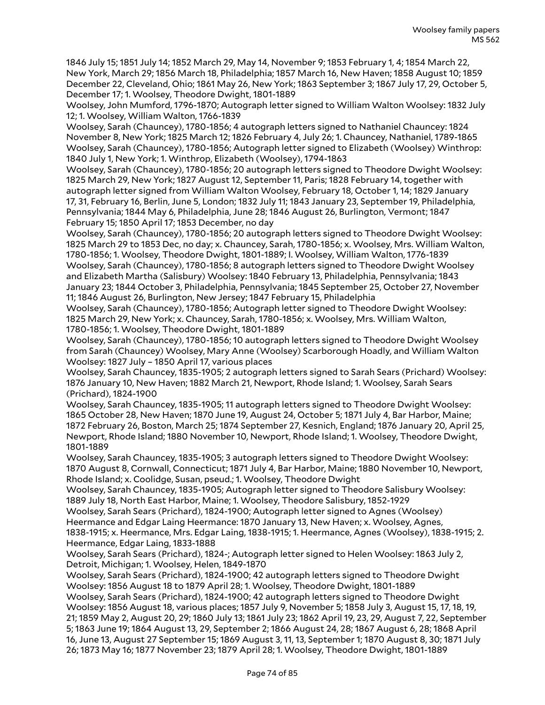1846 July 15; 1851 July 14; 1852 March 29, May 14, November 9; 1853 February 1, 4; 1854 March 22, New York, March 29; 1856 March 18, Philadelphia; 1857 March 16, New Haven; 1858 August 10; 1859 December 22, Cleveland, Ohio; 1861 May 26, New York; 1863 September 3; 1867 July 17, 29, October 5, December 17; 1. Woolsey, Theodore Dwight, 1801-1889

Woolsey, John Mumford, 1796-1870; Autograph letter signed to William Walton Woolsey: 1832 July 12; 1. Woolsey, William Walton, 1766-1839

Woolsey, Sarah (Chauncey), 1780-1856; 4 autograph letters signed to Nathaniel Chauncey: 1824 November 8, New York; 1825 March 12; 1826 February 4, July 26; 1. Chauncey, Nathaniel, 1789-1865 Woolsey, Sarah (Chauncey), 1780-1856; Autograph letter signed to Elizabeth (Woolsey) Winthrop: 1840 July 1, New York; 1. Winthrop, Elizabeth (Woolsey), 1794-1863

Woolsey, Sarah (Chauncey), 1780-1856; 20 autograph letters signed to Theodore Dwight Woolsey: 1825 March 29, New York; 1827 August 12, September 11, Paris; 1828 February 14, together with autograph letter signed from William Walton Woolsey, February 18, October 1, 14; 1829 January 17, 31, February 16, Berlin, June 5, London; 1832 July 11; 1843 January 23, September 19, Philadelphia, Pennsylvania; 1844 May 6, Philadelphia, June 28; 1846 August 26, Burlington, Vermont; 1847 February 15; 1850 April 17; 1853 December, no day

Woolsey, Sarah (Chauncey), 1780-1856; 20 autograph letters signed to Theodore Dwight Woolsey: 1825 March 29 to 1853 Dec, no day; x. Chauncey, Sarah, 1780-1856; x. Woolsey, Mrs. William Walton, 1780-1856; 1. Woolsey, Theodore Dwight, 1801-1889; I. Woolsey, William Walton, 1776-1839 Woolsey, Sarah (Chauncey), 1780-1856; 8 autograph letters signed to Theodore Dwight Woolsey and Elizabeth Martha (Salisbury) Woolsey: 1840 February 13, Philadelphia, Pennsylvania; 1843 January 23; 1844 October 3, Philadelphia, Pennsylvania; 1845 September 25, October 27, November 11; 1846 August 26, Burlington, New Jersey; 1847 February 15, Philadelphia

Woolsey, Sarah (Chauncey), 1780-1856; Autograph letter signed to Theodore Dwight Woolsey: 1825 March 29, New York; x. Chauncey, Sarah, 1780-1856; x. Woolsey, Mrs. William Walton, 1780-1856; 1. Woolsey, Theodore Dwight, 1801-1889

Woolsey, Sarah (Chauncey), 1780-1856; 10 autograph letters signed to Theodore Dwight Woolsey from Sarah (Chauncey) Woolsey, Mary Anne (Woolsey) Scarborough Hoadly, and William Walton Woolsey: 1827 July – 1850 April 17, various places

Woolsey, Sarah Chauncey, 1835-1905; 2 autograph letters signed to Sarah Sears (Prichard) Woolsey: 1876 January 10, New Haven; 1882 March 21, Newport, Rhode Island; 1. Woolsey, Sarah Sears (Prichard), 1824-1900

Woolsey, Sarah Chauncey, 1835-1905; 11 autograph letters signed to Theodore Dwight Woolsey: 1865 October 28, New Haven; 1870 June 19, August 24, October 5; 1871 July 4, Bar Harbor, Maine; 1872 February 26, Boston, March 25; 1874 September 27, Kesnich, England; 1876 January 20, April 25, Newport, Rhode Island; 1880 November 10, Newport, Rhode Island; 1. Woolsey, Theodore Dwight, 1801-1889

Woolsey, Sarah Chauncey, 1835-1905; 3 autograph letters signed to Theodore Dwight Woolsey: 1870 August 8, Cornwall, Connecticut; 1871 July 4, Bar Harbor, Maine; 1880 November 10, Newport, Rhode Island; x. Coolidge, Susan, pseud.; 1. Woolsey, Theodore Dwight

Woolsey, Sarah Chauncey, 1835-1905; Autograph letter signed to Theodore Salisbury Woolsey: 1889 July 18, North East Harbor, Maine; 1. Woolsey, Theodore Salisbury, 1852-1929

Woolsey, Sarah Sears (Prichard), 1824-1900; Autograph letter signed to Agnes (Woolsey) Heermance and Edgar Laing Heermance: 1870 January 13, New Haven; x. Woolsey, Agnes, 1838-1915; x. Heermance, Mrs. Edgar Laing, 1838-1915; 1. Heermance, Agnes (Woolsey), 1838-1915; 2. Heermance, Edgar Laing, 1833-1888

Woolsey, Sarah Sears (Prichard), 1824-; Autograph letter signed to Helen Woolsey: 1863 July 2, Detroit, Michigan; 1. Woolsey, Helen, 1849-1870

Woolsey, Sarah Sears (Prichard), 1824-1900; 42 autograph letters signed to Theodore Dwight Woolsey: 1856 August 18 to 1879 April 28; 1. Woolsey, Theodore Dwight, 1801-1889 Woolsey, Sarah Sears (Prichard), 1824-1900; 42 autograph letters signed to Theodore Dwight

Woolsey: 1856 August 18, various places; 1857 July 9, November 5; 1858 July 3, August 15, 17, 18, 19, 21; 1859 May 2, August 20, 29; 1860 July 13; 1861 July 23; 1862 April 19, 23, 29, August 7, 22, September 5; 1863 June 19; 1864 August 13, 29, September 2; 1866 August 24, 28; 1867 August 6, 28; 1868 April 16, June 13, August 27 September 15; 1869 August 3, 11, 13, September 1; 1870 August 8, 30; 1871 July 26; 1873 May 16; 1877 November 23; 1879 April 28; 1. Woolsey, Theodore Dwight, 1801-1889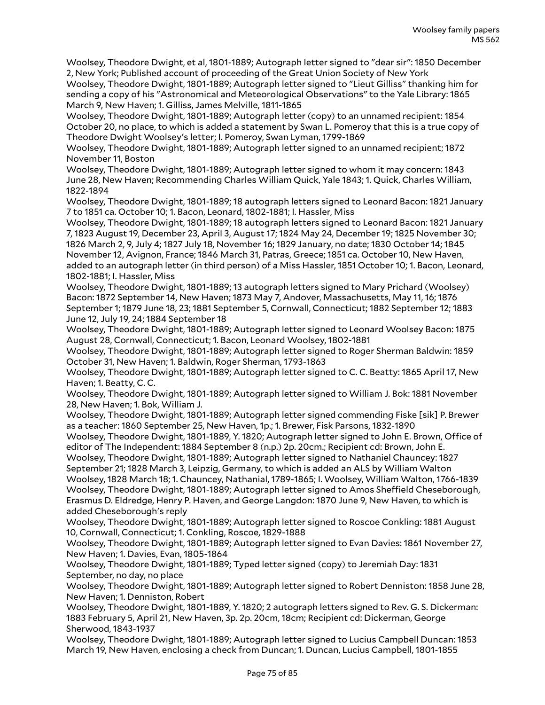Woolsey, Theodore Dwight, et al, 1801-1889; Autograph letter signed to "dear sir": 1850 December 2, New York; Published account of proceeding of the Great Union Society of New York

Woolsey, Theodore Dwight, 1801-1889; Autograph letter signed to "Lieut Gilliss" thanking him for sending a copy of his "Astronomical and Meteorological Observations" to the Yale Library: 1865 March 9, New Haven; 1. Gilliss, James Melville, 1811-1865

Woolsey, Theodore Dwight, 1801-1889; Autograph letter (copy) to an unnamed recipient: 1854 October 20, no place, to which is added a statement by Swan L. Pomeroy that this is a true copy of Theodore Dwight Woolsey's letter; I. Pomeroy, Swan Lyman, 1799-1869

Woolsey, Theodore Dwight, 1801-1889; Autograph letter signed to an unnamed recipient; 1872 November 11, Boston

Woolsey, Theodore Dwight, 1801-1889; Autograph letter signed to whom it may concern: 1843 June 28, New Haven; Recommending Charles William Quick, Yale 1843; 1. Quick, Charles William, 1822-1894

Woolsey, Theodore Dwight, 1801-1889; 18 autograph letters signed to Leonard Bacon: 1821 January 7 to 1851 ca. October 10; 1. Bacon, Leonard, 1802-1881; I. Hassler, Miss

Woolsey, Theodore Dwight, 1801-1889; 18 autograph letters signed to Leonard Bacon: 1821 January 7, 1823 August 19, December 23, April 3, August 17; 1824 May 24, December 19; 1825 November 30; 1826 March 2, 9, July 4; 1827 July 18, November 16; 1829 January, no date; 1830 October 14; 1845 November 12, Avignon, France; 1846 March 31, Patras, Greece; 1851 ca. October 10, New Haven, added to an autograph letter (in third person) of a Miss Hassler, 1851 October 10; 1. Bacon, Leonard, 1802-1881; I. Hassler, Miss

Woolsey, Theodore Dwight, 1801-1889; 13 autograph letters signed to Mary Prichard (Woolsey) Bacon: 1872 September 14, New Haven; 1873 May 7, Andover, Massachusetts, May 11, 16; 1876 September 1; 1879 June 18, 23; 1881 September 5, Cornwall, Connecticut; 1882 September 12; 1883 June 12, July 19, 24; 1884 September 18

Woolsey, Theodore Dwight, 1801-1889; Autograph letter signed to Leonard Woolsey Bacon: 1875 August 28, Cornwall, Connecticut; 1. Bacon, Leonard Woolsey, 1802-1881

Woolsey, Theodore Dwight, 1801-1889; Autograph letter signed to Roger Sherman Baldwin: 1859 October 31, New Haven; 1. Baldwin, Roger Sherman, 1793-1863

Woolsey, Theodore Dwight, 1801-1889; Autograph letter signed to C. C. Beatty: 1865 April 17, New Haven; 1. Beatty, C. C.

Woolsey, Theodore Dwight, 1801-1889; Autograph letter signed to William J. Bok: 1881 November 28, New Haven; 1. Bok, William J.

Woolsey, Theodore Dwight, 1801-1889; Autograph letter signed commending Fiske [sik] P. Brewer as a teacher: 1860 September 25, New Haven, 1p.; 1. Brewer, Fisk Parsons, 1832-1890

Woolsey, Theodore Dwight, 1801-1889, Y. 1820; Autograph letter signed to John E. Brown, Office of editor of The Independent: 1884 September 8 (n.p.) 2p. 20cm.; Recipient cd: Brown, John E.

Woolsey, Theodore Dwight, 1801-1889; Autograph letter signed to Nathaniel Chauncey: 1827 September 21; 1828 March 3, Leipzig, Germany, to which is added an ALS by William Walton

Woolsey, 1828 March 18; 1. Chauncey, Nathanial, 1789-1865; I. Woolsey, William Walton, 1766-1839 Woolsey, Theodore Dwight, 1801-1889; Autograph letter signed to Amos Sheffield Cheseborough, Erasmus D. Eldredge, Henry P. Haven, and George Langdon: 1870 June 9, New Haven, to which is added Cheseborough's reply

Woolsey, Theodore Dwight, 1801-1889; Autograph letter signed to Roscoe Conkling: 1881 August 10, Cornwall, Connecticut; 1. Conkling, Roscoe, 1829-1888

Woolsey, Theodore Dwight, 1801-1889; Autograph letter signed to Evan Davies: 1861 November 27, New Haven; 1. Davies, Evan, 1805-1864

Woolsey, Theodore Dwight, 1801-1889; Typed letter signed (copy) to Jeremiah Day: 1831 September, no day, no place

Woolsey, Theodore Dwight, 1801-1889; Autograph letter signed to Robert Denniston: 1858 June 28, New Haven; 1. Denniston, Robert

Woolsey, Theodore Dwight, 1801-1889, Y. 1820; 2 autograph letters signed to Rev. G. S. Dickerman: 1883 February 5, April 21, New Haven, 3p. 2p. 20cm, 18cm; Recipient cd: Dickerman, George Sherwood, 1843-1937

Woolsey, Theodore Dwight, 1801-1889; Autograph letter signed to Lucius Campbell Duncan: 1853 March 19, New Haven, enclosing a check from Duncan; 1. Duncan, Lucius Campbell, 1801-1855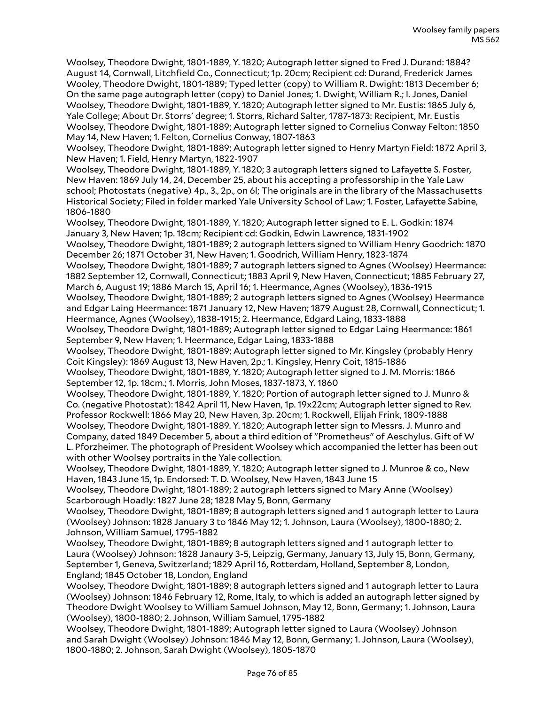Woolsey, Theodore Dwight, 1801-1889, Y. 1820; Autograph letter signed to Fred J. Durand: 1884? August 14, Cornwall, Litchfield Co., Connecticut; 1p. 20cm; Recipient cd: Durand, Frederick James Wooley, Theodore Dwight, 1801-1889; Typed letter (copy) to William R. Dwight: 1813 December 6; On the same page autograph letter (copy) to Daniel Jones; 1. Dwight, William R.; I. Jones, Daniel Woolsey, Theodore Dwight, 1801-1889, Y. 1820; Autograph letter signed to Mr. Eustis: 1865 July 6, Yale College; About Dr. Storrs' degree; 1. Storrs, Richard Salter, 1787-1873: Recipient, Mr. Eustis Woolsey, Theodore Dwight, 1801-1889; Autograph letter signed to Cornelius Conway Felton: 1850 May 14, New Haven; 1. Felton, Cornelius Conway, 1807-1863

Woolsey, Theodore Dwight, 1801-1889; Autograph letter signed to Henry Martyn Field: 1872 April 3, New Haven; 1. Field, Henry Martyn, 1822-1907

Woolsey, Theodore Dwight, 1801-1889, Y. 1820; 3 autograph letters signed to Lafayette S. Foster, New Haven: 1869 July 14, 24, December 25, about his accepting a professorship in the Yale Law school; Photostats (negative) 4p., 3., 2p., on 6l; The originals are in the library of the Massachusetts Historical Society; Filed in folder marked Yale University School of Law; 1. Foster, Lafayette Sabine, 1806-1880

Woolsey, Theodore Dwight, 1801-1889, Y. 1820; Autograph letter signed to E. L. Godkin: 1874 January 3, New Haven; 1p. 18cm; Recipient cd: Godkin, Edwin Lawrence, 1831-1902

Woolsey, Theodore Dwight, 1801-1889; 2 autograph letters signed to William Henry Goodrich: 1870 December 26; 1871 October 31, New Haven; 1. Goodrich, William Henry, 1823-1874

Woolsey, Theodore Dwight, 1801-1889; 7 autograph letters signed to Agnes (Woolsey) Heermance: 1882 September 12, Cornwall, Connecticut; 1883 April 9, New Haven, Connecticut; 1885 February 27, March 6, August 19; 1886 March 15, April 16; 1. Heermance, Agnes (Woolsey), 1836-1915

Woolsey, Theodore Dwight, 1801-1889; 2 autograph letters signed to Agnes (Woolsey) Heermance and Edgar Laing Heermance: 1871 January 12, New Haven; 1879 August 28, Cornwall, Connecticut; 1. Heermance, Agnes (Woolsey), 1838-1915; 2. Heermance, Edgard Laing, 1833-1888

Woolsey, Theodore Dwight, 1801-1889; Autograph letter signed to Edgar Laing Heermance: 1861 September 9, New Haven; 1. Heermance, Edgar Laing, 1833-1888

Woolsey, Theodore Dwight, 1801-1889; Autograph letter signed to Mr. Kingsley (probably Henry Coit Kingsley): 1869 August 13, New Haven, 2p.; 1. Kingsley, Henry Coit, 1815-1886

Woolsey, Theodore Dwight, 1801-1889, Y. 1820; Autograph letter signed to J. M. Morris: 1866 September 12, 1p. 18cm.; 1. Morris, John Moses, 1837-1873, Y. 1860

Woolsey, Theodore Dwight, 1801-1889, Y. 1820; Portion of autograph letter signed to J. Munro & Co. (negative Photostat): 1842 April 11, New Haven, 1p. 19x22cm; Autograph letter signed to Rev. Professor Rockwell: 1866 May 20, New Haven, 3p. 20cm; 1. Rockwell, Elijah Frink, 1809-1888 Woolsey, Theodore Dwight, 1801-1889. Y. 1820; Autograph letter sign to Messrs. J. Munro and Company, dated 1849 December 5, about a third edition of "Prometheus" of Aeschylus. Gift of W L. Pforzheimer. The photograph of President Woolsey which accompanied the letter has been out with other Woolsey portraits in the Yale collection.

Woolsey, Theodore Dwight, 1801-1889, Y. 1820; Autograph letter signed to J. Munroe & co., New Haven, 1843 June 15, 1p. Endorsed: T. D. Woolsey, New Haven, 1843 June 15

Woolsey, Theodore Dwight, 1801-1889; 2 autograph letters signed to Mary Anne (Woolsey) Scarborough Hoadly: 1827 June 28; 1828 May 5, Bonn, Germany

Woolsey, Theodore Dwight, 1801-1889; 8 autograph letters signed and 1 autograph letter to Laura (Woolsey) Johnson: 1828 January 3 to 1846 May 12; 1. Johnson, Laura (Woolsey), 1800-1880; 2. Johnson, William Samuel, 1795-1882

Woolsey, Theodore Dwight, 1801-1889; 8 autograph letters signed and 1 autograph letter to Laura (Woolsey) Johnson: 1828 Janaury 3-5, Leipzig, Germany, January 13, July 15, Bonn, Germany, September 1, Geneva, Switzerland; 1829 April 16, Rotterdam, Holland, September 8, London, England; 1845 October 18, London, England

Woolsey, Theodore Dwight, 1801-1889; 8 autograph letters signed and 1 autograph letter to Laura (Woolsey) Johnson: 1846 February 12, Rome, Italy, to which is added an autograph letter signed by Theodore Dwight Woolsey to William Samuel Johnson, May 12, Bonn, Germany; 1. Johnson, Laura (Woolsey), 1800-1880; 2. Johnson, William Samuel, 1795-1882

Woolsey, Theodore Dwight, 1801-1889; Autograph letter signed to Laura (Woolsey) Johnson and Sarah Dwight (Woolsey) Johnson: 1846 May 12, Bonn, Germany; 1. Johnson, Laura (Woolsey), 1800-1880; 2. Johnson, Sarah Dwight (Woolsey), 1805-1870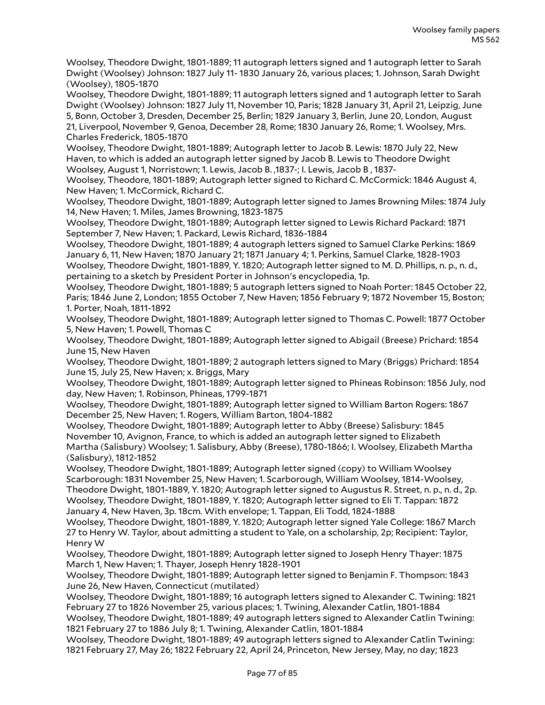Woolsey, Theodore Dwight, 1801-1889; 11 autograph letters signed and 1 autograph letter to Sarah Dwight (Woolsey) Johnson: 1827 July 11- 1830 January 26, various places; 1. Johnson, Sarah Dwight (Woolsey), 1805-1870

Woolsey, Theodore Dwight, 1801-1889; 11 autograph letters signed and 1 autograph letter to Sarah Dwight (Woolsey) Johnson: 1827 July 11, November 10, Paris; 1828 January 31, April 21, Leipzig, June 5, Bonn, October 3, Dresden, December 25, Berlin; 1829 January 3, Berlin, June 20, London, August 21, Liverpool, November 9, Genoa, December 28, Rome; 1830 January 26, Rome; 1. Woolsey, Mrs.

Charles Frederick, 1805-1870

Woolsey, Theodore Dwight, 1801-1889; Autograph letter to Jacob B. Lewis: 1870 July 22, New Haven, to which is added an autograph letter signed by Jacob B. Lewis to Theodore Dwight Woolsey, August 1, Norristown; 1. Lewis, Jacob B. ,1837-; I. Lewis, Jacob B , 1837-

Woolsey, Theodore, 1801-1889; Autograph letter signed to Richard C. McCormick: 1846 August 4, New Haven; 1. McCormick, Richard C.

Woolsey, Theodore Dwight, 1801-1889; Autograph letter signed to James Browning Miles: 1874 July 14, New Haven; 1. Miles, James Browning, 1823-1875

Woolsey, Theodore Dwight, 1801-1889; Autograph letter signed to Lewis Richard Packard: 1871 September 7, New Haven; 1. Packard, Lewis Richard, 1836-1884

Woolsey, Theodore Dwight, 1801-1889; 4 autograph letters signed to Samuel Clarke Perkins: 1869 January 6, 11, New Haven; 1870 January 21; 1871 January 4; 1. Perkins, Samuel Clarke, 1828-1903 Woolsey, Theodore Dwight, 1801-1889, Y. 1820; Autograph letter signed to M. D. Phillips, n. p., n. d., pertaining to a sketch by President Porter in Johnson's encyclopedia, 1p.

Woolsey, Theodore Dwight, 1801-1889; 5 autograph letters signed to Noah Porter: 1845 October 22, Paris; 1846 June 2, London; 1855 October 7, New Haven; 1856 February 9; 1872 November 15, Boston; 1. Porter, Noah, 1811-1892

Woolsey, Theodore Dwight, 1801-1889; Autograph letter signed to Thomas C. Powell: 1877 October 5, New Haven; 1. Powell, Thomas C

Woolsey, Theodore Dwight, 1801-1889; Autograph letter signed to Abigail (Breese) Prichard: 1854 June 15, New Haven

Woolsey, Theodore Dwight, 1801-1889; 2 autograph letters signed to Mary (Briggs) Prichard: 1854 June 15, July 25, New Haven; x. Briggs, Mary

Woolsey, Theodore Dwight, 1801-1889; Autograph letter signed to Phineas Robinson: 1856 July, nod day, New Haven; 1. Robinson, Phineas, 1799-1871

Woolsey, Theodore Dwight, 1801-1889; Autograph letter signed to William Barton Rogers: 1867 December 25, New Haven; 1. Rogers, William Barton, 1804-1882

Woolsey, Theodore Dwight, 1801-1889; Autograph letter to Abby (Breese) Salisbury: 1845 November 10, Avignon, France, to which is added an autograph letter signed to Elizabeth Martha (Salisbury) Woolsey; 1. Salisbury, Abby (Breese), 1780-1866; I. Woolsey, Elizabeth Martha (Salisbury), 1812-1852

Woolsey, Theodore Dwight, 1801-1889; Autograph letter signed (copy) to William Woolsey Scarborough: 1831 November 25, New Haven; 1. Scarborough, William Woolsey, 1814-Woolsey, Theodore Dwight, 1801-1889, Y. 1820; Autograph letter signed to Augustus R. Street, n. p., n. d., 2p. Woolsey, Theodore Dwight, 1801-1889, Y. 1820; Autograph letter signed to Eli T. Tappan: 1872 January 4, New Haven, 3p. 18cm. With envelope; 1. Tappan, Eli Todd, 1824-1888

Woolsey, Theodore Dwight, 1801-1889, Y. 1820; Autograph letter signed Yale College: 1867 March 27 to Henry W. Taylor, about admitting a student to Yale, on a scholarship, 2p; Recipient: Taylor, Henry W

Woolsey, Theodore Dwight, 1801-1889; Autograph letter signed to Joseph Henry Thayer: 1875 March 1, New Haven; 1. Thayer, Joseph Henry 1828-1901

Woolsey, Theodore Dwight, 1801-1889; Autograph letter signed to Benjamin F. Thompson: 1843 June 26, New Haven, Connecticut (mutilated)

Woolsey, Theodore Dwight, 1801-1889; 16 autograph letters signed to Alexander C. Twining: 1821 February 27 to 1826 November 25, various places; 1. Twining, Alexander Catlin, 1801-1884

Woolsey, Theodore Dwight, 1801-1889; 49 autograph letters signed to Alexander Catlin Twining: 1821 February 27 to 1886 July 8; 1. Twining, Alexander Catlin, 1801-1884

Woolsey, Theodore Dwight, 1801-1889; 49 autograph letters signed to Alexander Catlin Twining: 1821 February 27, May 26; 1822 February 22, April 24, Princeton, New Jersey, May, no day; 1823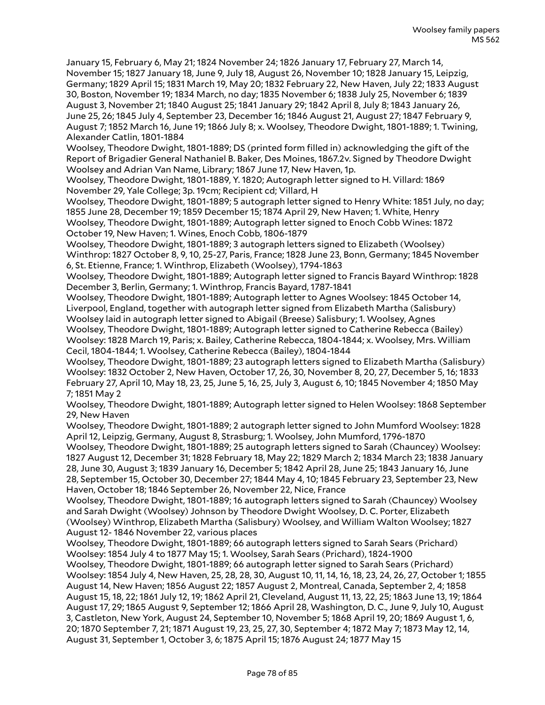January 15, February 6, May 21; 1824 November 24; 1826 January 17, February 27, March 14, November 15; 1827 January 18, June 9, July 18, August 26, November 10; 1828 January 15, Leipzig, Germany; 1829 April 15; 1831 March 19, May 20; 1832 February 22, New Haven, July 22; 1833 August 30, Boston, November 19; 1834 March, no day; 1835 November 6; 1838 July 25, November 6; 1839 August 3, November 21; 1840 August 25; 1841 January 29; 1842 April 8, July 8; 1843 January 26, June 25, 26; 1845 July 4, September 23, December 16; 1846 August 21, August 27; 1847 February 9, August 7; 1852 March 16, June 19; 1866 July 8; x. Woolsey, Theodore Dwight, 1801-1889; 1. Twining, Alexander Catlin, 1801-1884

Woolsey, Theodore Dwight, 1801-1889; DS (printed form filled in) acknowledging the gift of the Report of Brigadier General Nathaniel B. Baker, Des Moines, 1867.2v. Signed by Theodore Dwight Woolsey and Adrian Van Name, Library; 1867 June 17, New Haven, 1p.

Woolsey, Theodore Dwight, 1801-1889, Y. 1820; Autograph letter signed to H. Villard: 1869 November 29, Yale College; 3p. 19cm; Recipient cd; Villard, H

Woolsey, Theodore Dwight, 1801-1889; 5 autograph letter signed to Henry White: 1851 July, no day; 1855 June 28, December 19; 1859 December 15; 1874 April 29, New Haven; 1. White, Henry Woolsey, Theodore Dwight, 1801-1889; Autograph letter signed to Enoch Cobb Wines: 1872

October 19, New Haven; 1. Wines, Enoch Cobb, 1806-1879

Woolsey, Theodore Dwight, 1801-1889; 3 autograph letters signed to Elizabeth (Woolsey) Winthrop: 1827 October 8, 9, 10, 25-27, Paris, France; 1828 June 23, Bonn, Germany; 1845 November 6, St. Etienne, France; 1. Winthrop, Elizabeth (Woolsey), 1794-1863

Woolsey, Theodore Dwight, 1801-1889; Autograph letter signed to Francis Bayard Winthrop: 1828 December 3, Berlin, Germany; 1. Winthrop, Francis Bayard, 1787-1841

Woolsey, Theodore Dwight, 1801-1889; Autograph letter to Agnes Woolsey: 1845 October 14, Liverpool, England, together with autograph letter signed from Elizabeth Martha (Salisbury) Woolsey laid in autograph letter signed to Abigail (Breese) Salisbury; 1. Woolsey, Agnes Woolsey, Theodore Dwight, 1801-1889; Autograph letter signed to Catherine Rebecca (Bailey) Woolsey: 1828 March 19, Paris; x. Bailey, Catherine Rebecca, 1804-1844; x. Woolsey, Mrs. William

Cecil, 1804-1844; 1. Woolsey, Catherine Rebecca (Bailey), 1804-1844 Woolsey, Theodore Dwight, 1801-1889; 23 autograph letters signed to Elizabeth Martha (Salisbury) Woolsey: 1832 October 2, New Haven, October 17, 26, 30, November 8, 20, 27, December 5, 16; 1833 February 27, April 10, May 18, 23, 25, June 5, 16, 25, July 3, August 6, 10; 1845 November 4; 1850 May 7; 1851 May 2

Woolsey, Theodore Dwight, 1801-1889; Autograph letter signed to Helen Woolsey: 1868 September 29, New Haven

Woolsey, Theodore Dwight, 1801-1889; 2 autograph letter signed to John Mumford Woolsey: 1828 April 12, Leipzig, Germany, August 8, Strasburg; 1. Woolsey, John Mumford, 1796-1870

Woolsey, Theodore Dwight, 1801-1889; 25 autograph letters signed to Sarah (Chauncey) Woolsey: 1827 August 12, December 31; 1828 February 18, May 22; 1829 March 2; 1834 March 23; 1838 January 28, June 30, August 3; 1839 January 16, December 5; 1842 April 28, June 25; 1843 January 16, June 28, September 15, October 30, December 27; 1844 May 4, 10; 1845 February 23, September 23, New Haven, October 18; 1846 September 26, November 22, Nice, France

Woolsey, Theodore Dwight, 1801-1889; 16 autograph letters signed to Sarah (Chauncey) Woolsey and Sarah Dwight (Woolsey) Johnson by Theodore Dwight Woolsey, D. C. Porter, Elizabeth (Woolsey) Winthrop, Elizabeth Martha (Salisbury) Woolsey, and William Walton Woolsey; 1827 August 12- 1846 November 22, various places

Woolsey, Theodore Dwight, 1801-1889; 66 autograph letters signed to Sarah Sears (Prichard) Woolsey: 1854 July 4 to 1877 May 15; 1. Woolsey, Sarah Sears (Prichard), 1824-1900

Woolsey, Theodore Dwight, 1801-1889; 66 autograph letter signed to Sarah Sears (Prichard) Woolsey: 1854 July 4, New Haven, 25, 28, 28, 30, August 10, 11, 14, 16, 18, 23, 24, 26, 27, October 1; 1855 August 14, New Haven; 1856 August 22; 1857 August 2, Montreal, Canada, September 2, 4; 1858 August 15, 18, 22; 1861 July 12, 19; 1862 April 21, Cleveland, August 11, 13, 22, 25; 1863 June 13, 19; 1864 August 17, 29; 1865 August 9, September 12; 1866 April 28, Washington, D. C., June 9, July 10, August 3, Castleton, New York, August 24, September 10, November 5; 1868 April 19, 20; 1869 August 1, 6, 20; 1870 September 7, 21; 1871 August 19, 23, 25, 27, 30, September 4; 1872 May 7; 1873 May 12, 14, August 31, September 1, October 3, 6; 1875 April 15; 1876 August 24; 1877 May 15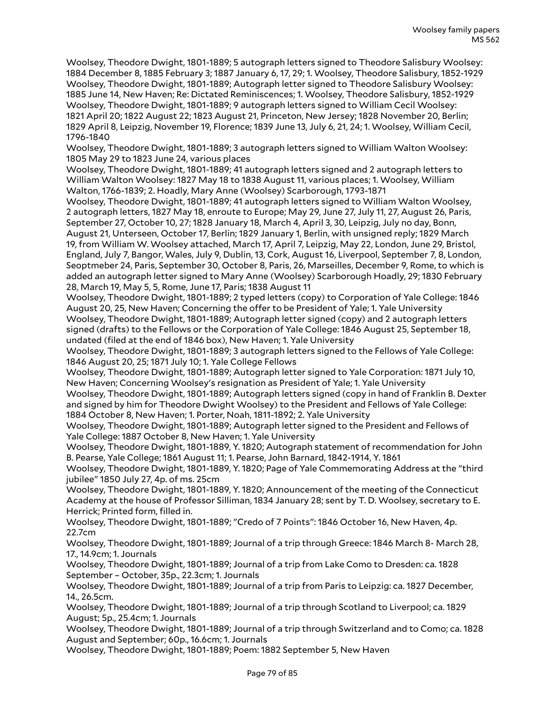Woolsey, Theodore Dwight, 1801-1889; 5 autograph letters signed to Theodore Salisbury Woolsey: 1884 December 8, 1885 February 3; 1887 January 6, 17, 29; 1. Woolsey, Theodore Salisbury, 1852-1929 Woolsey, Theodore Dwight, 1801-1889; Autograph letter signed to Theodore Salisbury Woolsey: 1885 June 14, New Haven; Re: Dictated Reminiscences; 1. Woolsey, Theodore Salisbury, 1852-1929 Woolsey, Theodore Dwight, 1801-1889; 9 autograph letters signed to William Cecil Woolsey: 1821 April 20; 1822 August 22; 1823 August 21, Princeton, New Jersey; 1828 November 20, Berlin; 1829 April 8, Leipzig, November 19, Florence; 1839 June 13, July 6, 21, 24; 1. Woolsey, William Cecil, 1796-1840

Woolsey, Theodore Dwight, 1801-1889; 3 autograph letters signed to William Walton Woolsey: 1805 May 29 to 1823 June 24, various places

Woolsey, Theodore Dwight, 1801-1889; 41 autograph letters signed and 2 autograph letters to William Walton Woolsey: 1827 May 18 to 1838 August 11, various places; 1. Woolsey, William Walton, 1766-1839; 2. Hoadly, Mary Anne (Woolsey) Scarborough, 1793-1871

Woolsey, Theodore Dwight, 1801-1889; 41 autograph letters signed to William Walton Woolsey, 2 autograph letters, 1827 May 18, enroute to Europe; May 29, June 27, July 11, 27, August 26, Paris, September 27, October 10, 27; 1828 January 18, March 4, April 3, 30, Leipzig, July no day, Bonn, August 21, Unterseen, October 17, Berlin; 1829 January 1, Berlin, with unsigned reply; 1829 March 19, from William W. Woolsey attached, March 17, April 7, Leipzig, May 22, London, June 29, Bristol, England, July 7, Bangor, Wales, July 9, Dublin, 13, Cork, August 16, Liverpool, September 7, 8, London, Seoptmeber 24, Paris, September 30, October 8, Paris, 26, Marseilles, December 9, Rome, to which is added an autograph letter signed to Mary Anne (Woolsey) Scarborough Hoadly, 29; 1830 February 28, March 19, May 5, 5, Rome, June 17, Paris; 1838 August 11

Woolsey, Theodore Dwight, 1801-1889; 2 typed letters (copy) to Corporation of Yale College: 1846 August 20, 25, New Haven; Concerning the offer to be President of Yale; 1. Yale University Woolsey, Theodore Dwight, 1801-1889; Autograph letter signed (copy) and 2 autograph letters signed (drafts) to the Fellows or the Corporation of Yale College: 1846 August 25, September 18, undated (filed at the end of 1846 box), New Haven; 1. Yale University

Woolsey, Theodore Dwight, 1801-1889; 3 autograph letters signed to the Fellows of Yale College: 1846 August 20, 25; 1871 July 10; 1. Yale College Fellows

Woolsey, Theodore Dwight, 1801-1889; Autograph letter signed to Yale Corporation: 1871 July 10, New Haven; Concerning Woolsey's resignation as President of Yale; 1. Yale University

Woolsey, Theodore Dwight, 1801-1889; Autograph letters signed (copy in hand of Franklin B. Dexter and signed by him for Theodore Dwight Woolsey) to the President and Fellows of Yale College: 1884 October 8, New Haven; 1. Porter, Noah, 1811-1892; 2. Yale University

Woolsey, Theodore Dwight, 1801-1889; Autograph letter signed to the President and Fellows of Yale College: 1887 October 8, New Haven; 1. Yale University

Woolsey, Theodore Dwight, 1801-1889, Y. 1820; Autograph statement of recommendation for John B. Pearse, Yale College; 1861 August 11; 1. Pearse, John Barnard, 1842-1914, Y. 1861

Woolsey, Theodore Dwight, 1801-1889, Y. 1820; Page of Yale Commemorating Address at the "third jubilee" 1850 July 27, 4p. of ms. 25cm

Woolsey, Theodore Dwight, 1801-1889, Y. 1820; Announcement of the meeting of the Connecticut Academy at the house of Professor Silliman, 1834 January 28; sent by T. D. Woolsey, secretary to E. Herrick; Printed form, filled in.

Woolsey, Theodore Dwight, 1801-1889; "Credo of 7 Points": 1846 October 16, New Haven, 4p. 22.7cm

Woolsey, Theodore Dwight, 1801-1889; Journal of a trip through Greece: 1846 March 8- March 28, 17., 14.9cm; 1. Journals

Woolsey, Theodore Dwight, 1801-1889; Journal of a trip from Lake Como to Dresden: ca. 1828 September – October, 35p., 22.3cm; 1. Journals

Woolsey, Theodore Dwight, 1801-1889; Journal of a trip from Paris to Leipzig: ca. 1827 December, 14., 26.5cm.

Woolsey, Theodore Dwight, 1801-1889; Journal of a trip through Scotland to Liverpool; ca. 1829 August; 5p., 25.4cm; 1. Journals

Woolsey, Theodore Dwight, 1801-1889; Journal of a trip through Switzerland and to Como; ca. 1828 August and September; 60p., 16.6cm; 1. Journals

Woolsey, Theodore Dwight, 1801-1889; Poem: 1882 September 5, New Haven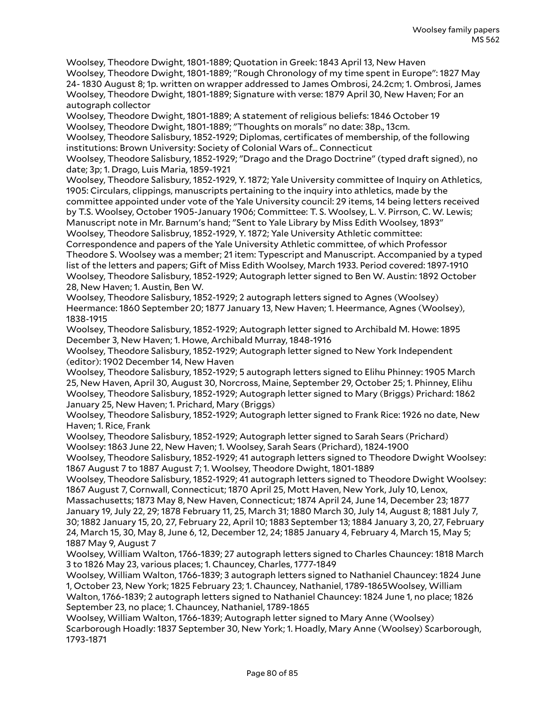Woolsey, Theodore Dwight, 1801-1889; Quotation in Greek: 1843 April 13, New Haven Woolsey, Theodore Dwight, 1801-1889; "Rough Chronology of my time spent in Europe": 1827 May 24- 1830 August 8; 1p. written on wrapper addressed to James Ombrosi, 24.2cm; 1. Ombrosi, James Woolsey, Theodore Dwight, 1801-1889; Signature with verse: 1879 April 30, New Haven; For an autograph collector

Woolsey, Theodore Dwight, 1801-1889; A statement of religious beliefs: 1846 October 19 Woolsey, Theodore Dwight, 1801-1889; "Thoughts on morals" no date: 38p., 13cm.

Woolsey, Theodore Salisbury, 1852-1929; Diplomas, certificates of membership, of the following institutions: Brown University: Society of Colonial Wars of… Connecticut

Woolsey, Theodore Salisbury, 1852-1929; "Drago and the Drago Doctrine" (typed draft signed), no date; 3p; 1. Drago, Luis Maria, 1859-1921

Woolsey, Theodore Salisbury, 1852-1929, Y. 1872; Yale University committee of Inquiry on Athletics, 1905: Circulars, clippings, manuscripts pertaining to the inquiry into athletics, made by the committee appointed under vote of the Yale University council: 29 items, 14 being letters received by T.S. Woolsey, October 1905-January 1906; Committee: T. S. Woolsey, L. V. Pirrson, C. W. Lewis; Manuscript note in Mr. Barnum's hand; "Sent to Yale Library by Miss Edith Woolsey, 1893" Woolsey, Theodore Salisbruy, 1852-1929, Y. 1872; Yale University Athletic committee:

Correspondence and papers of the Yale University Athletic committee, of which Professor Theodore S. Woolsey was a member; 21 item: Typescript and Manuscript. Accompanied by a typed list of the letters and papers; Gift of Miss Edith Woolsey, March 1933. Period covered: 1897-1910 Woolsey, Theodore Salisbury, 1852-1929; Autograph letter signed to Ben W. Austin: 1892 October 28, New Haven; 1. Austin, Ben W.

Woolsey, Theodore Salisbury, 1852-1929; 2 autograph letters signed to Agnes (Woolsey) Heermance: 1860 September 20; 1877 January 13, New Haven; 1. Heermance, Agnes (Woolsey), 1838-1915

Woolsey, Theodore Salisbury, 1852-1929; Autograph letter signed to Archibald M. Howe: 1895 December 3, New Haven; 1. Howe, Archibald Murray, 1848-1916

Woolsey, Theodore Salisbury, 1852-1929; Autograph letter signed to New York Independent (editor): 1902 December 14, New Haven

Woolsey, Theodore Salisbury, 1852-1929; 5 autograph letters signed to Elihu Phinney: 1905 March 25, New Haven, April 30, August 30, Norcross, Maine, September 29, October 25; 1. Phinney, Elihu Woolsey, Theodore Salisbury, 1852-1929; Autograph letter signed to Mary (Briggs) Prichard: 1862 January 25, New Haven; 1. Prichard, Mary (Briggs)

Woolsey, Theodore Salisbury, 1852-1929; Autograph letter signed to Frank Rice: 1926 no date, New Haven; 1. Rice, Frank

Woolsey, Theodore Salisbury, 1852-1929; Autograph letter signed to Sarah Sears (Prichard) Woolsey: 1863 June 22, New Haven; 1. Woolsey, Sarah Sears (Prichard), 1824-1900

Woolsey, Theodore Salisbury, 1852-1929; 41 autograph letters signed to Theodore Dwight Woolsey: 1867 August 7 to 1887 August 7; 1. Woolsey, Theodore Dwight, 1801-1889

Woolsey, Theodore Salisbury, 1852-1929; 41 autograph letters signed to Theodore Dwight Woolsey: 1867 August 7, Cornwall, Connecticut; 1870 April 25, Mott Haven, New York, July 10, Lenox,

Massachusetts; 1873 May 8, New Haven, Connecticut; 1874 April 24, June 14, December 23; 1877 January 19, July 22, 29; 1878 February 11, 25, March 31; 1880 March 30, July 14, August 8; 1881 July 7, 30; 1882 January 15, 20, 27, February 22, April 10; 1883 September 13; 1884 January 3, 20, 27, February 24, March 15, 30, May 8, June 6, 12, December 12, 24; 1885 January 4, February 4, March 15, May 5; 1887 May 9, August 7

Woolsey, William Walton, 1766-1839; 27 autograph letters signed to Charles Chauncey: 1818 March 3 to 1826 May 23, various places; 1. Chauncey, Charles, 1777-1849

Woolsey, William Walton, 1766-1839; 3 autograph letters signed to Nathaniel Chauncey: 1824 June 1, October 23, New York; 1825 February 23; 1. Chauncey, Nathaniel, 1789-1865Woolsey, William Walton, 1766-1839; 2 autograph letters signed to Nathaniel Chauncey: 1824 June 1, no place; 1826 September 23, no place; 1. Chauncey, Nathaniel, 1789-1865

Woolsey, William Walton, 1766-1839; Autograph letter signed to Mary Anne (Woolsey) Scarborough Hoadly: 1837 September 30, New York; 1. Hoadly, Mary Anne (Woolsey) Scarborough, 1793-1871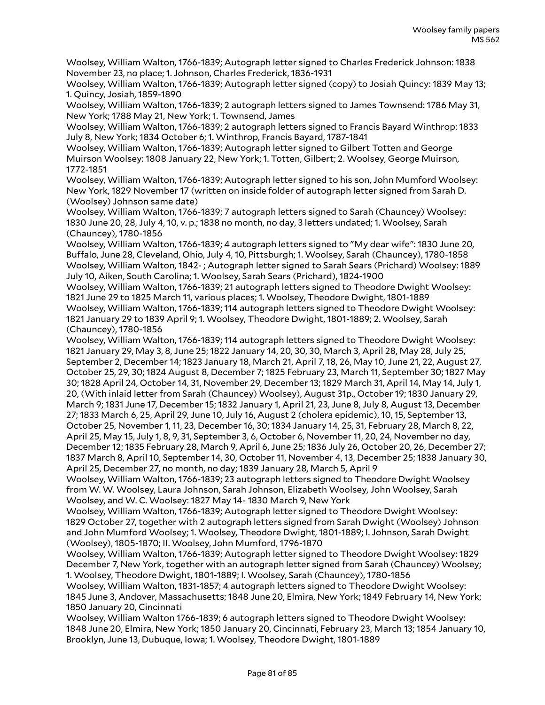Woolsey, William Walton, 1766-1839; Autograph letter signed to Charles Frederick Johnson: 1838 November 23, no place; 1. Johnson, Charles Frederick, 1836-1931

Woolsey, William Walton, 1766-1839; Autograph letter signed (copy) to Josiah Quincy: 1839 May 13; 1. Quincy, Josiah, 1859-1890

Woolsey, William Walton, 1766-1839; 2 autograph letters signed to James Townsend: 1786 May 31, New York; 1788 May 21, New York; 1. Townsend, James

Woolsey, William Walton, 1766-1839; 2 autograph letters signed to Francis Bayard Winthrop: 1833 July 8, New York; 1834 October 6; 1. Winthrop, Francis Bayard, 1787-1841

Woolsey, William Walton, 1766-1839; Autograph letter signed to Gilbert Totten and George Muirson Woolsey: 1808 January 22, New York; 1. Totten, Gilbert; 2. Woolsey, George Muirson, 1772-1851

Woolsey, William Walton, 1766-1839; Autograph letter signed to his son, John Mumford Woolsey: New York, 1829 November 17 (written on inside folder of autograph letter signed from Sarah D. (Woolsey) Johnson same date)

Woolsey, William Walton, 1766-1839; 7 autograph letters signed to Sarah (Chauncey) Woolsey: 1830 June 20, 28, July 4, 10, v. p.; 1838 no month, no day, 3 letters undated; 1. Woolsey, Sarah (Chauncey), 1780-1856

Woolsey, William Walton, 1766-1839; 4 autograph letters signed to "My dear wife": 1830 June 20, Buffalo, June 28, Cleveland, Ohio, July 4, 10, Pittsburgh; 1. Woolsey, Sarah (Chauncey), 1780-1858 Woolsey, William Walton, 1842- ; Autograph letter signed to Sarah Sears (Prichard) Woolsey: 1889 July 10, Aiken, South Carolina; 1. Woolsey, Sarah Sears (Prichard), 1824-1900

Woolsey, William Walton, 1766-1839; 21 autograph letters signed to Theodore Dwight Woolsey: 1821 June 29 to 1825 March 11, various places; 1. Woolsey, Theodore Dwight, 1801-1889 Woolsey, William Walton, 1766-1839; 114 autograph letters signed to Theodore Dwight Woolsey: 1821 January 29 to 1839 April 9; 1. Woolsey, Theodore Dwight, 1801-1889; 2. Woolsey, Sarah (Chauncey), 1780-1856

Woolsey, William Walton, 1766-1839; 114 autograph letters signed to Theodore Dwight Woolsey: 1821 January 29, May 3, 8, June 25; 1822 January 14, 20, 30, 30, March 3, April 28, May 28, July 25, September 2, December 14; 1823 January 18, March 21, April 7, 18, 26, May 10, June 21, 22, August 27, October 25, 29, 30; 1824 August 8, December 7; 1825 February 23, March 11, September 30; 1827 May 30; 1828 April 24, October 14, 31, November 29, December 13; 1829 March 31, April 14, May 14, July 1, 20, (With inlaid letter from Sarah (Chauncey) Woolsey), August 31p., October 19; 1830 January 29, March 9; 1831 June 17, December 15; 1832 January 1, April 21, 23, June 8, July 8, August 13, December 27; 1833 March 6, 25, April 29, June 10, July 16, August 2 (cholera epidemic), 10, 15, September 13, October 25, November 1, 11, 23, December 16, 30; 1834 January 14, 25, 31, February 28, March 8, 22, April 25, May 15, July 1, 8, 9, 31, September 3, 6, October 6, November 11, 20, 24, November no day, December 12; 1835 February 28, March 9, April 6, June 25; 1836 July 26, October 20, 26, December 27; 1837 March 8, April 10, September 14, 30, October 11, November 4, 13, December 25; 1838 January 30, April 25, December 27, no month, no day; 1839 January 28, March 5, April 9

Woolsey, William Walton, 1766-1839; 23 autograph letters signed to Theodore Dwight Woolsey from W. W. Woolsey, Laura Johnson, Sarah Johnson, Elizabeth Woolsey, John Woolsey, Sarah Woolsey, and W. C. Woolsey: 1827 May 14- 1830 March 9, New York

Woolsey, William Walton, 1766-1839; Autograph letter signed to Theodore Dwight Woolsey: 1829 October 27, together with 2 autograph letters signed from Sarah Dwight (Woolsey) Johnson and John Mumford Woolsey; 1. Woolsey, Theodore Dwight, 1801-1889; I. Johnson, Sarah Dwight (Woolsey), 1805-1870; II. Woolsey, John Mumford, 1796-1870

Woolsey, William Walton, 1766-1839; Autograph letter signed to Theodore Dwight Woolsey: 1829 December 7, New York, together with an autograph letter signed from Sarah (Chauncey) Woolsey; 1. Woolsey, Theodore Dwight, 1801-1889; I. Woolsey, Sarah (Chauncey), 1780-1856

Woolsey, William Walton, 1831-1857; 4 autograph letters signed to Theodore Dwight Woolsey: 1845 June 3, Andover, Massachusetts; 1848 June 20, Elmira, New York; 1849 February 14, New York; 1850 January 20, Cincinnati

Woolsey, William Walton 1766-1839; 6 autograph letters signed to Theodore Dwight Woolsey: 1848 June 20, Elmira, New York; 1850 January 20, Cincinnati, February 23, March 13; 1854 January 10, Brooklyn, June 13, Dubuque, Iowa; 1. Woolsey, Theodore Dwight, 1801-1889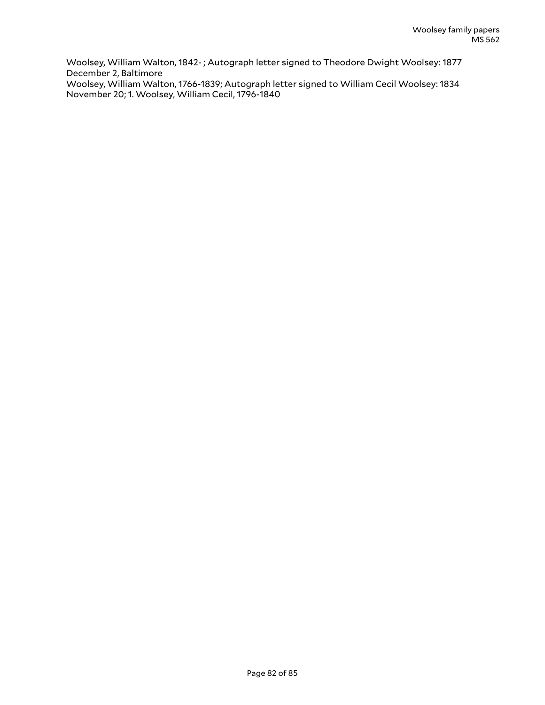Woolsey, William Walton, 1842- ; Autograph letter signed to Theodore Dwight Woolsey: 1877 December 2, Baltimore Woolsey, William Walton, 1766-1839; Autograph letter signed to William Cecil Woolsey: 1834 November 20; 1. Woolsey, William Cecil, 1796-1840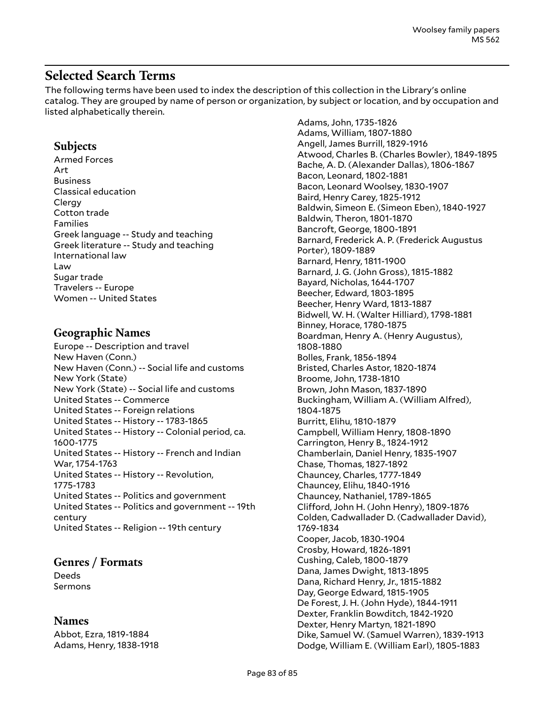# **Selected Search Terms**

The following terms have been used to index the description of this collection in the Library's online catalog. They are grouped by name of person or organization, by subject or location, and by occupation and listed alphabetically therein.

# **Subjects**

Armed Forces Art Business Classical education Clergy Cotton trade Families Greek language -- Study and teaching Greek literature -- Study and teaching International law Law Sugar trade Travelers -- Europe Women -- United States

### **Geographic Names**

Europe -- Description and travel New Haven (Conn.) New Haven (Conn.) -- Social life and customs New York (State) New York (State) -- Social life and customs United States -- Commerce United States -- Foreign relations United States -- History -- 1783-1865 United States -- History -- Colonial period, ca. 1600-1775 United States -- History -- French and Indian War, 1754-1763 United States -- History -- Revolution, 1775-1783 United States -- Politics and government United States -- Politics and government -- 19th century United States -- Religion -- 19th century

# **Genres / Formats**

Deeds Sermons

#### **Names**

Abbot, Ezra, 1819-1884 Adams, Henry, 1838-1918 Adams, John, 1735-1826 Adams, William, 1807-1880 Angell, James Burrill, 1829-1916 Atwood, Charles B. (Charles Bowler), 1849-1895 Bache, A. D. (Alexander Dallas), 1806-1867 Bacon, Leonard, 1802-1881 Bacon, Leonard Woolsey, 1830-1907 Baird, Henry Carey, 1825-1912 Baldwin, Simeon E. (Simeon Eben), 1840-1927 Baldwin, Theron, 1801-1870 Bancroft, George, 1800-1891 Barnard, Frederick A. P. (Frederick Augustus Porter), 1809-1889 Barnard, Henry, 1811-1900 Barnard, J. G. (John Gross), 1815-1882 Bayard, Nicholas, 1644-1707 Beecher, Edward, 1803-1895 Beecher, Henry Ward, 1813-1887 Bidwell, W. H. (Walter Hilliard), 1798-1881 Binney, Horace, 1780-1875 Boardman, Henry A. (Henry Augustus), 1808-1880 Bolles, Frank, 1856-1894 Bristed, Charles Astor, 1820-1874 Broome, John, 1738-1810 Brown, John Mason, 1837-1890 Buckingham, William A. (William Alfred), 1804-1875 Burritt, Elihu, 1810-1879 Campbell, William Henry, 1808-1890 Carrington, Henry B., 1824-1912 Chamberlain, Daniel Henry, 1835-1907 Chase, Thomas, 1827-1892 Chauncey, Charles, 1777-1849 Chauncey, Elihu, 1840-1916 Chauncey, Nathaniel, 1789-1865 Clifford, John H. (John Henry), 1809-1876 Colden, Cadwallader D. (Cadwallader David), 1769-1834 Cooper, Jacob, 1830-1904 Crosby, Howard, 1826-1891 Cushing, Caleb, 1800-1879 Dana, James Dwight, 1813-1895 Dana, Richard Henry, Jr., 1815-1882 Day, George Edward, 1815-1905 De Forest, J. H. (John Hyde), 1844-1911 Dexter, Franklin Bowditch, 1842-1920 Dexter, Henry Martyn, 1821-1890 Dike, Samuel W. (Samuel Warren), 1839-1913 Dodge, William E. (William Earl), 1805-1883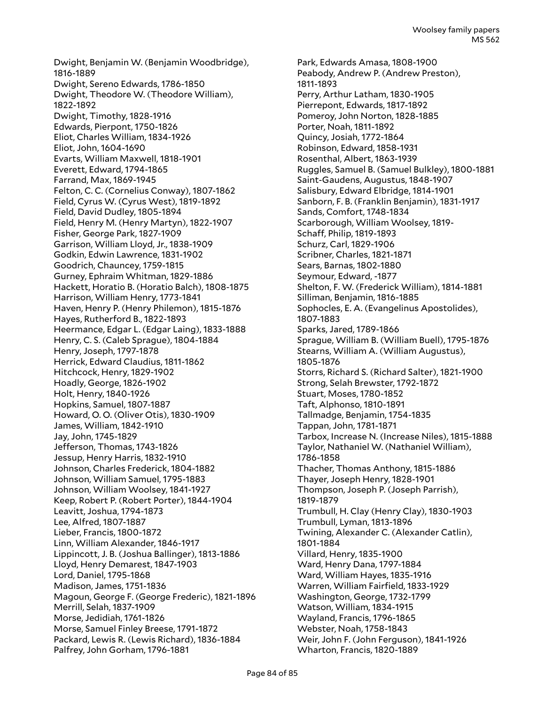Dwight, Benjamin W. (Benjamin Woodbridge), 1816-1889 Dwight, Sereno Edwards, 1786-1850 Dwight, Theodore W. (Theodore William), 1822-1892 Dwight, Timothy, 1828-1916 Edwards, Pierpont, 1750-1826 Eliot, Charles William, 1834-1926 Eliot, John, 1604-1690 Evarts, William Maxwell, 1818-1901 Everett, Edward, 1794-1865 Farrand, Max, 1869-1945 Felton, C. C. (Cornelius Conway), 1807-1862 Field, Cyrus W. (Cyrus West), 1819-1892 Field, David Dudley, 1805-1894 Field, Henry M. (Henry Martyn), 1822-1907 Fisher, George Park, 1827-1909 Garrison, William Lloyd, Jr., 1838-1909 Godkin, Edwin Lawrence, 1831-1902 Goodrich, Chauncey, 1759-1815 Gurney, Ephraim Whitman, 1829-1886 Hackett, Horatio B. (Horatio Balch), 1808-1875 Harrison, William Henry, 1773-1841 Haven, Henry P. (Henry Philemon), 1815-1876 Hayes, Rutherford B., 1822-1893 Heermance, Edgar L. (Edgar Laing), 1833-1888 Henry, C. S. (Caleb Sprague), 1804-1884 Henry, Joseph, 1797-1878 Herrick, Edward Claudius, 1811-1862 Hitchcock, Henry, 1829-1902 Hoadly, George, 1826-1902 Holt, Henry, 1840-1926 Hopkins, Samuel, 1807-1887 Howard, O. O. (Oliver Otis), 1830-1909 James, William, 1842-1910 Jay, John, 1745-1829 Jefferson, Thomas, 1743-1826 Jessup, Henry Harris, 1832-1910 Johnson, Charles Frederick, 1804-1882 Johnson, William Samuel, 1795-1883 Johnson, William Woolsey, 1841-1927 Keep, Robert P. (Robert Porter), 1844-1904 Leavitt, Joshua, 1794-1873 Lee, Alfred, 1807-1887 Lieber, Francis, 1800-1872 Linn, William Alexander, 1846-1917 Lippincott, J. B. (Joshua Ballinger), 1813-1886 Lloyd, Henry Demarest, 1847-1903 Lord, Daniel, 1795-1868 Madison, James, 1751-1836 Magoun, George F. (George Frederic), 1821-1896 Merrill, Selah, 1837-1909 Morse, Jedidiah, 1761-1826 Morse, Samuel Finley Breese, 1791-1872 Packard, Lewis R. (Lewis Richard), 1836-1884 Palfrey, John Gorham, 1796-1881

Park, Edwards Amasa, 1808-1900 Peabody, Andrew P. (Andrew Preston), 1811-1893 Perry, Arthur Latham, 1830-1905 Pierrepont, Edwards, 1817-1892 Pomeroy, John Norton, 1828-1885 Porter, Noah, 1811-1892 Quincy, Josiah, 1772-1864 Robinson, Edward, 1858-1931 Rosenthal, Albert, 1863-1939 Ruggles, Samuel B. (Samuel Bulkley), 1800-1881 Saint-Gaudens, Augustus, 1848-1907 Salisbury, Edward Elbridge, 1814-1901 Sanborn, F. B. (Franklin Benjamin), 1831-1917 Sands, Comfort, 1748-1834 Scarborough, William Woolsey, 1819- Schaff, Philip, 1819-1893 Schurz, Carl, 1829-1906 Scribner, Charles, 1821-1871 Sears, Barnas, 1802-1880 Seymour, Edward, -1877 Shelton, F. W. (Frederick William), 1814-1881 Silliman, Benjamin, 1816-1885 Sophocles, E. A. (Evangelinus Apostolides), 1807-1883 Sparks, Jared, 1789-1866 Sprague, William B. (William Buell), 1795-1876 Stearns, William A. (William Augustus), 1805-1876 Storrs, Richard S. (Richard Salter), 1821-1900 Strong, Selah Brewster, 1792-1872 Stuart, Moses, 1780-1852 Taft, Alphonso, 1810-1891 Tallmadge, Benjamin, 1754-1835 Tappan, John, 1781-1871 Tarbox, Increase N. (Increase Niles), 1815-1888 Taylor, Nathaniel W. (Nathaniel William), 1786-1858 Thacher, Thomas Anthony, 1815-1886 Thayer, Joseph Henry, 1828-1901 Thompson, Joseph P. (Joseph Parrish), 1819-1879 Trumbull, H. Clay (Henry Clay), 1830-1903 Trumbull, Lyman, 1813-1896 Twining, Alexander C. (Alexander Catlin), 1801-1884 Villard, Henry, 1835-1900 Ward, Henry Dana, 1797-1884 Ward, William Hayes, 1835-1916 Warren, William Fairfield, 1833-1929 Washington, George, 1732-1799 Watson, William, 1834-1915 Wayland, Francis, 1796-1865 Webster, Noah, 1758-1843 Weir, John F. (John Ferguson), 1841-1926 Wharton, Francis, 1820-1889